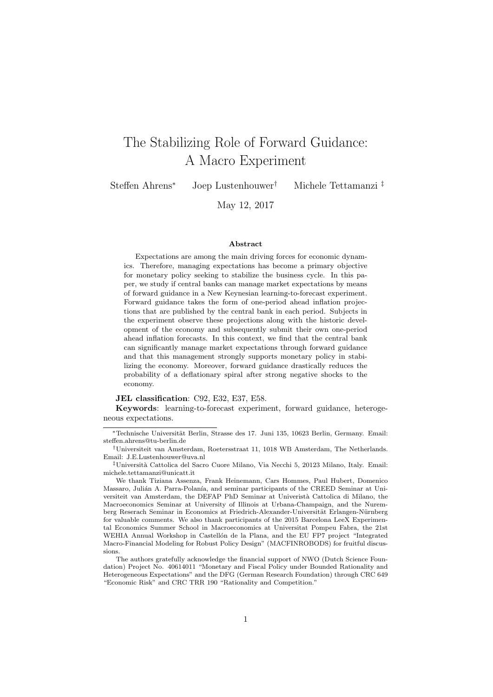# The Stabilizing Role of Forward Guidance: A Macro Experiment

Steffen Ahrens<sup>∗</sup> Joep Lustenhouwer† Michele Tettamanzi ‡

May 12, 2017

#### Abstract

Expectations are among the main driving forces for economic dynamics. Therefore, managing expectations has become a primary objective for monetary policy seeking to stabilize the business cycle. In this paper, we study if central banks can manage market expectations by means of forward guidance in a New Keynesian learning-to-forecast experiment. Forward guidance takes the form of one-period ahead inflation projections that are published by the central bank in each period. Subjects in the experiment observe these projections along with the historic development of the economy and subsequently submit their own one-period ahead inflation forecasts. In this context, we find that the central bank can significantly manage market expectations through forward guidance and that this management strongly supports monetary policy in stabilizing the economy. Moreover, forward guidance drastically reduces the probability of a deflationary spiral after strong negative shocks to the economy.

#### JEL classification: C92, E32, E37, E58.

Keywords: learning-to-forecast experiment, forward guidance, heterogeneous expectations.

<sup>∗</sup>Technische Universit¨at Berlin, Strasse des 17. Juni 135, 10623 Berlin, Germany. Email: steffen.ahrens@tu-berlin.de

<sup>†</sup>Universiteit van Amsterdam, Roetersstraat 11, 1018 WB Amsterdam, The Netherlands. Email: J.E.Lustenhouwer@uva.nl

<sup>‡</sup>Universit`a Cattolica del Sacro Cuore Milano, Via Necchi 5, 20123 Milano, Italy. Email: michele.tettamanzi@unicatt.it

We thank Tiziana Assenza, Frank Heinemann, Cars Hommes, Paul Hubert, Domenico Massaro, Julián A. Parra-Polanía, and seminar participants of the CREED Seminar at Universiteit van Amsterdam, the DEFAP PhD Seminar at Univeristà Cattolica di Milano, the Macroeconomics Seminar at University of Illinois at Urbana-Champaign, and the Nuremberg Reserach Seminar in Economics at Friedrich-Alexander-Universität Erlangen-Nürnberg for valuable comments. We also thank participants of the 2015 Barcelona LeeX Experimental Economics Summer School in Macroeconomics at Universitat Pompeu Fabra, the 21st WEHIA Annual Workshop in Castellón de la Plana, and the EU FP7 project "Integrated Macro-Financial Modeling for Robust Policy Design" (MACFINROBODS) for fruitful discussions.

The authors gratefully acknowledge the financial support of NWO (Dutch Science Foundation) Project No. 40614011 "Monetary and Fiscal Policy under Bounded Rationality and Heterogeneous Expectations" and the DFG (German Research Foundation) through CRC 649 "Economic Risk" and CRC TRR 190 "Rationality and Competition."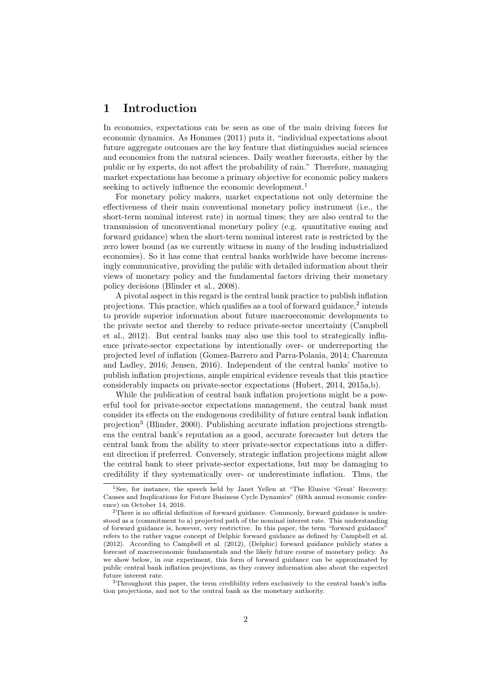### 1 Introduction

In economics, expectations can be seen as one of the main driving forces for economic dynamics. As Hommes (2011) puts it, "individual expectations about future aggregate outcomes are the key feature that distinguishes social sciences and economics from the natural sciences. Daily weather forecasts, either by the public or by experts, do not affect the probability of rain." Therefore, managing market expectations has become a primary objective for economic policy makers seeking to actively influence the economic development.<sup>1</sup>

For monetary policy makers, market expectations not only determine the effectiveness of their main conventional monetary policy instrument (i.e., the short-term nominal interest rate) in normal times; they are also central to the transmission of unconventional monetary policy (e.g. quantitative easing and forward guidance) when the short-term nominal interest rate is restricted by the zero lower bound (as we currently witness in many of the leading industrialized economies). So it has come that central banks worldwide have become increasingly communicative, providing the public with detailed information about their views of monetary policy and the fundamental factors driving their monetary policy decisions (Blinder et al., 2008).

A pivotal aspect in this regard is the central bank practice to publish inflation projections. This practice, which qualifies as a tool of forward guidance,<sup>2</sup> intends to provide superior information about future macroeconomic developments to the private sector and thereby to reduce private-sector uncertainty (Campbell et al., 2012). But central banks may also use this tool to strategically influence private-sector expectations by intentionally over- or underreporting the projected level of inflation (Gomez-Barrero and Parra-Polania, 2014; Charemza and Ladley, 2016; Jensen, 2016). Independent of the central banks' motive to publish inflation projections, ample empirical evidence reveals that this practice considerably impacts on private-sector expectations (Hubert, 2014, 2015a,b).

While the publication of central bank inflation projections might be a powerful tool for private-sector expectations management, the central bank must consider its effects on the endogenous credibility of future central bank inflation projection<sup>3</sup> (Blinder, 2000). Publishing accurate inflation projections strengthens the central bank's reputation as a good, accurate forecaster but deters the central bank from the ability to steer private-sector expectations into a different direction if preferred. Conversely, strategic inflation projections might allow the central bank to steer private-sector expectations, but may be damaging to credibility if they systematically over- or underestimate inflation. Thus, the

<sup>&</sup>lt;sup>1</sup>See, for instance, the speech held by Janet Yellen at "The Elusive 'Great' Recovery: Causes and Implications for Future Business Cycle Dynamics" (60th annual economic conference) on October 14, 2016.

<sup>2</sup>There is no official definition of forward guidance. Commonly, forward guidance is understood as a (commitment to a) projected path of the nominal interest rate. This understanding of forward guidance is, however, very restrictive. In this paper, the term "forward guidance" refers to the rather vague concept of Delphic forward guidance as defined by Campbell et al. (2012). According to Campbell et al. (2012), (Delphic) forward guidance publicly states a forecast of macroeconomic fundamentals and the likely future course of monetary policy. As we show below, in our experiment, this form of forward guidance can be approximated by public central bank inflation projections, as they convey information also about the expected future interest rate.

<sup>3</sup>Throughout this paper, the term credibility refers exclusively to the central bank's inflation projections, and not to the central bank as the monetary authority.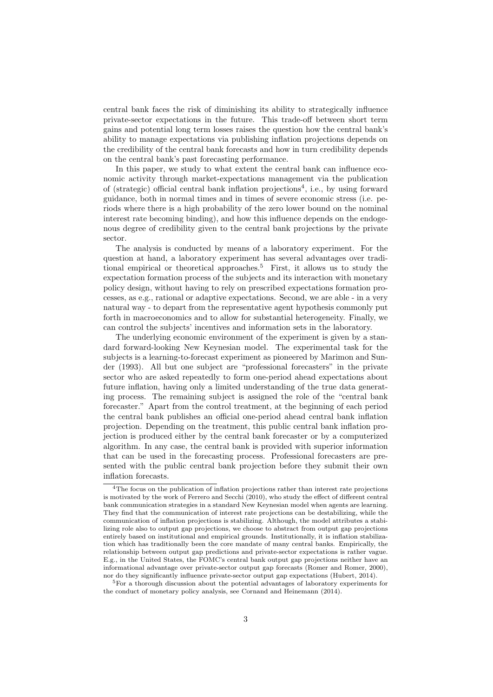central bank faces the risk of diminishing its ability to strategically influence private-sector expectations in the future. This trade-off between short term gains and potential long term losses raises the question how the central bank's ability to manage expectations via publishing inflation projections depends on the credibility of the central bank forecasts and how in turn credibility depends on the central bank's past forecasting performance.

In this paper, we study to what extent the central bank can influence economic activity through market-expectations management via the publication of (strategic) official central bank inflation projections<sup>4</sup> , i.e., by using forward guidance, both in normal times and in times of severe economic stress (i.e. periods where there is a high probability of the zero lower bound on the nominal interest rate becoming binding), and how this influence depends on the endogenous degree of credibility given to the central bank projections by the private sector.

The analysis is conducted by means of a laboratory experiment. For the question at hand, a laboratory experiment has several advantages over traditional empirical or theoretical approaches.<sup>5</sup> First, it allows us to study the expectation formation process of the subjects and its interaction with monetary policy design, without having to rely on prescribed expectations formation processes, as e.g., rational or adaptive expectations. Second, we are able - in a very natural way - to depart from the representative agent hypothesis commonly put forth in macroeconomics and to allow for substantial heterogeneity. Finally, we can control the subjects' incentives and information sets in the laboratory.

The underlying economic environment of the experiment is given by a standard forward-looking New Keynesian model. The experimental task for the subjects is a learning-to-forecast experiment as pioneered by Marimon and Sunder (1993). All but one subject are "professional forecasters" in the private sector who are asked repeatedly to form one-period ahead expectations about future inflation, having only a limited understanding of the true data generating process. The remaining subject is assigned the role of the "central bank forecaster." Apart from the control treatment, at the beginning of each period the central bank publishes an official one-period ahead central bank inflation projection. Depending on the treatment, this public central bank inflation projection is produced either by the central bank forecaster or by a computerized algorithm. In any case, the central bank is provided with superior information that can be used in the forecasting process. Professional forecasters are presented with the public central bank projection before they submit their own inflation forecasts.

<sup>4</sup>The focus on the publication of inflation projections rather than interest rate projections is motivated by the work of Ferrero and Secchi (2010), who study the effect of different central bank communication strategies in a standard New Keynesian model when agents are learning. They find that the communication of interest rate projections can be destabilizing, while the communication of inflation projections is stabilizing. Although, the model attributes a stabilizing role also to output gap projections, we choose to abstract from output gap projections entirely based on institutional and empirical grounds. Institutionally, it is inflation stabilization which has traditionally been the core mandate of many central banks. Empirically, the relationship between output gap predictions and private-sector expectations is rather vague. E.g., in the United States, the FOMC's central bank output gap projections neither have an informational advantage over private-sector output gap forecasts (Romer and Romer, 2000), nor do they significantly influence private-sector output gap expectations (Hubert, 2014).

<sup>5</sup>For a thorough discussion about the potential advantages of laboratory experiments for the conduct of monetary policy analysis, see Cornand and Heinemann (2014).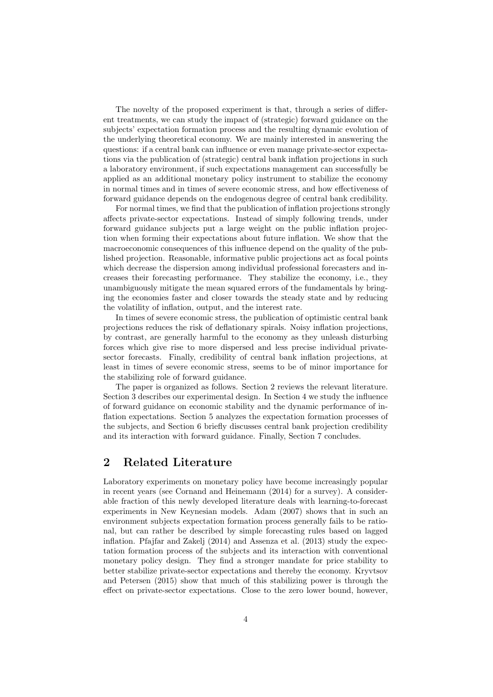The novelty of the proposed experiment is that, through a series of different treatments, we can study the impact of (strategic) forward guidance on the subjects' expectation formation process and the resulting dynamic evolution of the underlying theoretical economy. We are mainly interested in answering the questions: if a central bank can influence or even manage private-sector expectations via the publication of (strategic) central bank inflation projections in such a laboratory environment, if such expectations management can successfully be applied as an additional monetary policy instrument to stabilize the economy in normal times and in times of severe economic stress, and how effectiveness of forward guidance depends on the endogenous degree of central bank credibility.

For normal times, we find that the publication of inflation projections strongly affects private-sector expectations. Instead of simply following trends, under forward guidance subjects put a large weight on the public inflation projection when forming their expectations about future inflation. We show that the macroeconomic consequences of this influence depend on the quality of the published projection. Reasonable, informative public projections act as focal points which decrease the dispersion among individual professional forecasters and increases their forecasting performance. They stabilize the economy, i.e., they unambiguously mitigate the mean squared errors of the fundamentals by bringing the economies faster and closer towards the steady state and by reducing the volatility of inflation, output, and the interest rate.

In times of severe economic stress, the publication of optimistic central bank projections reduces the risk of deflationary spirals. Noisy inflation projections, by contrast, are generally harmful to the economy as they unleash disturbing forces which give rise to more dispersed and less precise individual privatesector forecasts. Finally, credibility of central bank inflation projections, at least in times of severe economic stress, seems to be of minor importance for the stabilizing role of forward guidance.

The paper is organized as follows. Section 2 reviews the relevant literature. Section 3 describes our experimental design. In Section 4 we study the influence of forward guidance on economic stability and the dynamic performance of inflation expectations. Section 5 analyzes the expectation formation processes of the subjects, and Section 6 briefly discusses central bank projection credibility and its interaction with forward guidance. Finally, Section 7 concludes.

# 2 Related Literature

Laboratory experiments on monetary policy have become increasingly popular in recent years (see Cornand and Heinemann (2014) for a survey). A considerable fraction of this newly developed literature deals with learning-to-forecast experiments in New Keynesian models. Adam (2007) shows that in such an environment subjects expectation formation process generally fails to be rational, but can rather be described by simple forecasting rules based on lagged inflation. Pfajfar and Zakelj (2014) and Assenza et al. (2013) study the expectation formation process of the subjects and its interaction with conventional monetary policy design. They find a stronger mandate for price stability to better stabilize private-sector expectations and thereby the economy. Kryvtsov and Petersen (2015) show that much of this stabilizing power is through the effect on private-sector expectations. Close to the zero lower bound, however,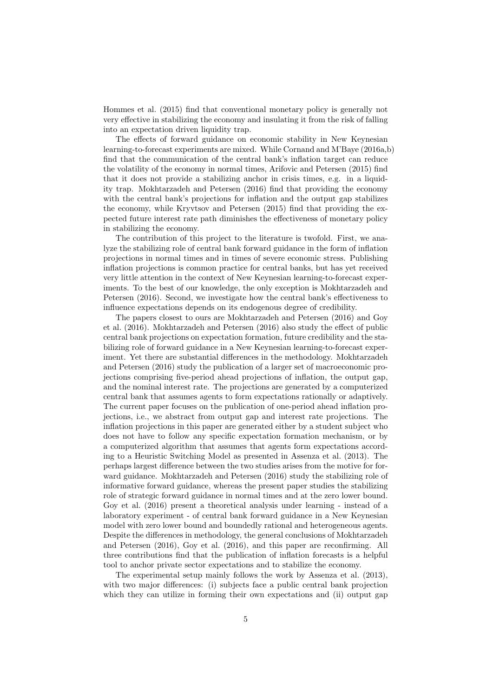Hommes et al. (2015) find that conventional monetary policy is generally not very effective in stabilizing the economy and insulating it from the risk of falling into an expectation driven liquidity trap.

The effects of forward guidance on economic stability in New Keynesian learning-to-forecast experiments are mixed. While Cornand and M'Baye (2016a,b) find that the communication of the central bank's inflation target can reduce the volatility of the economy in normal times, Arifovic and Petersen (2015) find that it does not provide a stabilizing anchor in crisis times, e.g. in a liquidity trap. Mokhtarzadeh and Petersen (2016) find that providing the economy with the central bank's projections for inflation and the output gap stabilizes the economy, while Kryvtsov and Petersen (2015) find that providing the expected future interest rate path diminishes the effectiveness of monetary policy in stabilizing the economy.

The contribution of this project to the literature is twofold. First, we analyze the stabilizing role of central bank forward guidance in the form of inflation projections in normal times and in times of severe economic stress. Publishing inflation projections is common practice for central banks, but has yet received very little attention in the context of New Keynesian learning-to-forecast experiments. To the best of our knowledge, the only exception is Mokhtarzadeh and Petersen (2016). Second, we investigate how the central bank's effectiveness to influence expectations depends on its endogenous degree of credibility.

The papers closest to ours are Mokhtarzadeh and Petersen (2016) and Goy et al. (2016). Mokhtarzadeh and Petersen (2016) also study the effect of public central bank projections on expectation formation, future credibility and the stabilizing role of forward guidance in a New Keynesian learning-to-forecast experiment. Yet there are substantial differences in the methodology. Mokhtarzadeh and Petersen (2016) study the publication of a larger set of macroeconomic projections comprising five-period ahead projections of inflation, the output gap, and the nominal interest rate. The projections are generated by a computerized central bank that assumes agents to form expectations rationally or adaptively. The current paper focuses on the publication of one-period ahead inflation projections, i.e., we abstract from output gap and interest rate projections. The inflation projections in this paper are generated either by a student subject who does not have to follow any specific expectation formation mechanism, or by a computerized algorithm that assumes that agents form expectations according to a Heuristic Switching Model as presented in Assenza et al. (2013). The perhaps largest difference between the two studies arises from the motive for forward guidance. Mokhtarzadeh and Petersen (2016) study the stabilizing role of informative forward guidance, whereas the present paper studies the stabilizing role of strategic forward guidance in normal times and at the zero lower bound. Goy et al. (2016) present a theoretical analysis under learning - instead of a laboratory experiment - of central bank forward guidance in a New Keynesian model with zero lower bound and boundedly rational and heterogeneous agents. Despite the differences in methodology, the general conclusions of Mokhtarzadeh and Petersen (2016), Goy et al. (2016), and this paper are reconfirming. All three contributions find that the publication of inflation forecasts is a helpful tool to anchor private sector expectations and to stabilize the economy.

The experimental setup mainly follows the work by Assenza et al. (2013), with two major differences: (i) subjects face a public central bank projection which they can utilize in forming their own expectations and (ii) output gap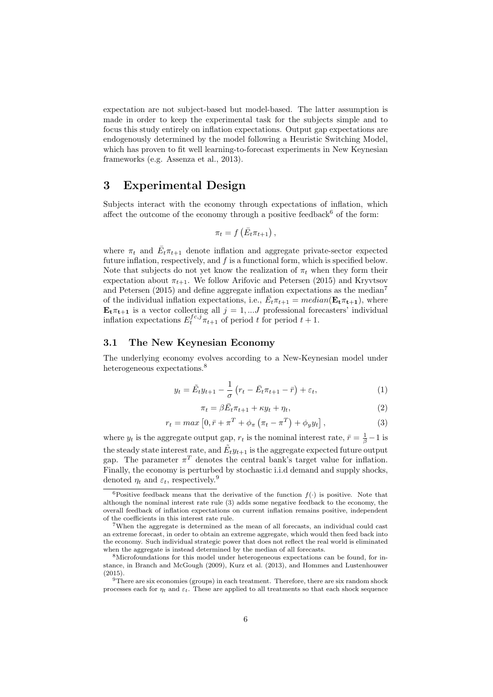expectation are not subject-based but model-based. The latter assumption is made in order to keep the experimental task for the subjects simple and to focus this study entirely on inflation expectations. Output gap expectations are endogenously determined by the model following a Heuristic Switching Model, which has proven to fit well learning-to-forecast experiments in New Keynesian frameworks (e.g. Assenza et al., 2013).

### 3 Experimental Design

Subjects interact with the economy through expectations of inflation, which affect the outcome of the economy through a positive feedback<sup>6</sup> of the form:

$$
\pi_t = f\left(\bar{E}_t \pi_{t+1}\right),\,
$$

where  $\pi_t$  and  $\bar{E}_t \pi_{t+1}$  denote inflation and aggregate private-sector expected future inflation, respectively, and  $f$  is a functional form, which is specified below. Note that subjects do not yet know the realization of  $\pi_t$  when they form their expectation about  $\pi_{t+1}$ . We follow Arifovic and Petersen (2015) and Kryvtsov and Petersen (2015) and define aggregate inflation expectations as the median<sup>7</sup> of the individual inflation expectations, i.e.,  $\bar{E}_t \pi_{t+1} = median(\mathbf{E_t} \pi_{t+1})$ , where  $\mathbf{E}_{\mathbf{t}}\pi_{\mathbf{t}+1}$  is a vector collecting all  $j = 1, ...J$  professional forecasters' individual inflation expectations  $E_t^{fc,j} \pi_{t+1}$  of period t for period  $t+1$ .

### 3.1 The New Keynesian Economy

The underlying economy evolves according to a New-Keynesian model under heterogeneous expectations.<sup>8</sup>

$$
y_t = \tilde{E}_t y_{t+1} - \frac{1}{\sigma} \left( r_t - \bar{E}_t \pi_{t+1} - \bar{r} \right) + \varepsilon_t,
$$
\n(1)

$$
\pi_t = \beta \bar{E}_t \pi_{t+1} + \kappa y_t + \eta_t,\tag{2}
$$

$$
r_t = \max\left[0, \bar{r} + \pi^T + \phi_\pi \left(\pi_t - \pi^T\right) + \phi_y y_t\right],\tag{3}
$$

where  $y_t$  is the aggregate output gap,  $r_t$  is the nominal interest rate,  $\bar{r} = \frac{1}{\beta} - 1$  is the steady state interest rate, and  $\tilde{E}_t y_{t+1}$  is the aggregate expected future output gap. The parameter  $\pi^T$  denotes the central bank's target value for inflation. Finally, the economy is perturbed by stochastic i.i.d demand and supply shocks, denoted  $\eta_t$  and  $\varepsilon_t$ , respectively.<sup>9</sup>

<sup>&</sup>lt;sup>6</sup>Positive feedback means that the derivative of the function  $f(\cdot)$  is positive. Note that although the nominal interest rate rule (3) adds some negative feedback to the economy, the overall feedback of inflation expectations on current inflation remains positive, independent of the coefficients in this interest rate rule.

<sup>7</sup>When the aggregate is determined as the mean of all forecasts, an individual could cast an extreme forecast, in order to obtain an extreme aggregate, which would then feed back into the economy. Such individual strategic power that does not reflect the real world is eliminated when the aggregate is instead determined by the median of all forecasts.

<sup>8</sup>Microfoundations for this model under heterogeneous expectations can be found, for instance, in Branch and McGough (2009), Kurz et al. (2013), and Hommes and Lustenhouwer (2015).

<sup>9</sup>There are six economies (groups) in each treatment. Therefore, there are six random shock processes each for  $\eta_t$  and  $\varepsilon_t$ . These are applied to all treatments so that each shock sequence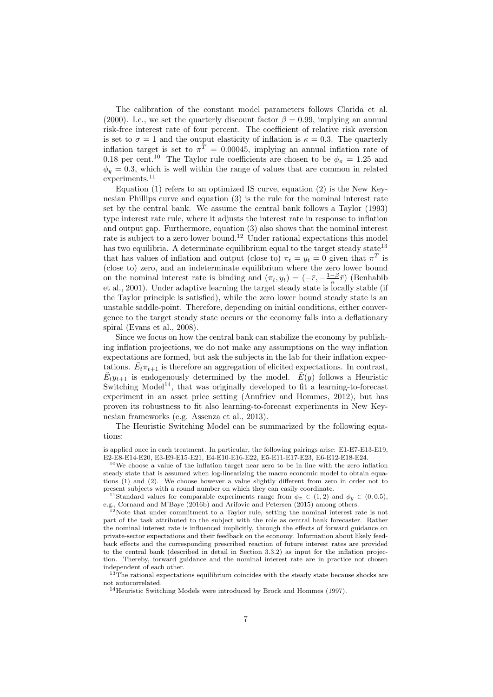The calibration of the constant model parameters follows Clarida et al. (2000). I.e., we set the quarterly discount factor  $\beta = 0.99$ , implying an annual risk-free interest rate of four percent. The coefficient of relative risk aversion is set to  $\sigma = 1$  and the output elasticity of inflation is  $\kappa = 0.3$ . The quarterly inflation target is set to  $\pi^T = 0.00045$ , implying an annual inflation rate of 0.18 per cent.<sup>10</sup> The Taylor rule coefficients are chosen to be  $\phi_{\pi} = 1.25$  and  $\phi_y = 0.3$ , which is well within the range of values that are common in related experiments.<sup>11</sup>

Equation (1) refers to an optimized IS curve, equation (2) is the New Keynesian Phillips curve and equation (3) is the rule for the nominal interest rate set by the central bank. We assume the central bank follows a Taylor (1993) type interest rate rule, where it adjusts the interest rate in response to inflation and output gap. Furthermore, equation (3) also shows that the nominal interest rate is subject to a zero lower bound.<sup>12</sup> Under rational expectations this model has two equilibria. A determinate equilibrium equal to the target steady state<sup>13</sup> that has values of inflation and output (close to)  $\pi_t = y_t = 0$  given that  $\pi^T$  is (close to) zero, and an indeterminate equilibrium where the zero lower bound on the nominal interest rate is binding and  $(\pi_t, y_t) = (-\bar{r}, -\frac{1-\beta}{\kappa}\bar{r})$  (Benhabib et al., 2001). Under adaptive learning the target steady state is locally stable (if the Taylor principle is satisfied), while the zero lower bound steady state is an unstable saddle-point. Therefore, depending on initial conditions, either convergence to the target steady state occurs or the economy falls into a deflationary spiral (Evans et al., 2008).

Since we focus on how the central bank can stabilize the economy by publishing inflation projections, we do not make any assumptions on the way inflation expectations are formed, but ask the subjects in the lab for their inflation expectations.  $\bar{E}_t \pi_{t+1}$  is therefore an aggregation of elicited expectations. In contrast,  $\tilde{E}_t y_{t+1}$  is endogenously determined by the model.  $\tilde{E}(y)$  follows a Heuristic Switching Model<sup>14</sup>, that was originally developed to fit a learning-to-forecast experiment in an asset price setting (Anufriev and Hommes, 2012), but has proven its robustness to fit also learning-to-forecast experiments in New Keynesian frameworks (e.g. Assenza et al., 2013).

The Heuristic Switching Model can be summarized by the following equations:

is applied once in each treatment. In particular, the following pairings arise: E1-E7-E13-E19, E2-E8-E14-E20, E3-E9-E15-E21, E4-E10-E16-E22, E5-E11-E17-E23, E6-E12-E18-E24.

 $10$ We choose a value of the inflation target near zero to be in line with the zero inflation steady state that is assumed when log-linearizing the macro economic model to obtain equations (1) and (2). We choose however a value slightly different from zero in order not to present subjects with a round number on which they can easily coordinate.

<sup>&</sup>lt;sup>11</sup>Standard values for comparable experiments range from  $\phi_{\pi} \in (1,2)$  and  $\phi_y \in (0,0.5)$ , e.g., Cornand and M'Baye (2016b) and Arifovic and Petersen (2015) among others.

 $12$ Note that under commitment to a Taylor rule, setting the nominal interest rate is not part of the task attributed to the subject with the role as central bank forecaster. Rather the nominal interest rate is influenced implicitly, through the effects of forward guidance on private-sector expectations and their feedback on the economy. Information about likely feedback effects and the corresponding prescribed reaction of future interest rates are provided to the central bank (described in detail in Section 3.3.2) as input for the inflation projection. Thereby, forward guidance and the nominal interest rate are in practice not chosen independent of each other.

<sup>&</sup>lt;sup>13</sup>The rational expectations equilibrium coincides with the steady state because shocks are not autocorrelated.

<sup>14</sup>Heuristic Switching Models were introduced by Brock and Hommes (1997).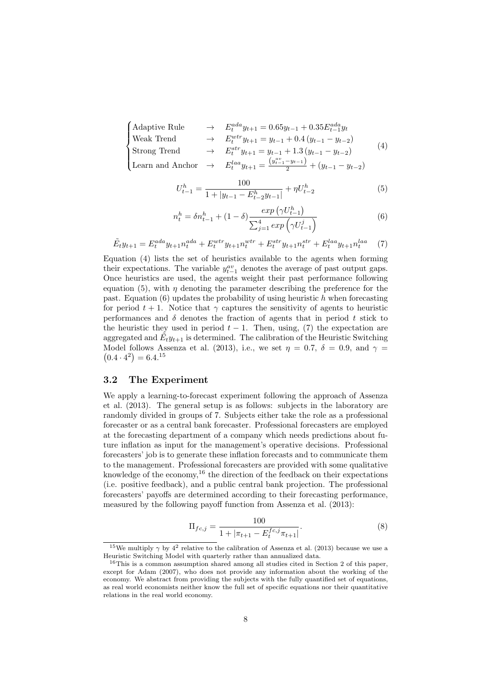$$
\begin{cases}\n\text{Adaptive Rule} & \to & E_t^{ada} y_{t+1} = 0.65 y_{t-1} + 0.35 E_{t-1}^{ada} y_t \\
\text{Weak Trend} & \to & E_t^{wtr} y_{t+1} = y_{t-1} + 0.4 \left( y_{t-1} - y_{t-2} \right) \\
\text{Strong Trend} & \to & E_t^{str} y_{t+1} = y_{t-1} + 1.3 \left( y_{t-1} - y_{t-2} \right) \\
\text{Learn and Anchor} & \to & E_t^{la} y_{t+1} = \frac{\left( y_{t-1}^{a} - y_{t-1} \right)}{2} + \left( y_{t-1} - y_{t-2} \right)\n\end{cases}\n\tag{4}
$$

$$
U_{t-1}^h = \frac{100}{1 + |y_{t-1} - E_{t-2}^h y_{t-1}|} + \eta U_{t-2}^h \tag{5}
$$

$$
n_t^h = \delta n_{t-1}^h + (1 - \delta) \frac{\exp(\gamma U_{t-1}^h)}{\sum_{j=1}^4 \exp(\gamma U_{t-1}^j)}
$$
(6)

$$
\tilde{E}_t y_{t+1} = E_t^{ada} y_{t+1} n_t^{ada} + E_t^{wtr} y_{t+1} n_t^{wtr} + E_t^{str} y_{t+1} n_t^{str} + E_t^{la} y_{t+1} n_t^{la} \tag{7}
$$

Equation (4) lists the set of heuristics available to the agents when forming their expectations. The variable  $y_{t-1}^{av}$  denotes the average of past output gaps. Once heuristics are used, the agents weight their past performance following equation (5), with  $\eta$  denoting the parameter describing the preference for the past. Equation  $(6)$  updates the probability of using heuristic h when forecasting for period  $t + 1$ . Notice that  $\gamma$  captures the sensitivity of agents to heuristic performances and  $\delta$  denotes the fraction of agents that in period t stick to the heuristic they used in period  $t - 1$ . Then, using, (7) the expectation are aggregated and  $\tilde{E}_{t} y_{t+1}$  is determined. The calibration of the Heuristic Switching Model follows Assenza et al. (2013), i.e., we set  $\eta = 0.7$ ,  $\delta = 0.9$ , and  $\gamma =$  $(0.4 \cdot 4^2) = 6.4$ <sup>15</sup>

### 3.2 The Experiment

We apply a learning-to-forecast experiment following the approach of Assenza et al. (2013). The general setup is as follows: subjects in the laboratory are randomly divided in groups of 7. Subjects either take the role as a professional forecaster or as a central bank forecaster. Professional forecasters are employed at the forecasting department of a company which needs predictions about future inflation as input for the management's operative decisions. Professional forecasters' job is to generate these inflation forecasts and to communicate them to the management. Professional forecasters are provided with some qualitative knowledge of the economy,<sup>16</sup> the direction of the feedback on their expectations (i.e. positive feedback), and a public central bank projection. The professional forecasters' payoffs are determined according to their forecasting performance, measured by the following payoff function from Assenza et al. (2013):

$$
\Pi_{fc,j} = \frac{100}{1 + |\pi_{t+1} - E_t^{fc,j}\pi_{t+1}|}.
$$
\n(8)

<sup>&</sup>lt;sup>15</sup>We multiply  $\gamma$  by  $4^2$  relative to the calibration of Assenza et al. (2013) because we use a Heuristic Switching Model with quarterly rather than annualized data.

 $16$ This is a common assumption shared among all studies cited in Section 2 of this paper, except for Adam (2007), who does not provide any information about the working of the economy. We abstract from providing the subjects with the fully quantified set of equations, as real world economists neither know the full set of specific equations nor their quantitative relations in the real world economy.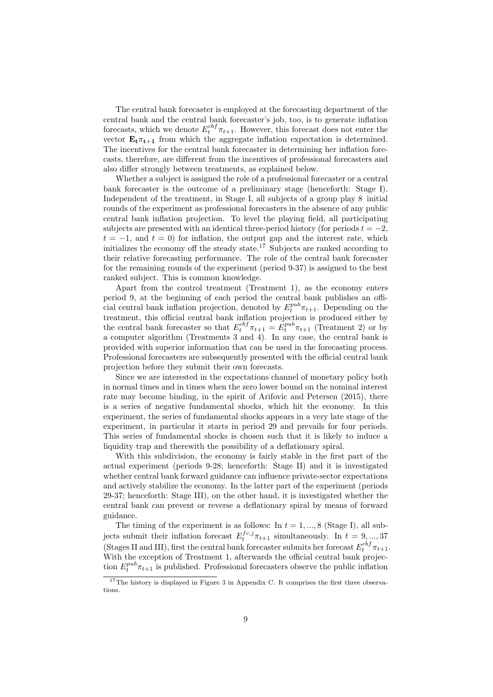The central bank forecaster is employed at the forecasting department of the central bank and the central bank forecaster's job, too, is to generate inflation forecasts, which we denote  $E_t^{cbf}\pi_{t+1}$ . However, this forecast does not enter the vector  $\mathbf{E}_{\mathbf{t}} \pi_{\mathbf{t}+1}$  from which the aggregate inflation expectation is determined. The incentives for the central bank forecaster in determining her inflation forecasts, therefore, are different from the incentives of professional forecasters and also differ strongly between treatments, as explained below.

Whether a subject is assigned the role of a professional forecaster or a central bank forecaster is the outcome of a preliminary stage (henceforth: Stage I). Independent of the treatment, in Stage I, all subjects of a group play 8 initial rounds of the experiment as professional forecasters in the absence of any public central bank inflation projection. To level the playing field, all participating subjects are presented with an identical three-period history (for periods  $t = -2$ ,  $t = -1$ , and  $t = 0$ ) for inflation, the output gap and the interest rate, which initializes the economy off the steady state.<sup>17</sup> Subjects are ranked according to their relative forecasting performance. The role of the central bank forecaster for the remaining rounds of the experiment (period 9-37) is assigned to the best ranked subject. This is common knowledge.

Apart from the control treatment (Treatment 1), as the economy enters period 9, at the beginning of each period the central bank publishes an official central bank inflation projection, denoted by  $E_t^{pub}\pi_{t+1}$ . Depending on the treatment, this official central bank inflation projection is produced either by the central bank forecaster so that  $E_t^{cbf}\pi_{t+1} = E_t^{pub}\pi_{t+1}$  (Treatment 2) or by a computer algorithm (Treatments 3 and 4). In any case, the central bank is provided with superior information that can be used in the forecasting process. Professional forecasters are subsequently presented with the official central bank projection before they submit their own forecasts.

Since we are interested in the expectations channel of monetary policy both in normal times and in times when the zero lower bound on the nominal interest rate may become binding, in the spirit of Arifovic and Petersen (2015), there is a series of negative fundamental shocks, which hit the economy. In this experiment, the series of fundamental shocks appears in a very late stage of the experiment, in particular it starts in period 29 and prevails for four periods. This series of fundamental shocks is chosen such that it is likely to induce a liquidity trap and therewith the possibility of a deflationary spiral.

With this subdivision, the economy is fairly stable in the first part of the actual experiment (periods 9-28; henceforth: Stage II) and it is investigated whether central bank forward guidance can influence private-sector expectations and actively stabilize the economy. In the latter part of the experiment (periods 29-37; henceforth: Stage III), on the other hand, it is investigated whether the central bank can prevent or reverse a deflationary spiral by means of forward guidance.

The timing of the experiment is as follows: In  $t = 1, ..., 8$  (Stage I), all subjects submit their inflation forecast  $E_t^{fc,j} \pi_{t+1}$  simultaneously. In  $t = 9, ..., 37$ (Stages II and III), first the central bank forecaster submits her forecast  $E_t^{cbf} \pi_{t+1}$ . With the exception of Treatment 1, afterwards the official central bank projection  $E_t^{pub} \pi_{t+1}$  is published. Professional forecasters observe the public inflation

<sup>&</sup>lt;sup>17</sup>The history is displayed in Figure 3 in Appendix C. It comprises the first three observations.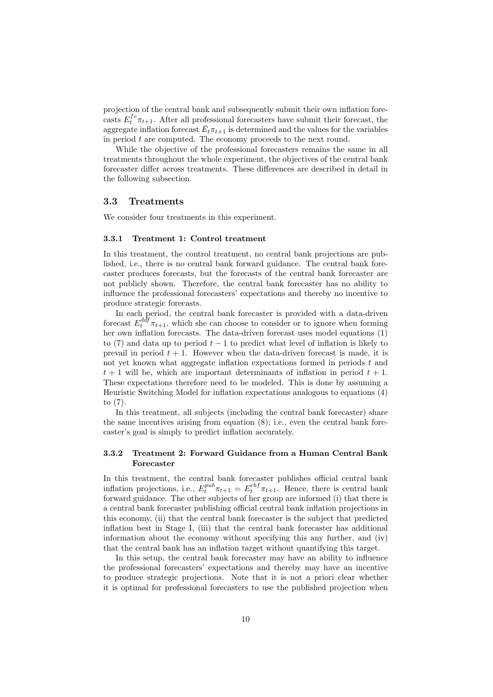projection of the central bank and subsequently submit their own inflation forecasts  $E_t^{fc} \pi_{t+1}$ . After all professional forecasters have submit their forecast, the aggregate inflation forecast  $\bar{E}_t \pi_{t+1}$  is determined and the values for the variables in period  $t$  are computed. The economy proceeds to the next round.

While the objective of the professional forecasters remains the same in all treatments throughout the whole experiment, the objectives of the central bank forecaster differ across treatments. These differences are described in detail in the following subsection.

#### 3.3 Treatments

We consider four treatments in this experiment.

#### 3.3.1 Treatment 1: Control treatment

In this treatment, the control treatment, no central bank projections are published, i.e., there is no central bank forward guidance. The central bank forecaster produces forecasts, but the forecasts of the central bank forecaster are not publicly shown. Therefore, the central bank forecaster has no ability to influence the professional forecasters' expectations and thereby no incentive to produce strategic forecasts.

In each period, the central bank forecaster is provided with a data-driven forecast  $E_t^{ddf} \pi_{t+1}$ , which she can choose to consider or to ignore when forming her own inflation forecasts. The data-driven forecast uses model equations (1) to (7) and data up to period  $t-1$  to predict what level of inflation is likely to prevail in period  $t + 1$ . However when the data-driven forecast is made, it is not yet known what aggregate inflation expectations formed in periods  $t$  and  $t + 1$  will be, which are important determinants of inflation in period  $t + 1$ . These expectations therefore need to be modeled. This is done by assuming a Heuristic Switching Model for inflation expectations analogous to equations (4) to (7).

In this treatment, all subjects (including the central bank forecaster) share the same incentives arising from equation (8); i.e., even the central bank forecaster's goal is simply to predict inflation accurately.

### 3.3.2 Treatment 2: Forward Guidance from a Human Central Bank Forecaster

In this treatment, the central bank forecaster publishes official central bank inflation projections, i.e.,  $E_t^{pub}\pi_{t+1} = E_t^{cbf}\pi_{t+1}$ . Hence, there is central bank forward guidance. The other subjects of her group are informed (i) that there is a central bank forecaster publishing official central bank inflation projections in this economy, (ii) that the central bank forecaster is the subject that predicted inflation best in Stage I, (iii) that the central bank forecaster has additional information about the economy without specifying this any further, and (iv) that the central bank has an inflation target without quantifying this target.

In this setup, the central bank forecaster may have an ability to influence the professional forecasters' expectations and thereby may have an incentive to produce strategic projections. Note that it is not a priori clear whether it is optimal for professional forecasters to use the published projection when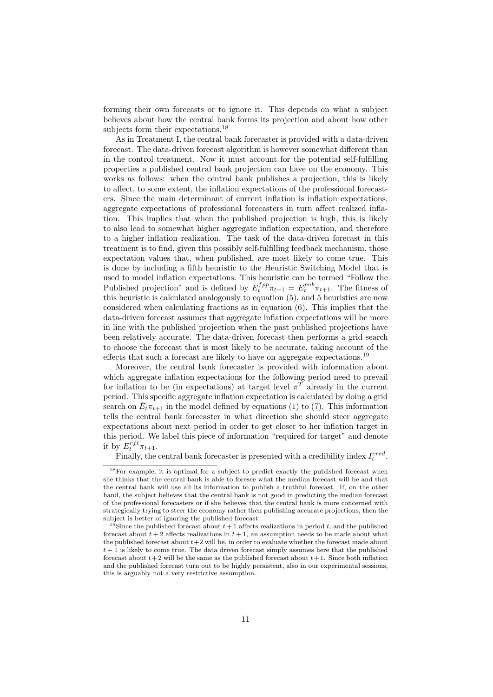forming their own forecasts or to ignore it. This depends on what a subject believes about how the central bank forms its projection and about how other subjects form their expectations.<sup>18</sup>

As in Treatment I, the central bank forecaster is provided with a data-driven forecast. The data-driven forecast algorithm is however somewhat different than in the control treatment. Now it must account for the potential self-fulfilling properties a published central bank projection can have on the economy. This works as follows: when the central bank publishes a projection, this is likely to affect, to some extent, the inflation expectations of the professional forecasters. Since the main determinant of current inflation is inflation expectations, aggregate expectations of professional forecasters in turn affect realized inflation. This implies that when the published projection is high, this is likely to also lead to somewhat higher aggregate inflation expectation, and therefore to a higher inflation realization. The task of the data-driven forecast in this treatment is to find, given this possibly self-fulfilling feedback mechanism, those expectation values that, when published, are most likely to come true. This is done by including a fifth heuristic to the Heuristic Switching Model that is used to model inflation expectations. This heuristic can be termed "Follow the Published projection" and is defined by  $E_t^{fpp}\pi_{t+1} = E_t^{pub}\pi_{t+1}$ . The fitness of this heuristic is calculated analogously to equation (5), and 5 heuristics are now considered when calculating fractions as in equation (6). This implies that the data-driven forecast assumes that aggregate inflation expectations will be more in line with the published projection when the past published projections have been relatively accurate. The data-driven forecast then performs a grid search to choose the forecast that is most likely to be accurate, taking account of the effects that such a forecast are likely to have on aggregate expectations.<sup>19</sup>

Moreover, the central bank forecaster is provided with information about which aggregate inflation expectations for the following period need to prevail for inflation to be (in expectations) at target level  $\pi^T$  already in the current period. This specific aggregate inflation expectation is calculated by doing a grid search on  $\bar{E}_t \pi_{t+1}$  in the model defined by equations (1) to (7). This information tells the central bank forecaster in what direction she should steer aggregate expectations about next period in order to get closer to her inflation target in this period. We label this piece of information "required for target" and denote it by  $E_t^{rft}\pi_{t+1}$ .

Finally, the central bank forecaster is presented with a credibility index  $I_t^{cred}$ ,

<sup>18</sup>For example, it is optimal for a subject to predict exactly the published forecast when she thinks that the central bank is able to foresee what the median forecast will be and that the central bank will use all its information to publish a truthful forecast. If, on the other hand, the subject believes that the central bank is not good in predicting the median forecast of the professional forecasters or if she believes that the central bank is more concerned with strategically trying to steer the economy rather then publishing accurate projections, then the subject is better of ignoring the published forecast.

<sup>&</sup>lt;sup>19</sup>Since the published forecast about  $t+1$  affects realizations in period t, and the published forecast about  $t + 2$  affects realizations in  $t + 1$ , an assumption needs to be made about what the published forecast about  $t+2$  will be, in order to evaluate whether the forecast made about  $t + 1$  is likely to come true. The data driven forecast simply assumes here that the published forecast about  $t + 2$  will be the same as the published forecast about  $t + 1$ . Since both inflation and the published forecast turn out to be highly persistent, also in our experimental sessions, this is arguably not a very restrictive assumption.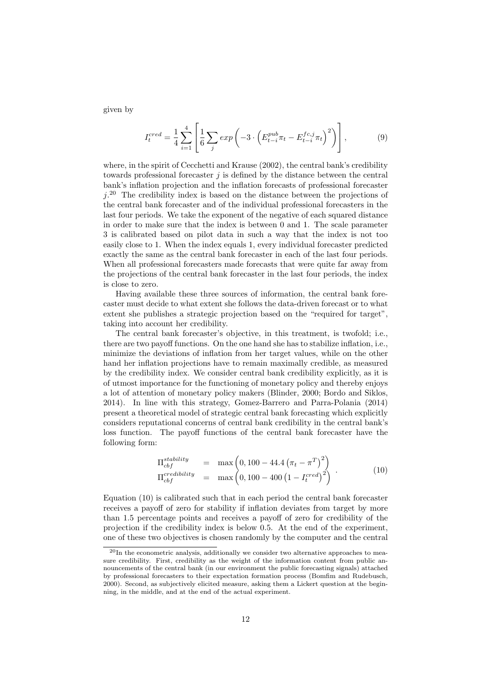given by

$$
I_t^{cred} = \frac{1}{4} \sum_{i=1}^{4} \left[ \frac{1}{6} \sum_j exp\left(-3 \cdot \left(E_{t-i}^{pub} \pi_t - E_{t-i}^{fc,j} \pi_t\right)^2\right) \right],
$$
 (9)

where, in the spirit of Cecchetti and Krause (2002), the central bank's credibility towards professional forecaster  $j$  is defined by the distance between the central bank's inflation projection and the inflation forecasts of professional forecaster  $j$ <sup>20</sup> The credibility index is based on the distance between the projections of the central bank forecaster and of the individual professional forecasters in the last four periods. We take the exponent of the negative of each squared distance in order to make sure that the index is between 0 and 1. The scale parameter 3 is calibrated based on pilot data in such a way that the index is not too easily close to 1. When the index equals 1, every individual forecaster predicted exactly the same as the central bank forecaster in each of the last four periods. When all professional forecasters made forecasts that were quite far away from the projections of the central bank forecaster in the last four periods, the index is close to zero.

Having available these three sources of information, the central bank forecaster must decide to what extent she follows the data-driven forecast or to what extent she publishes a strategic projection based on the "required for target", taking into account her credibility.

The central bank forecaster's objective, in this treatment, is twofold; i.e., there are two payoff functions. On the one hand she has to stabilize inflation, i.e., minimize the deviations of inflation from her target values, while on the other hand her inflation projections have to remain maximally credible, as measured by the credibility index. We consider central bank credibility explicitly, as it is of utmost importance for the functioning of monetary policy and thereby enjoys a lot of attention of monetary policy makers (Blinder, 2000; Bordo and Siklos, 2014). In line with this strategy, Gomez-Barrero and Parra-Polania (2014) present a theoretical model of strategic central bank forecasting which explicitly considers reputational concerns of central bank credibility in the central bank's loss function. The payoff functions of the central bank forecaster have the following form:

$$
\Pi_{cbf}^{stability} = \max\left(0, 100 - 44.4\left(\pi_t - \pi^T\right)^2\right)
$$
\n
$$
\Pi_{cbf}^{credibility} = \max\left(0, 100 - 400\left(1 - I_t^{cred}\right)^2\right) \tag{10}
$$

Equation (10) is calibrated such that in each period the central bank forecaster receives a payoff of zero for stability if inflation deviates from target by more than 1.5 percentage points and receives a payoff of zero for credibility of the projection if the credibility index is below 0.5. At the end of the experiment, one of these two objectives is chosen randomly by the computer and the central

 $20$ In the econometric analysis, additionally we consider two alternative approaches to measure credibility. First, credibility as the weight of the information content from public announcements of the central bank (in our environment the public forecasting signals) attached by professional forecasters to their expectation formation process (Bomfim and Rudebusch, 2000). Second, as subjectively elicited measure, asking them a Lickert question at the beginning, in the middle, and at the end of the actual experiment.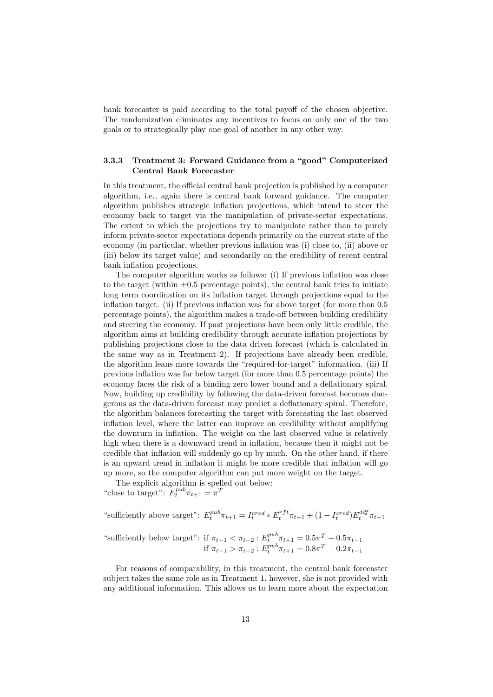bank forecaster is paid according to the total payoff of the chosen objective. The randomization eliminates any incentives to focus on only one of the two goals or to strategically play one goal of another in any other way.

### 3.3.3 Treatment 3: Forward Guidance from a "good" Computerized Central Bank Forecaster

In this treatment, the official central bank projection is published by a computer algorithm, i.e., again there is central bank forward guidance. The computer algorithm publishes strategic inflation projections, which intend to steer the economy back to target via the manipulation of private-sector expectations. The extent to which the projections try to manipulate rather than to purely inform private-sector expectations depends primarily on the current state of the economy (in particular, whether previous inflation was (i) close to, (ii) above or (iii) below its target value) and secondarily on the credibility of recent central bank inflation projections.

The computer algorithm works as follows: (i) If previous inflation was close to the target (within  $\pm 0.5$  percentage points), the central bank tries to initiate long term coordination on its inflation target through projections equal to the inflation target. (ii) If previous inflation was far above target (for more than 0.5 percentage points), the algorithm makes a trade-off between building credibility and steering the economy. If past projections have been only little credible, the algorithm aims at building credibility through accurate inflation projections by publishing projections close to the data driven forecast (which is calculated in the same way as in Treatment 2). If projections have already been credible, the algorithm leans more towards the "required-for-target" information. (iii) If previous inflation was far below target (for more than 0.5 percentage points) the economy faces the risk of a binding zero lower bound and a deflationary spiral. Now, building up credibility by following the data-driven forecast becomes dangerous as the data-driven forecast may predict a deflationary spiral. Therefore, the algorithm balances forecasting the target with forecasting the last observed inflation level, where the latter can improve on credibility without amplifying the downturn in inflation. The weight on the last observed value is relatively high when there is a downward trend in inflation, because then it might not be credible that inflation will suddenly go up by much. On the other hand, if there is an upward trend in inflation it might be more credible that inflation will go up more, so the computer algorithm can put more weight on the target.

The explicit algorithm is spelled out below: "close to target":  $E_t^{pub} \pi_{t+1} = \pi^T$ 

"sufficiently above target":  $E_t^{pub}\pi_{t+1} = I_t^{cred} * E_t^{rft}\pi_{t+1} + (1 - I_t^{cred})E_t^{ddf}\pi_{t+1}$ 

"sufficiently below target": if  $\pi_{t-1} < \pi_{t-2} : E_t^{pub} \pi_{t+1} = 0.5 \pi^T + 0.5 \pi_{t-1}$ if  $\pi_{t-1} > \pi_{t-2} : E_t^{pub} \pi_{t+1} = 0.8\pi^T + 0.2\pi_{t-1}$ 

For reasons of comparability, in this treatment, the central bank forecaster subject takes the same role as in Treatment 1, however, she is not provided with any additional information. This allows us to learn more about the expectation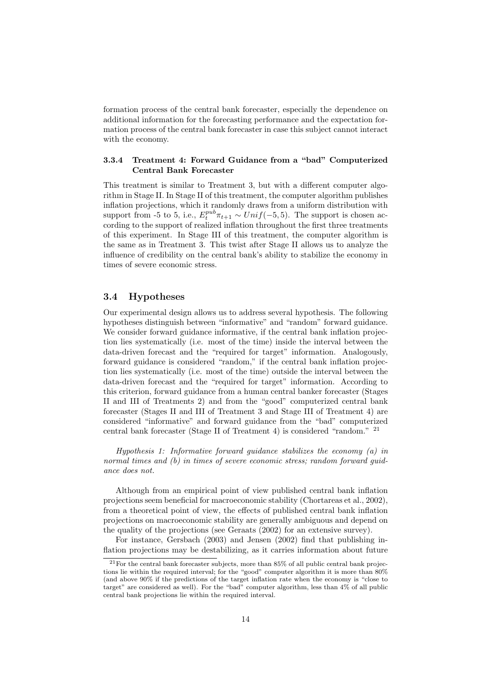formation process of the central bank forecaster, especially the dependence on additional information for the forecasting performance and the expectation formation process of the central bank forecaster in case this subject cannot interact with the economy.

### 3.3.4 Treatment 4: Forward Guidance from a "bad" Computerized Central Bank Forecaster

This treatment is similar to Treatment 3, but with a different computer algorithm in Stage II. In Stage II of this treatment, the computer algorithm publishes inflation projections, which it randomly draws from a uniform distribution with support from -5 to 5, i.e.,  $E_t^{pub} \pi_{t+1} \sim Unif(-5, 5)$ . The support is chosen according to the support of realized inflation throughout the first three treatments of this experiment. In Stage III of this treatment, the computer algorithm is the same as in Treatment 3. This twist after Stage II allows us to analyze the influence of credibility on the central bank's ability to stabilize the economy in times of severe economic stress.

### 3.4 Hypotheses

Our experimental design allows us to address several hypothesis. The following hypotheses distinguish between "informative" and "random" forward guidance. We consider forward guidance informative, if the central bank inflation projection lies systematically (i.e. most of the time) inside the interval between the data-driven forecast and the "required for target" information. Analogously, forward guidance is considered "random," if the central bank inflation projection lies systematically (i.e. most of the time) outside the interval between the data-driven forecast and the "required for target" information. According to this criterion, forward guidance from a human central banker forecaster (Stages II and III of Treatments 2) and from the "good" computerized central bank forecaster (Stages II and III of Treatment 3 and Stage III of Treatment 4) are considered "informative" and forward guidance from the "bad" computerized central bank forecaster (Stage II of Treatment 4) is considered "random." <sup>21</sup>

Hypothesis 1: Informative forward guidance stabilizes the economy (a) in normal times and (b) in times of severe economic stress; random forward guidance does not.

Although from an empirical point of view published central bank inflation projections seem beneficial for macroeconomic stability (Chortareas et al., 2002), from a theoretical point of view, the effects of published central bank inflation projections on macroeconomic stability are generally ambiguous and depend on the quality of the projections (see Geraats (2002) for an extensive survey).

For instance, Gersbach (2003) and Jensen (2002) find that publishing inflation projections may be destabilizing, as it carries information about future

 $21$  For the central bank forecaster subjects, more than 85% of all public central bank projections lie within the required interval; for the "good" computer algorithm it is more than 80% (and above 90% if the predictions of the target inflation rate when the economy is "close to target" are considered as well). For the "bad" computer algorithm, less than 4% of all public central bank projections lie within the required interval.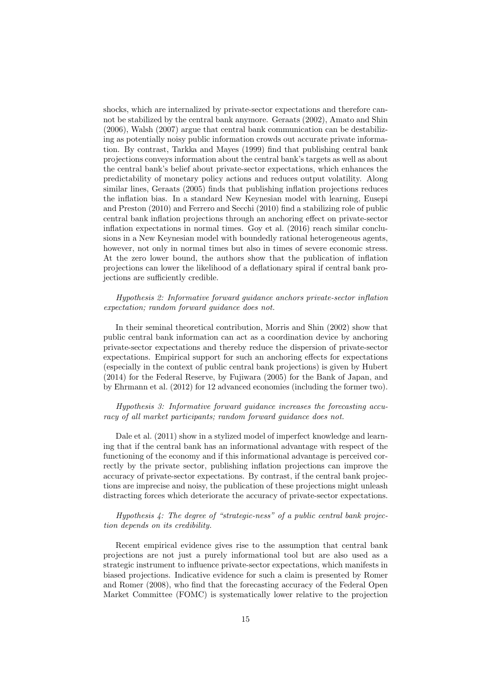shocks, which are internalized by private-sector expectations and therefore cannot be stabilized by the central bank anymore. Geraats (2002), Amato and Shin (2006), Walsh (2007) argue that central bank communication can be destabilizing as potentially noisy public information crowds out accurate private information. By contrast, Tarkka and Mayes (1999) find that publishing central bank projections conveys information about the central bank's targets as well as about the central bank's belief about private-sector expectations, which enhances the predictability of monetary policy actions and reduces output volatility. Along similar lines, Geraats (2005) finds that publishing inflation projections reduces the inflation bias. In a standard New Keynesian model with learning, Eusepi and Preston (2010) and Ferrero and Secchi (2010) find a stabilizing role of public central bank inflation projections through an anchoring effect on private-sector inflation expectations in normal times. Goy et al. (2016) reach similar conclusions in a New Keynesian model with boundedly rational heterogeneous agents, however, not only in normal times but also in times of severe economic stress. At the zero lower bound, the authors show that the publication of inflation projections can lower the likelihood of a deflationary spiral if central bank projections are sufficiently credible.

### Hypothesis 2: Informative forward guidance anchors private-sector inflation expectation; random forward guidance does not.

In their seminal theoretical contribution, Morris and Shin (2002) show that public central bank information can act as a coordination device by anchoring private-sector expectations and thereby reduce the dispersion of private-sector expectations. Empirical support for such an anchoring effects for expectations (especially in the context of public central bank projections) is given by Hubert (2014) for the Federal Reserve, by Fujiwara (2005) for the Bank of Japan, and by Ehrmann et al. (2012) for 12 advanced economies (including the former two).

#### Hypothesis 3: Informative forward guidance increases the forecasting accuracy of all market participants; random forward guidance does not.

Dale et al. (2011) show in a stylized model of imperfect knowledge and learning that if the central bank has an informational advantage with respect of the functioning of the economy and if this informational advantage is perceived correctly by the private sector, publishing inflation projections can improve the accuracy of private-sector expectations. By contrast, if the central bank projections are imprecise and noisy, the publication of these projections might unleash distracting forces which deteriorate the accuracy of private-sector expectations.

### Hypothesis 4: The degree of "strategic-ness" of a public central bank projection depends on its credibility.

Recent empirical evidence gives rise to the assumption that central bank projections are not just a purely informational tool but are also used as a strategic instrument to influence private-sector expectations, which manifests in biased projections. Indicative evidence for such a claim is presented by Romer and Romer (2008), who find that the forecasting accuracy of the Federal Open Market Committee (FOMC) is systematically lower relative to the projection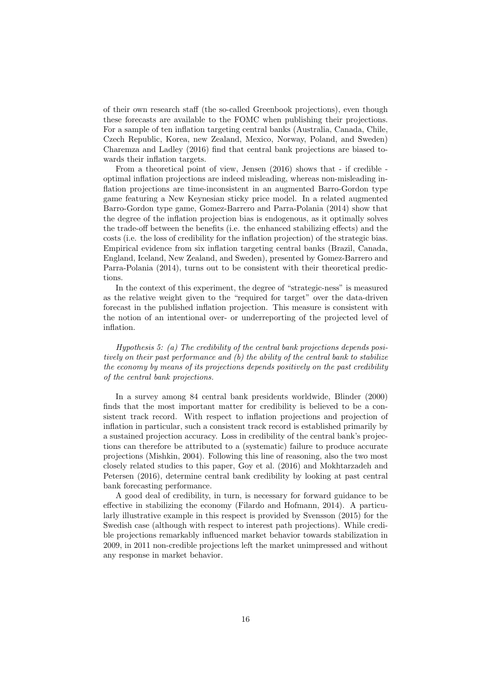of their own research staff (the so-called Greenbook projections), even though these forecasts are available to the FOMC when publishing their projections. For a sample of ten inflation targeting central banks (Australia, Canada, Chile, Czech Republic, Korea, new Zealand, Mexico, Norway, Poland, and Sweden) Charemza and Ladley (2016) find that central bank projections are biased towards their inflation targets.

From a theoretical point of view, Jensen (2016) shows that - if credible optimal inflation projections are indeed misleading, whereas non-misleading inflation projections are time-inconsistent in an augmented Barro-Gordon type game featuring a New Keynesian sticky price model. In a related augmented Barro-Gordon type game, Gomez-Barrero and Parra-Polania (2014) show that the degree of the inflation projection bias is endogenous, as it optimally solves the trade-off between the benefits (i.e. the enhanced stabilizing effects) and the costs (i.e. the loss of credibility for the inflation projection) of the strategic bias. Empirical evidence from six inflation targeting central banks (Brazil, Canada, England, Iceland, New Zealand, and Sweden), presented by Gomez-Barrero and Parra-Polania (2014), turns out to be consistent with their theoretical predictions.

In the context of this experiment, the degree of "strategic-ness" is measured as the relative weight given to the "required for target" over the data-driven forecast in the published inflation projection. This measure is consistent with the notion of an intentional over- or underreporting of the projected level of inflation.

Hypothesis 5: (a) The credibility of the central bank projections depends positively on their past performance and (b) the ability of the central bank to stabilize the economy by means of its projections depends positively on the past credibility of the central bank projections.

In a survey among 84 central bank presidents worldwide, Blinder (2000) finds that the most important matter for credibility is believed to be a consistent track record. With respect to inflation projections and projection of inflation in particular, such a consistent track record is established primarily by a sustained projection accuracy. Loss in credibility of the central bank's projections can therefore be attributed to a (systematic) failure to produce accurate projections (Mishkin, 2004). Following this line of reasoning, also the two most closely related studies to this paper, Goy et al. (2016) and Mokhtarzadeh and Petersen (2016), determine central bank credibility by looking at past central bank forecasting performance.

A good deal of credibility, in turn, is necessary for forward guidance to be effective in stabilizing the economy (Filardo and Hofmann, 2014). A particularly illustrative example in this respect is provided by Svensson (2015) for the Swedish case (although with respect to interest path projections). While credible projections remarkably influenced market behavior towards stabilization in 2009, in 2011 non-credible projections left the market unimpressed and without any response in market behavior.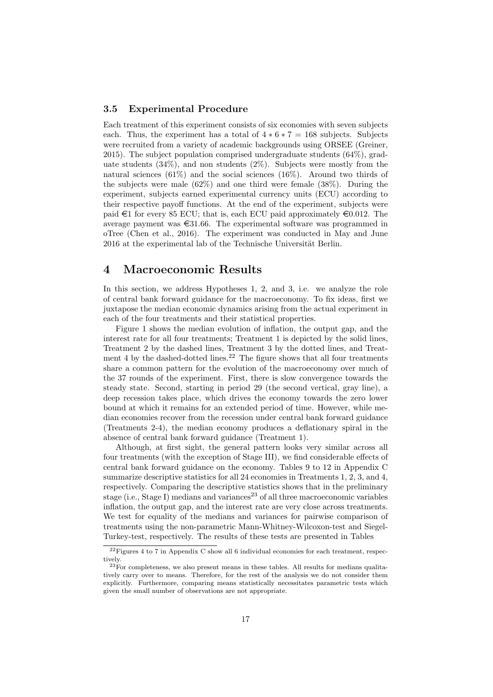### 3.5 Experimental Procedure

Each treatment of this experiment consists of six economies with seven subjects each. Thus, the experiment has a total of  $4 * 6 * 7 = 168$  subjects. Subjects were recruited from a variety of academic backgrounds using ORSEE (Greiner, 2015). The subject population comprised undergraduate students (64%), graduate students  $(34\%)$ , and non students  $(2\%)$ . Subjects were mostly from the natural sciences (61%) and the social sciences (16%). Around two thirds of the subjects were male (62%) and one third were female (38%). During the experiment, subjects earned experimental currency units (ECU) according to their respective payoff functions. At the end of the experiment, subjects were paid  $\epsilon$ 1 for every 85 ECU; that is, each ECU paid approximately  $\epsilon$ 0.012. The average payment was  $\epsilon$ 31.66. The experimental software was programmed in oTree (Chen et al., 2016). The experiment was conducted in May and June 2016 at the experimental lab of the Technische Universität Berlin.

### 4 Macroeconomic Results

In this section, we address Hypotheses 1, 2, and 3, i.e. we analyze the role of central bank forward guidance for the macroeconomy. To fix ideas, first we juxtapose the median economic dynamics arising from the actual experiment in each of the four treatments and their statistical properties.

Figure 1 shows the median evolution of inflation, the output gap, and the interest rate for all four treatments; Treatment 1 is depicted by the solid lines, Treatment 2 by the dashed lines, Treatment 3 by the dotted lines, and Treatment 4 by the dashed-dotted lines.<sup>22</sup> The figure shows that all four treatments share a common pattern for the evolution of the macroeconomy over much of the 37 rounds of the experiment. First, there is slow convergence towards the steady state. Second, starting in period 29 (the second vertical, gray line), a deep recession takes place, which drives the economy towards the zero lower bound at which it remains for an extended period of time. However, while median economies recover from the recession under central bank forward guidance (Treatments 2-4), the median economy produces a deflationary spiral in the absence of central bank forward guidance (Treatment 1).

Although, at first sight, the general pattern looks very similar across all four treatments (with the exception of Stage III), we find considerable effects of central bank forward guidance on the economy. Tables 9 to 12 in Appendix C summarize descriptive statistics for all 24 economies in Treatments 1, 2, 3, and 4, respectively. Comparing the descriptive statistics shows that in the preliminary stage (i.e., Stage I) medians and variances<sup>23</sup> of all three macroeconomic variables inflation, the output gap, and the interest rate are very close across treatments. We test for equality of the medians and variances for pairwise comparison of treatments using the non-parametric Mann-Whitney-Wilcoxon-test and Siegel-Turkey-test, respectively. The results of these tests are presented in Tables

 $^{22}$ Figures 4 to 7 in Appendix C show all 6 individual economies for each treatment, respectively.

 $^{23}$ For completeness, we also present means in these tables. All results for medians qualitatively carry over to means. Therefore, for the rest of the analysis we do not consider them explicitly. Furthermore, comparing means statistically necessitates parametric tests which given the small number of observations are not appropriate.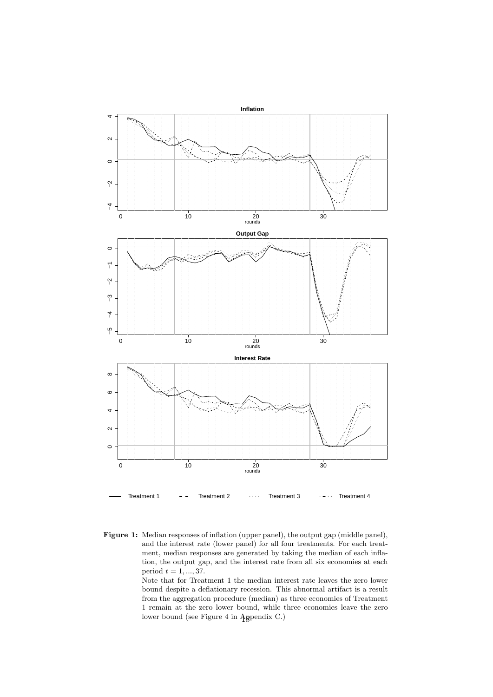

Figure 1: Median responses of inflation (upper panel), the output gap (middle panel), and the interest rate (lower panel) for all four treatments. For each treatment, median responses are generated by taking the median of each inflation, the output gap, and the interest rate from all six economies at each period  $t = 1, ..., 37$ .

> Note that for Treatment 1 the median interest rate leaves the zero lower bound despite a deflationary recession. This abnormal artifact is a result from the aggregation procedure (median) as three economies of Treatment 1 remain at the zero lower bound, while three economies leave the zero lower bound (see Figure 4 in Appendix C.)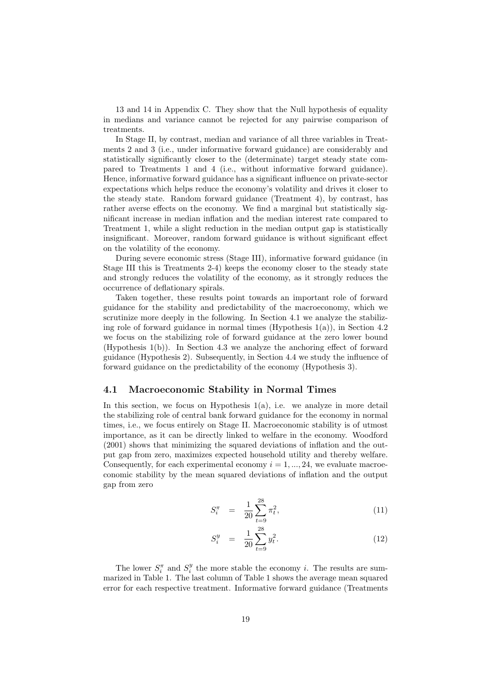13 and 14 in Appendix C. They show that the Null hypothesis of equality in medians and variance cannot be rejected for any pairwise comparison of treatments.

In Stage II, by contrast, median and variance of all three variables in Treatments 2 and 3 (i.e., under informative forward guidance) are considerably and statistically significantly closer to the (determinate) target steady state compared to Treatments 1 and 4 (i.e., without informative forward guidance). Hence, informative forward guidance has a significant influence on private-sector expectations which helps reduce the economy's volatility and drives it closer to the steady state. Random forward guidance (Treatment 4), by contrast, has rather averse effects on the economy. We find a marginal but statistically significant increase in median inflation and the median interest rate compared to Treatment 1, while a slight reduction in the median output gap is statistically insignificant. Moreover, random forward guidance is without significant effect on the volatility of the economy.

During severe economic stress (Stage III), informative forward guidance (in Stage III this is Treatments 2-4) keeps the economy closer to the steady state and strongly reduces the volatility of the economy, as it strongly reduces the occurrence of deflationary spirals.

Taken together, these results point towards an important role of forward guidance for the stability and predictability of the macroeconomy, which we scrutinize more deeply in the following. In Section 4.1 we analyze the stabilizing role of forward guidance in normal times (Hypothesis 1(a)), in Section 4.2 we focus on the stabilizing role of forward guidance at the zero lower bound (Hypothesis 1(b)). In Section 4.3 we analyze the anchoring effect of forward guidance (Hypothesis 2). Subsequently, in Section 4.4 we study the influence of forward guidance on the predictability of the economy (Hypothesis 3).

#### 4.1 Macroeconomic Stability in Normal Times

In this section, we focus on Hypothesis  $1(a)$ , i.e. we analyze in more detail the stabilizing role of central bank forward guidance for the economy in normal times, i.e., we focus entirely on Stage II. Macroeconomic stability is of utmost importance, as it can be directly linked to welfare in the economy. Woodford (2001) shows that minimizing the squared deviations of inflation and the output gap from zero, maximizes expected household utility and thereby welfare. Consequently, for each experimental economy  $i = 1, ..., 24$ , we evaluate macroeconomic stability by the mean squared deviations of inflation and the output gap from zero

$$
S_i^{\pi} = \frac{1}{20} \sum_{t=9}^{28} \pi_t^2, \tag{11}
$$

$$
S_i^y = \frac{1}{20} \sum_{t=9}^{28} y_t^2.
$$
 (12)

The lower  $S_i^{\pi}$  and  $S_i^y$  the more stable the economy *i*. The results are summarized in Table 1. The last column of Table 1 shows the average mean squared error for each respective treatment. Informative forward guidance (Treatments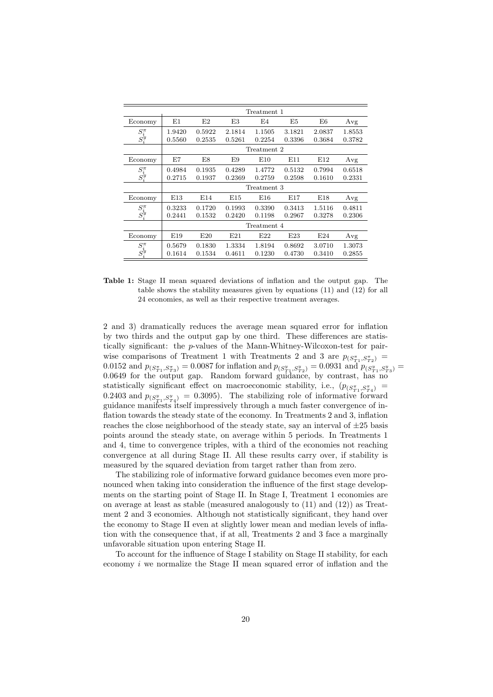|                                                 |        |             |        | Treatment 1     |        |        |        |  |  |  |  |
|-------------------------------------------------|--------|-------------|--------|-----------------|--------|--------|--------|--|--|--|--|
| Economy                                         | E1     | E2          | E3     | E4              | E5     | E6     | Avg    |  |  |  |  |
| $S_{i}^{\pi} \hspace{-1pt} \bar{S}_{i}^{y}$     | 1.9420 | 0.5922      | 2.1814 | 1.1505          | 3.1821 | 2.0837 | 1.8553 |  |  |  |  |
|                                                 | 0.5560 | 0.2535      | 0.5261 | 0.2254          | 0.3396 | 0.3684 | 0.3782 |  |  |  |  |
|                                                 |        | Treatment 2 |        |                 |        |        |        |  |  |  |  |
| Economy                                         | E7     | E8          | E9     | E <sub>10</sub> | E11    | E12    | Avg    |  |  |  |  |
|                                                 | 0.4984 | 0.1935      | 0.4289 | 1.4772          | 0.5132 | 0.7994 | 0.6518 |  |  |  |  |
| $S_{i}^{\pi}$                                   | 0.2715 | 0.1937      | 0.2369 | 0.2759          | 0.2598 | 0.1610 | 0.2331 |  |  |  |  |
|                                                 |        |             |        | Treatment 3     |        |        |        |  |  |  |  |
| Economy                                         | E13    | E14         | E15    | E16             | E17    | E18    | Avg    |  |  |  |  |
|                                                 | 0.3233 | 0.1720      | 0.1993 | 0.3390          | 0.3413 | 1.5116 | 0.4811 |  |  |  |  |
| $S_{i}^{\pi} \newcommand{\S}{\Sigma_{i}^{(j)}}$ | 0.2441 | 0.1532      | 0.2420 | 0.1198          | 0.2967 | 0.3278 | 0.2306 |  |  |  |  |
|                                                 |        |             |        | Treatment 4     |        |        |        |  |  |  |  |
| Economy                                         | E19    | E20         | E21    | E22             | E23    | E24    | Avg    |  |  |  |  |
|                                                 | 0.5679 | 0.1830      | 1.3334 | 1.8194          | 0.8692 | 3.0710 | 1.3073 |  |  |  |  |
| $S^{\pi}_{i}$ $S^{y}_{i}$                       | 0.1614 | 0.1534      | 0.4611 | 0.1230          | 0.4730 | 0.3410 | 0.2855 |  |  |  |  |

Table 1: Stage II mean squared deviations of inflation and the output gap. The table shows the stability measures given by equations (11) and (12) for all 24 economies, as well as their respective treatment averages.

2 and 3) dramatically reduces the average mean squared error for inflation by two thirds and the output gap by one third. These differences are statistically significant: the p-values of the Mann-Whitney-Wilcoxon-test for pairwise comparisons of Treatment 1 with Treatments 2 and 3 are  $p_{(S_{T_1}^{\pi},S_{T_2}^{\pi})}$  = 0.0152 and  $p_{(S_{T_1}^{\pi}, S_{T_3}^{\pi})} = 0.0087$  for inflation and  $p_{(S_{T_1}^y, S_{T_2}^y)} = 0.0931$  and  $p_{(S_{T_1}^y, S_{T_3}^y)} =$ 0.0649 for the output gap. Random forward guidance, by contrast, has no statistically significant effect on macroeconomic stability, i.e.,  $(p_{(S_{\tau_1}^{\pi},S_{\tau_4}^{\pi})})$ 0.2403 and  $p_{(S_{T_1}^y, S_{T_4}^y)} = 0.3095$ . The stabilizing role of informative forward guidance manifests itself impressively through a much faster convergence of inflation towards the steady state of the economy. In Treatments 2 and 3, inflation reaches the close neighborhood of the steady state, say an interval of  $\pm 25$  basis points around the steady state, on average within 5 periods. In Treatments 1 and 4, time to convergence triples, with a third of the economies not reaching convergence at all during Stage II. All these results carry over, if stability is measured by the squared deviation from target rather than from zero.

The stabilizing role of informative forward guidance becomes even more pronounced when taking into consideration the influence of the first stage developments on the starting point of Stage II. In Stage I, Treatment 1 economies are on average at least as stable (measured analogously to (11) and (12)) as Treatment 2 and 3 economies. Although not statistically significant, they hand over the economy to Stage II even at slightly lower mean and median levels of inflation with the consequence that, if at all, Treatments 2 and 3 face a marginally unfavorable situation upon entering Stage II.

To account for the influence of Stage I stability on Stage II stability, for each economy i we normalize the Stage II mean squared error of inflation and the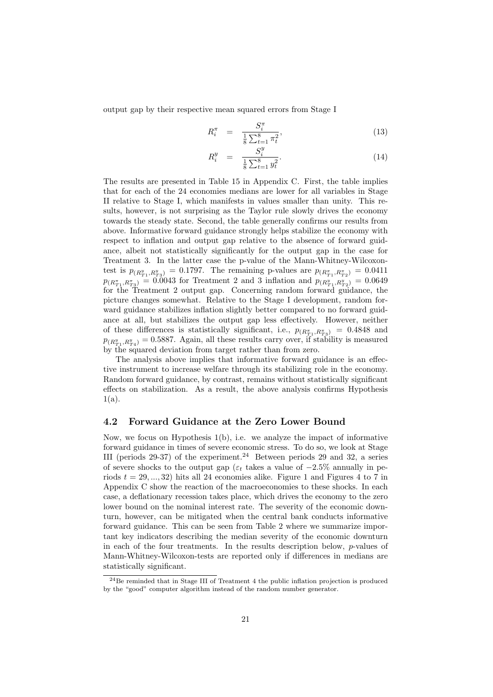output gap by their respective mean squared errors from Stage I

$$
R_i^{\pi} = \frac{S_i^{\pi}}{\frac{1}{8} \sum_{t=1}^{8} \pi_t^2},\tag{13}
$$

$$
R_i^y = \frac{S_i^y}{\frac{1}{8} \sum_{t=1}^8 y_t^2}.
$$
\n(14)

The results are presented in Table 15 in Appendix C. First, the table implies that for each of the 24 economies medians are lower for all variables in Stage II relative to Stage I, which manifests in values smaller than unity. This results, however, is not surprising as the Taylor rule slowly drives the economy towards the steady state. Second, the table generally confirms our results from above. Informative forward guidance strongly helps stabilize the economy with respect to inflation and output gap relative to the absence of forward guidance, albeit not statistically significantly for the output gap in the case for Treatment 3. In the latter case the p-value of the Mann-Whitney-Wilcoxontest is  $p_{(R_{T_1}^y, R_{T_3}^y)} = 0.1797$ . The remaining p-values are  $p_{(R_{T_1}^{\pi}, R_{T_2}^{\pi})} = 0.0411$  $p_{(R_{T_1}^{\pi}, R_{T_3}^{\pi})} = 0.0043$  for Treatment 2 and 3 inflation and  $p_{(R_{T_1}^y, R_{T_2}^y)} = 0.0649$ for the Treatment 2 output gap. Concerning random forward guidance, the picture changes somewhat. Relative to the Stage I development, random forward guidance stabilizes inflation slightly better compared to no forward guidance at all, but stabilizes the output gap less effectively. However, neither of these differences is statistically significant, i.e.,  $p_{(R_{T_1}^{\pi}, R_{T_3}^{\pi})} = 0.4848$  and  $p_{(R_{T_1}^y, R_{T_4}^y)} = 0.5887$ . Again, all these results carry over, if stability is measured by the squared deviation from target rather than from zero.

The analysis above implies that informative forward guidance is an effective instrument to increase welfare through its stabilizing role in the economy. Random forward guidance, by contrast, remains without statistically significant effects on stabilization. As a result, the above analysis confirms Hypothesis  $1(a)$ .

### 4.2 Forward Guidance at the Zero Lower Bound

Now, we focus on Hypothesis 1(b), i.e. we analyze the impact of informative forward guidance in times of severe economic stress. To do so, we look at Stage III (periods 29-37) of the experiment.<sup>24</sup> Between periods 29 and 32, a series of severe shocks to the output gap ( $\varepsilon_t$  takes a value of  $-2.5\%$  annually in periods  $t = 29, \ldots, 32$ ) hits all 24 economies alike. Figure 1 and Figures 4 to 7 in Appendix C show the reaction of the macroeconomies to these shocks. In each case, a deflationary recession takes place, which drives the economy to the zero lower bound on the nominal interest rate. The severity of the economic downturn, however, can be mitigated when the central bank conducts informative forward guidance. This can be seen from Table 2 where we summarize important key indicators describing the median severity of the economic downturn in each of the four treatments. In the results description below,  $p$ -values of Mann-Whitney-Wilcoxon-tests are reported only if differences in medians are statistically significant.

 $^{24}$ Be reminded that in Stage III of Treatment 4 the public inflation projection is produced by the "good" computer algorithm instead of the random number generator.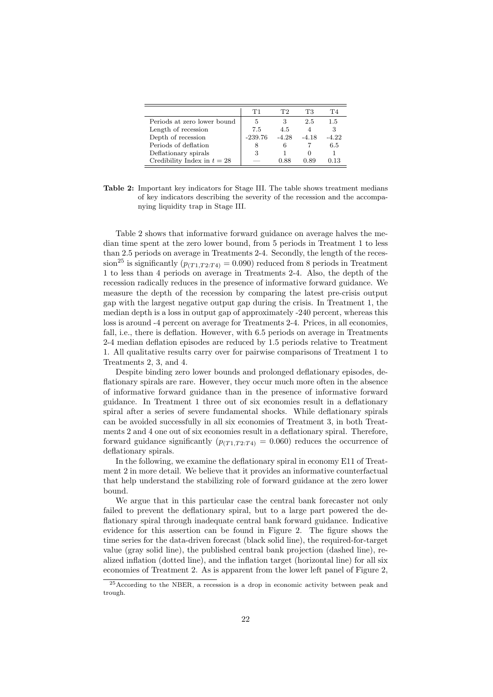|                               | T 1       | ፐን      | Т3      | T4      |
|-------------------------------|-----------|---------|---------|---------|
| Periods at zero lower bound   | 5         | З       | 2.5     | 1.5     |
| Length of recession           | 7.5       | 4.5     | 4       | 3       |
| Depth of recession            | $-239.76$ | $-4.28$ | $-4.18$ | $-4.22$ |
| Periods of deflation          | 8         |         |         | 6.5     |
| Deflationary spirals          |           |         |         |         |
| Credibility Index in $t = 28$ |           | 0.88    | 0.89    | 0.13    |

Table 2: Important key indicators for Stage III. The table shows treatment medians of key indicators describing the severity of the recession and the accompanying liquidity trap in Stage III.

Table 2 shows that informative forward guidance on average halves the median time spent at the zero lower bound, from 5 periods in Treatment 1 to less than 2.5 periods on average in Treatments 2-4. Secondly, the length of the recession<sup>25</sup> is significantly  $(p_{(T1,T2:T4)} = 0.090)$  reduced from 8 periods in Treatment 1 to less than 4 periods on average in Treatments 2-4. Also, the depth of the recession radically reduces in the presence of informative forward guidance. We measure the depth of the recession by comparing the latest pre-crisis output gap with the largest negative output gap during the crisis. In Treatment 1, the median depth is a loss in output gap of approximately -240 percent, whereas this loss is around -4 percent on average for Treatments 2-4. Prices, in all economies, fall, i.e., there is deflation. However, with 6.5 periods on average in Treatments 2-4 median deflation episodes are reduced by 1.5 periods relative to Treatment 1. All qualitative results carry over for pairwise comparisons of Treatment 1 to Treatments 2, 3, and 4.

Despite binding zero lower bounds and prolonged deflationary episodes, deflationary spirals are rare. However, they occur much more often in the absence of informative forward guidance than in the presence of informative forward guidance. In Treatment 1 three out of six economies result in a deflationary spiral after a series of severe fundamental shocks. While deflationary spirals can be avoided successfully in all six economies of Treatment 3, in both Treatments 2 and 4 one out of six economies result in a deflationary spiral. Therefore, forward guidance significantly  $(p_{(T1,T2:T4)} = 0.060)$  reduces the occurrence of deflationary spirals.

In the following, we examine the deflationary spiral in economy E11 of Treatment 2 in more detail. We believe that it provides an informative counterfactual that help understand the stabilizing role of forward guidance at the zero lower bound.

We argue that in this particular case the central bank forecaster not only failed to prevent the deflationary spiral, but to a large part powered the deflationary spiral through inadequate central bank forward guidance. Indicative evidence for this assertion can be found in Figure 2. The figure shows the time series for the data-driven forecast (black solid line), the required-for-target value (gray solid line), the published central bank projection (dashed line), realized inflation (dotted line), and the inflation target (horizontal line) for all six economies of Treatment 2. As is apparent from the lower left panel of Figure 2,

<sup>&</sup>lt;sup>25</sup>According to the NBER, a recession is a drop in economic activity between peak and trough.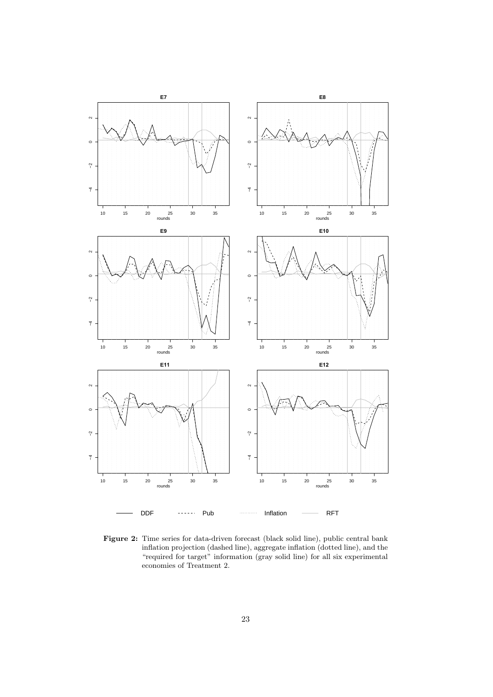

Figure 2: Time series for data-driven forecast (black solid line), public central bank inflation projection (dashed line), aggregate inflation (dotted line), and the "required for target" information (gray solid line) for all six experimental economies of Treatment 2.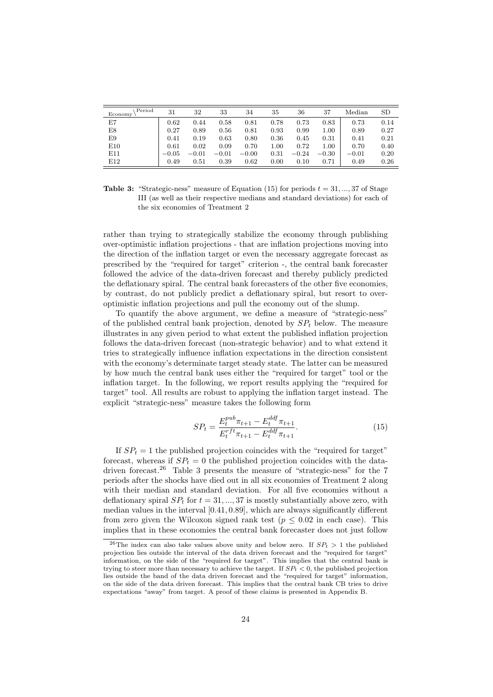| \ Period<br>$E_{\rm conomy}$ | 31      | 32      | 33      | 34      | 35   | 36      | 37      | Median  | SD   |
|------------------------------|---------|---------|---------|---------|------|---------|---------|---------|------|
| E7                           | 0.62    | 0.44    | 0.58    | 0.81    | 0.78 | 0.73    | 0.83    | 0.73    | 0.14 |
| E8                           | 0.27    | 0.89    | 0.56    | 0.81    | 0.93 | 0.99    | 1.00    | 0.89    | 0.27 |
| E9                           | 0.41    | 0.19    | 0.63    | 0.80    | 0.36 | 0.45    | 0.31    | 0.41    | 0.21 |
| E10                          | 0.61    | 0.02    | 0.09    | 0.70    | 1.00 | 0.72    | 1.00    | 0.70    | 0.40 |
| E11                          | $-0.05$ | $-0.01$ | $-0.01$ | $-0.00$ | 0.31 | $-0.24$ | $-0.30$ | $-0.01$ | 0.20 |
| E12                          | 0.49    | 0.51    | 0.39    | 0.62    | 0.00 | 0.10    | 0.71    | 0.49    | 0.26 |

**Table 3:** "Strategic-ness" measure of Equation (15) for periods  $t = 31, ..., 37$  of Stage III (as well as their respective medians and standard deviations) for each of the six economies of Treatment 2

rather than trying to strategically stabilize the economy through publishing over-optimistic inflation projections - that are inflation projections moving into the direction of the inflation target or even the necessary aggregate forecast as prescribed by the "required for target" criterion -, the central bank forecaster followed the advice of the data-driven forecast and thereby publicly predicted the deflationary spiral. The central bank forecasters of the other five economies, by contrast, do not publicly predict a deflationary spiral, but resort to overoptimistic inflation projections and pull the economy out of the slump.

To quantify the above argument, we define a measure of "strategic-ness" of the published central bank projection, denoted by  $SP<sub>t</sub>$  below. The measure illustrates in any given period to what extent the published inflation projection follows the data-driven forecast (non-strategic behavior) and to what extend it tries to strategically influence inflation expectations in the direction consistent with the economy's determinate target steady state. The latter can be measured by how much the central bank uses either the "required for target" tool or the inflation target. In the following, we report results applying the "required for target" tool. All results are robust to applying the inflation target instead. The explicit "strategic-ness" measure takes the following form

$$
SP_t = \frac{E_t^{pub}\pi_{t+1} - E_t^{ddf}\pi_{t+1}}{E_t^{rft}\pi_{t+1} - E_t^{adf}\pi_{t+1}}.
$$
\n(15)

If  $SP<sub>t</sub> = 1$  the published projection coincides with the "required for target" forecast, whereas if  $SP<sub>t</sub> = 0$  the published projection coincides with the datadriven forecast.<sup>26</sup> Table 3 presents the measure of "strategic-ness" for the 7 periods after the shocks have died out in all six economies of Treatment 2 along with their median and standard deviation. For all five economies without a deflationary spiral  $SP_t$  for  $t = 31, ..., 37$  is mostly substantially above zero, with median values in the interval [0.41, 0.89], which are always significantly different from zero given the Wilcoxon signed rank test ( $p \leq 0.02$  in each case). This implies that in these economies the central bank forecaster does not just follow

<sup>&</sup>lt;sup>26</sup>The index can also take values above unity and below zero. If  $SP_t > 1$  the published projection lies outside the interval of the data driven forecast and the "required for target" information, on the side of the "required for target". This implies that the central bank is trying to steer more than necessary to achieve the target. If  $SP<sub>t</sub> < 0$ , the published projection lies outside the band of the data driven forecast and the "required for target" information, on the side of the data driven forecast. This implies that the central bank CB tries to drive expectations "away" from target. A proof of these claims is presented in Appendix B.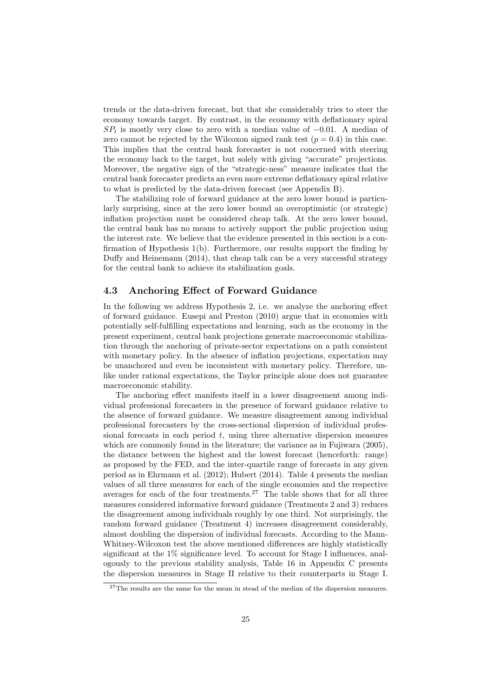trends or the data-driven forecast, but that she considerably tries to steer the economy towards target. By contrast, in the economy with deflationary spiral  $SP<sub>t</sub>$  is mostly very close to zero with a median value of  $-0.01$ . A median of zero cannot be rejected by the Wilcoxon signed rank test  $(p = 0.4)$  in this case. This implies that the central bank forecaster is not concerned with steering the economy back to the target, but solely with giving "accurate" projections. Moreover, the negative sign of the "strategic-ness" measure indicates that the central bank forecaster predicts an even more extreme deflationary spiral relative to what is predicted by the data-driven forecast (see Appendix B).

The stabilizing role of forward guidance at the zero lower bound is particularly surprising, since at the zero lower bound an overoptimistic (or strategic) inflation projection must be considered cheap talk. At the zero lower bound, the central bank has no means to actively support the public projection using the interest rate. We believe that the evidence presented in this section is a confirmation of Hypothesis 1(b). Furthermore, our results support the finding by Duffy and Heinemann (2014), that cheap talk can be a very successful strategy for the central bank to achieve its stabilization goals.

### 4.3 Anchoring Effect of Forward Guidance

In the following we address Hypothesis 2, i.e. we analyze the anchoring effect of forward guidance. Eusepi and Preston (2010) argue that in economies with potentially self-fulfilling expectations and learning, such as the economy in the present experiment, central bank projections generate macroeconomic stabilization through the anchoring of private-sector expectations on a path consistent with monetary policy. In the absence of inflation projections, expectation may be unanchored and even be inconsistent with monetary policy. Therefore, unlike under rational expectations, the Taylor principle alone does not guarantee macroeconomic stability.

The anchoring effect manifests itself in a lower disagreement among individual professional forecasters in the presence of forward guidance relative to the absence of forward guidance. We measure disagreement among individual professional forecasters by the cross-sectional dispersion of individual professional forecasts in each period  $t$ , using three alternative dispersion measures which are commonly found in the literature; the variance as in Fujiwara (2005), the distance between the highest and the lowest forecast (henceforth: range) as proposed by the FED, and the inter-quartile range of forecasts in any given period as in Ehrmann et al. (2012); Hubert (2014). Table 4 presents the median values of all three measures for each of the single economies and the respective averages for each of the four treatments.<sup>27</sup> The table shows that for all three measures considered informative forward guidance (Treatments 2 and 3) reduces the disagreement among individuals roughly by one third. Not surprisingly, the random forward guidance (Treatment 4) increases disagreement considerably, almost doubling the dispersion of individual forecasts. According to the Mann-Whitney-Wilcoxon test the above mentioned differences are highly statistically significant at the 1% significance level. To account for Stage I influences, analogously to the previous stability analysis, Table 16 in Appendix C presents the dispersion measures in Stage II relative to their counterparts in Stage I.

 $27$ The results are the same for the mean in stead of the median of the dispersion measures.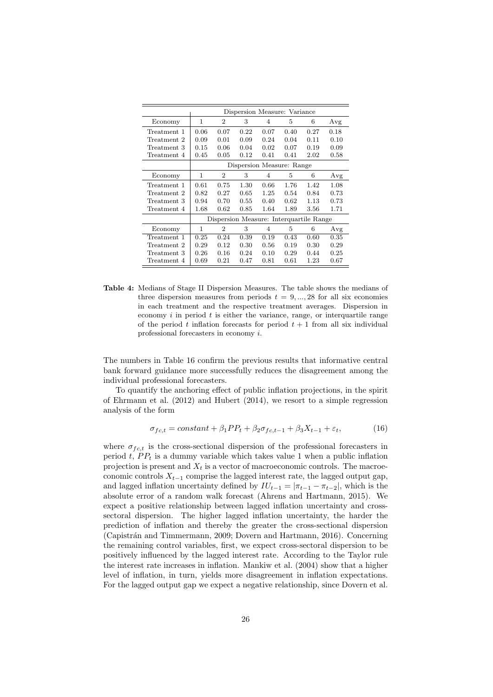|             |      |                           |      |                | Dispersion Measure: Variance            |      |      |  |  |  |  |
|-------------|------|---------------------------|------|----------------|-----------------------------------------|------|------|--|--|--|--|
| Economy     | 1    | 2                         | 3    | 4              | 5                                       | 6    | Avg  |  |  |  |  |
| Treatment 1 | 0.06 | 0.07                      | 0.22 | 0.07           | 0.40                                    | 0.27 | 0.18 |  |  |  |  |
| Treatment 2 | 0.09 | 0.01                      | 0.09 | 0.24           | 0.04                                    | 0.11 | 0.10 |  |  |  |  |
| Treatment 3 | 0.15 | 0.06                      | 0.04 | 0.02           | 0.07                                    | 0.19 | 0.09 |  |  |  |  |
| Treatment 4 | 0.45 | 0.05                      | 0.12 | 0.41           | 0.41                                    | 2.02 | 0.58 |  |  |  |  |
|             |      | Dispersion Measure: Range |      |                |                                         |      |      |  |  |  |  |
| Economy     | 1    | $\overline{2}$            | 3    | 4              | 5                                       | 6    | Avg  |  |  |  |  |
| Treatment 1 | 0.61 | 0.75                      | 1.30 | 0.66           | 1.76                                    | 1.42 | 1.08 |  |  |  |  |
| Treatment 2 | 0.82 | 0.27                      | 0.65 | 1.25           | 0.54                                    | 0.84 | 0.73 |  |  |  |  |
| Treatment 3 | 0.94 | 0.70                      | 0.55 | 0.40           | 0.62                                    | 1.13 | 0.73 |  |  |  |  |
| Treatment 4 | 1.68 | 0.62                      | 0.85 | 1.64           | 1.89                                    | 3.56 | 1.71 |  |  |  |  |
|             |      |                           |      |                | Dispersion Measure: Interquartile Range |      |      |  |  |  |  |
| Economy     | 1    | 2                         | 3    | $\overline{4}$ | 5                                       | 6    | Avg  |  |  |  |  |
| Treatment 1 | 0.25 | 0.24                      | 0.39 | 0.19           | 0.43                                    | 0.60 | 0.35 |  |  |  |  |
| Treatment 2 | 0.29 | 0.12                      | 0.30 | 0.56           | 0.19                                    | 0.30 | 0.29 |  |  |  |  |
| Treatment 3 | 0.26 | 0.16                      | 0.24 | 0.10           | 0.29                                    | 0.44 | 0.25 |  |  |  |  |
| Treatment 4 | 0.69 | 0.21                      | 0.47 | 0.81           | 0.61                                    | 1.23 | 0.67 |  |  |  |  |

Table 4: Medians of Stage II Dispersion Measures. The table shows the medians of three dispersion measures from periods  $t = 9, ..., 28$  for all six economies in each treatment and the respective treatment averages. Dispersion in economy  $i$  in period  $t$  is either the variance, range, or interquartile range of the period t inflation forecasts for period  $t + 1$  from all six individual professional forecasters in economy i.

The numbers in Table 16 confirm the previous results that informative central bank forward guidance more successfully reduces the disagreement among the individual professional forecasters.

To quantify the anchoring effect of public inflation projections, in the spirit of Ehrmann et al. (2012) and Hubert (2014), we resort to a simple regression analysis of the form

$$
\sigma_{fc,t} = constant + \beta_1 PP_t + \beta_2 \sigma_{fc,t-1} + \beta_3 X_{t-1} + \varepsilon_t, \tag{16}
$$

where  $\sigma_{fc,t}$  is the cross-sectional dispersion of the professional forecasters in period  $t$ ,  $PP_t$  is a dummy variable which takes value 1 when a public inflation projection is present and  $X_t$  is a vector of macroeconomic controls. The macroeconomic controls  $X_{t-1}$  comprise the lagged interest rate, the lagged output gap, and lagged inflation uncertainty defined by  $IU_{t-1} = |\pi_{t-1} - \pi_{t-2}|$ , which is the absolute error of a random walk forecast (Ahrens and Hartmann, 2015). We expect a positive relationship between lagged inflation uncertainty and crosssectoral dispersion. The higher lagged inflation uncertainty, the harder the prediction of inflation and thereby the greater the cross-sectional dispersion (Capistr´an and Timmermann, 2009; Dovern and Hartmann, 2016). Concerning the remaining control variables, first, we expect cross-sectoral dispersion to be positively influenced by the lagged interest rate. According to the Taylor rule the interest rate increases in inflation. Mankiw et al. (2004) show that a higher level of inflation, in turn, yields more disagreement in inflation expectations. For the lagged output gap we expect a negative relationship, since Dovern et al.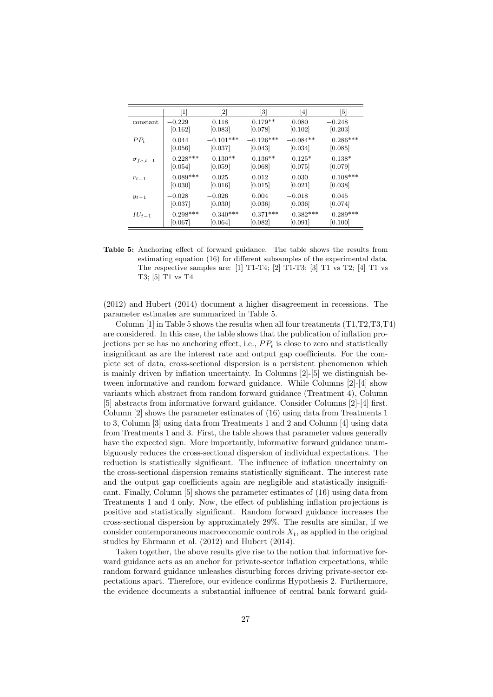|                   | [1]        | $\left\lceil 2 \right\rceil$ | $\left\lceil 3 \right\rceil$ | $\lceil 4 \rceil$ | [5]        |
|-------------------|------------|------------------------------|------------------------------|-------------------|------------|
| constant          | $-0.229$   | 0.118                        | $0.179**$                    | 0.080             | $-0.248$   |
|                   | [0.162]    | [0.083]                      | [0.078]                      | [0.102]           | [0.203]    |
| $PP_t$            | 0.044      | $-0.101***$                  | $-0.126***$                  | $-0.084**$        | $0.286***$ |
|                   | [0.056]    | [0.037]                      | [0.043]                      | [0.034]           | [0.085]    |
| $\sigma_{fc,t-1}$ | $0.228***$ | $0.130**$                    | $0.136**$                    | $0.125*$          | $0.138*$   |
|                   | 0.054      | 0.059                        | [0.068]                      | 0.075             | [0.079]    |
| $r_{t-1}$         | $0.089***$ | 0.025                        | 0.012                        | 0.030             | $0.108***$ |
|                   | [0.030]    | 0.016                        | 0.015                        | [0.021]           | [0.038]    |
| $y_{t-1}$         | $-0.028$   | $-0.026$                     | 0.004                        | $-0.018$          | 0.045      |
|                   | [0.037]    | [0.030]                      | [0.036]                      | [0.036]           | [0.074]    |
| $IU_{t-1}$        | $0.298***$ | $0.340***$                   | $0.371***$                   | $0.382***$        | $0.289***$ |
|                   | [0.067]    | [0.064]                      | [0.082]                      | [0.091]           | [0.100]    |

Table 5: Anchoring effect of forward guidance. The table shows the results from estimating equation (16) for different subsamples of the experimental data. The respective samples are: [1] T1-T4; [2] T1-T3; [3] T1 vs T2; [4] T1 vs T3; [5] T1 vs T4

(2012) and Hubert (2014) document a higher disagreement in recessions. The parameter estimates are summarized in Table 5.

Column [1] in Table 5 shows the results when all four treatments (T1,T2,T3,T4) are considered. In this case, the table shows that the publication of inflation projections per se has no anchoring effect, i.e.,  $PP<sub>t</sub>$  is close to zero and statistically insignificant as are the interest rate and output gap coefficients. For the complete set of data, cross-sectional dispersion is a persistent phenomenon which is mainly driven by inflation uncertainty. In Columns [2]-[5] we distinguish between informative and random forward guidance. While Columns [2]-[4] show variants which abstract from random forward guidance (Treatment 4), Column [5] abstracts from informative forward guidance. Consider Columns [2]-[4] first. Column [2] shows the parameter estimates of (16) using data from Treatments 1 to 3, Column [3] using data from Treatments 1 and 2 and Column [4] using data from Treatments 1 and 3. First, the table shows that parameter values generally have the expected sign. More importantly, informative forward guidance unambiguously reduces the cross-sectional dispersion of individual expectations. The reduction is statistically significant. The influence of inflation uncertainty on the cross-sectional dispersion remains statistically significant. The interest rate and the output gap coefficients again are negligible and statistically insignificant. Finally, Column [5] shows the parameter estimates of (16) using data from Treatments 1 and 4 only. Now, the effect of publishing inflation projections is positive and statistically significant. Random forward guidance increases the cross-sectional dispersion by approximately 29%. The results are similar, if we consider contemporaneous macroeconomic controls  $X_t$ , as applied in the original studies by Ehrmann et al. (2012) and Hubert (2014).

Taken together, the above results give rise to the notion that informative forward guidance acts as an anchor for private-sector inflation expectations, while random forward guidance unleashes disturbing forces driving private-sector expectations apart. Therefore, our evidence confirms Hypothesis 2. Furthermore, the evidence documents a substantial influence of central bank forward guid-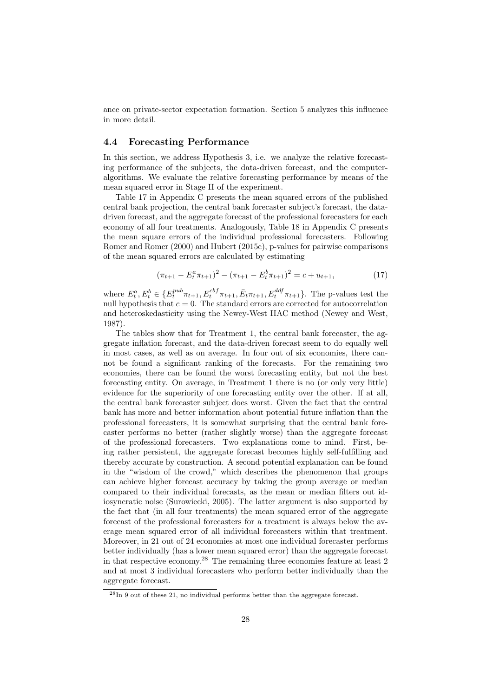ance on private-sector expectation formation. Section 5 analyzes this influence in more detail.

### 4.4 Forecasting Performance

In this section, we address Hypothesis 3, i.e. we analyze the relative forecasting performance of the subjects, the data-driven forecast, and the computeralgorithms. We evaluate the relative forecasting performance by means of the mean squared error in Stage II of the experiment.

Table 17 in Appendix C presents the mean squared errors of the published central bank projection, the central bank forecaster subject's forecast, the datadriven forecast, and the aggregate forecast of the professional forecasters for each economy of all four treatments. Analogously, Table 18 in Appendix C presents the mean square errors of the individual professional forecasters. Following Romer and Romer (2000) and Hubert (2015c), p-values for pairwise comparisons of the mean squared errors are calculated by estimating

$$
(\pi_{t+1} - E_t^a \pi_{t+1})^2 - (\pi_{t+1} - E_t^b \pi_{t+1})^2 = c + u_{t+1},
$$
\n(17)

where  $E_t^a, E_t^b \in \{E_t^{pub} \pi_{t+1}, E_t^{cbf} \pi_{t+1}, E_t^{at\pi} \pi_{t+1}, E_t^{ddf} \pi_{t+1}\}.$  The p-values test the null hypothesis that  $c = 0$ . The standard errors are corrected for autocorrelation and heteroskedasticity using the Newey-West HAC method (Newey and West, 1987).

The tables show that for Treatment 1, the central bank forecaster, the aggregate inflation forecast, and the data-driven forecast seem to do equally well in most cases, as well as on average. In four out of six economies, there cannot be found a significant ranking of the forecasts. For the remaining two economies, there can be found the worst forecasting entity, but not the best forecasting entity. On average, in Treatment 1 there is no (or only very little) evidence for the superiority of one forecasting entity over the other. If at all, the central bank forecaster subject does worst. Given the fact that the central bank has more and better information about potential future inflation than the professional forecasters, it is somewhat surprising that the central bank forecaster performs no better (rather slightly worse) than the aggregate forecast of the professional forecasters. Two explanations come to mind. First, being rather persistent, the aggregate forecast becomes highly self-fulfilling and thereby accurate by construction. A second potential explanation can be found in the "wisdom of the crowd," which describes the phenomenon that groups can achieve higher forecast accuracy by taking the group average or median compared to their individual forecasts, as the mean or median filters out idiosyncratic noise (Surowiecki, 2005). The latter argument is also supported by the fact that (in all four treatments) the mean squared error of the aggregate forecast of the professional forecasters for a treatment is always below the average mean squared error of all individual forecasters within that treatment. Moreover, in 21 out of 24 economies at most one individual forecaster performs better individually (has a lower mean squared error) than the aggregate forecast in that respective economy.<sup>28</sup> The remaining three economies feature at least 2 and at most 3 individual forecasters who perform better individually than the aggregate forecast.

 $^{28}$ In 9 out of these 21, no individual performs better than the aggregate forecast.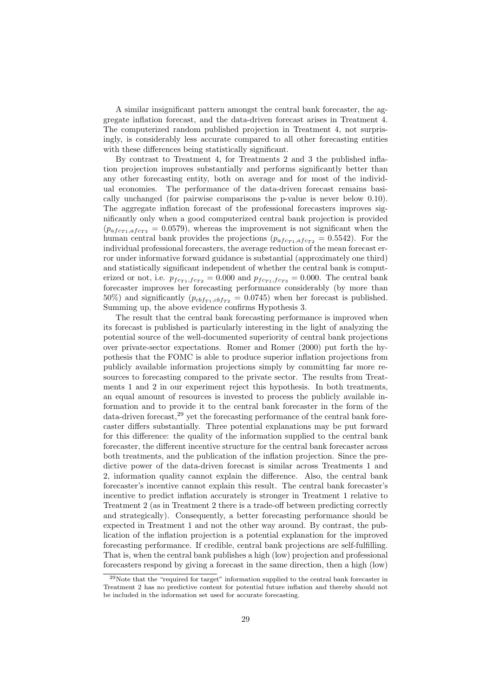A similar insignificant pattern amongst the central bank forecaster, the aggregate inflation forecast, and the data-driven forecast arises in Treatment 4. The computerized random published projection in Treatment 4, not surprisingly, is considerably less accurate compared to all other forecasting entities with these differences being statistically significant.

By contrast to Treatment 4, for Treatments 2 and 3 the published inflation projection improves substantially and performs significantly better than any other forecasting entity, both on average and for most of the individual economies. The performance of the data-driven forecast remains basically unchanged (for pairwise comparisons the p-value is never below 0.10). The aggregate inflation forecast of the professional forecasters improves significantly only when a good computerized central bank projection is provided  $(p_{afc_{T1},afc_{T3}}=0.0579)$ , whereas the improvement is not significant when the human central bank provides the projections  $(p_{a f c_{T1}, a f c_{T2}} = 0.5542)$ . For the individual professional forecasters, the average reduction of the mean forecast error under informative forward guidance is substantial (approximately one third) and statistically significant independent of whether the central bank is computerized or not, i.e.  $p_{fc_{T1},fc_{T2}} = 0.000$  and  $p_{fc_{T1},fc_{T3}} = 0.000$ . The central bank forecaster improves her forecasting performance considerably (by more than 50%) and significantly  $(p_{cbf_{T1},cbf_{T2}} = 0.0745)$  when her forecast is published. Summing up, the above evidence confirms Hypothesis 3.

The result that the central bank forecasting performance is improved when its forecast is published is particularly interesting in the light of analyzing the potential source of the well-documented superiority of central bank projections over private-sector expectations. Romer and Romer (2000) put forth the hypothesis that the FOMC is able to produce superior inflation projections from publicly available information projections simply by committing far more resources to forecasting compared to the private sector. The results from Treatments 1 and 2 in our experiment reject this hypothesis. In both treatments, an equal amount of resources is invested to process the publicly available information and to provide it to the central bank forecaster in the form of the data-driven forecast,<sup>29</sup> yet the forecasting performance of the central bank forecaster differs substantially. Three potential explanations may be put forward for this difference: the quality of the information supplied to the central bank forecaster, the different incentive structure for the central bank forecaster across both treatments, and the publication of the inflation projection. Since the predictive power of the data-driven forecast is similar across Treatments 1 and 2, information quality cannot explain the difference. Also, the central bank forecaster's incentive cannot explain this result. The central bank forecaster's incentive to predict inflation accurately is stronger in Treatment 1 relative to Treatment 2 (as in Treatment 2 there is a trade-off between predicting correctly and strategically). Consequently, a better forecasting performance should be expected in Treatment 1 and not the other way around. By contrast, the publication of the inflation projection is a potential explanation for the improved forecasting performance. If credible, central bank projections are self-fulfilling. That is, when the central bank publishes a high (low) projection and professional forecasters respond by giving a forecast in the same direction, then a high (low)

 $^{29}$ Note that the "required for target" information supplied to the central bank forecaster in Treatment 2 has no predictive content for potential future inflation and thereby should not be included in the information set used for accurate forecasting.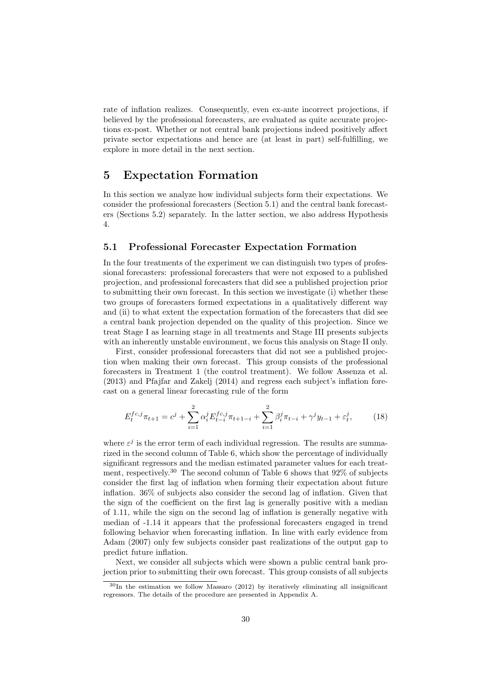rate of inflation realizes. Consequently, even ex-ante incorrect projections, if believed by the professional forecasters, are evaluated as quite accurate projections ex-post. Whether or not central bank projections indeed positively affect private sector expectations and hence are (at least in part) self-fulfilling, we explore in more detail in the next section.

### 5 Expectation Formation

In this section we analyze how individual subjects form their expectations. We consider the professional forecasters (Section 5.1) and the central bank forecasters (Sections 5.2) separately. In the latter section, we also address Hypothesis 4.

### 5.1 Professional Forecaster Expectation Formation

In the four treatments of the experiment we can distinguish two types of professional forecasters: professional forecasters that were not exposed to a published projection, and professional forecasters that did see a published projection prior to submitting their own forecast. In this section we investigate (i) whether these two groups of forecasters formed expectations in a qualitatively different way and (ii) to what extent the expectation formation of the forecasters that did see a central bank projection depended on the quality of this projection. Since we treat Stage I as learning stage in all treatments and Stage III presents subjects with an inherently unstable environment, we focus this analysis on Stage II only.

First, consider professional forecasters that did not see a published projection when making their own forecast. This group consists of the professional forecasters in Treatment 1 (the control treatment). We follow Assenza et al. (2013) and Pfajfar and Zakelj (2014) and regress each subject's inflation forecast on a general linear forecasting rule of the form

$$
E_t^{fc,j}\pi_{t+1} = c^j + \sum_{i=1}^2 \alpha_i^j E_{t-i}^{fc,j}\pi_{t+1-i} + \sum_{i=1}^2 \beta_i^j \pi_{t-i} + \gamma^j y_{t-1} + \varepsilon_t^j,\tag{18}
$$

where  $\varepsilon^j$  is the error term of each individual regression. The results are summarized in the second column of Table 6, which show the percentage of individually significant regressors and the median estimated parameter values for each treatment, respectively.<sup>30</sup> The second column of Table 6 shows that  $92\%$  of subjects consider the first lag of inflation when forming their expectation about future inflation. 36% of subjects also consider the second lag of inflation. Given that the sign of the coefficient on the first lag is generally positive with a median of 1.11, while the sign on the second lag of inflation is generally negative with median of -1.14 it appears that the professional forecasters engaged in trend following behavior when forecasting inflation. In line with early evidence from Adam (2007) only few subjects consider past realizations of the output gap to predict future inflation.

Next, we consider all subjects which were shown a public central bank projection prior to submitting their own forecast. This group consists of all subjects

 $30$ In the estimation we follow Massaro (2012) by iteratively eliminating all insignificant regressors. The details of the procedure are presented in Appendix A.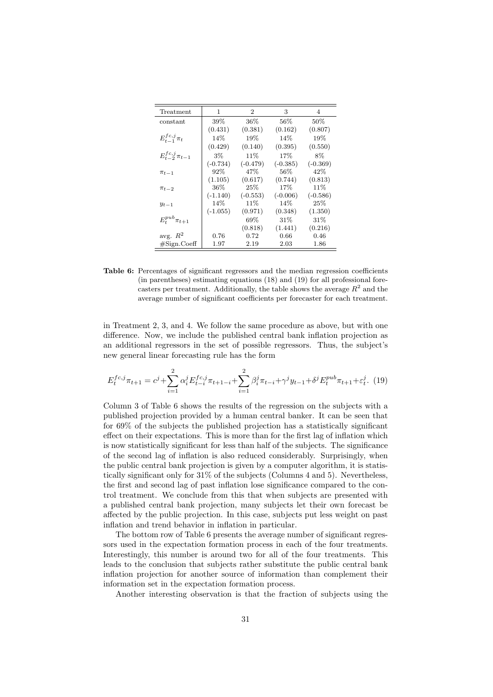| Treatment                 | 1          | 2          | 3          | 4          |
|---------------------------|------------|------------|------------|------------|
|                           |            |            |            |            |
| constant                  | $39\%$     | $36\%$     | $56\%$     | $50\%$     |
|                           | (0.431)    | (0.381)    | (0.162)    | (0.807)    |
| $E_{t-1}^{fc,j}\pi_t$     | 14%        | 19%        | 14%        | 19%        |
|                           | (0.429)    | (0.140)    | (0.395)    | (0.550)    |
| $E_{t-2}^{fc,j}\pi_{t-1}$ | $3\%$      | 11\%       | 17%        | 8%         |
|                           | $(-0.734)$ | $(-0.479)$ | $(-0.385)$ | $(-0.369)$ |
| $\pi_{t-1}$               | 92%        | 47%        | 56%        | $42\%$     |
|                           | (1.105)    | (0.617)    | (0.744)    | (0.813)    |
| $\pi_{t-2}$               | $36\%$     | 25%        | 17%        | $11\%$     |
|                           | $(-1.140)$ | $(-0.553)$ | $(-0.006)$ | $(-0.586)$ |
| $y_{t-1}$                 | 14%        | 11%        | 14%        | 25%        |
|                           | $(-1.055)$ | (0.971)    | (0.348)    | (1.350)    |
| $E_t^{pub} \pi_{t+1}$     |            | $69\%$     | $31\%$     | $31\%$     |
|                           |            | (0.818)    | (1.441)    | (0.216)    |
| avg. $R^2$                | 0.76       | 0.72       | 0.66       | 0.46       |
| $\#$ Sign.Coeff           | 1.97       | 2.19       | 2.03       | 1.86       |

Table 6: Percentages of significant regressors and the median regression coefficients (in parentheses) estimating equations (18) and (19) for all professional forecasters per treatment. Additionally, the table shows the average  $R^2$  and the average number of significant coefficients per forecaster for each treatment.

in Treatment 2, 3, and 4. We follow the same procedure as above, but with one difference. Now, we include the published central bank inflation projection as an additional regressors in the set of possible regressors. Thus, the subject's new general linear forecasting rule has the form

$$
E_t^{fc,j}\pi_{t+1} = c^j + \sum_{i=1}^2 \alpha_i^j E_{t-i}^{fc,j}\pi_{t+1-i} + \sum_{i=1}^2 \beta_i^j \pi_{t-i} + \gamma^j y_{t-1} + \delta^j E_t^{pub} \pi_{t+1} + \varepsilon_t^j.
$$
 (19)

Column 3 of Table 6 shows the results of the regression on the subjects with a published projection provided by a human central banker. It can be seen that for 69% of the subjects the published projection has a statistically significant effect on their expectations. This is more than for the first lag of inflation which is now statistically significant for less than half of the subjects. The significance of the second lag of inflation is also reduced considerably. Surprisingly, when the public central bank projection is given by a computer algorithm, it is statistically significant only for 31% of the subjects (Columns 4 and 5). Nevertheless, the first and second lag of past inflation lose significance compared to the control treatment. We conclude from this that when subjects are presented with a published central bank projection, many subjects let their own forecast be affected by the public projection. In this case, subjects put less weight on past inflation and trend behavior in inflation in particular.

The bottom row of Table 6 presents the average number of significant regressors used in the expectation formation process in each of the four treatments. Interestingly, this number is around two for all of the four treatments. This leads to the conclusion that subjects rather substitute the public central bank inflation projection for another source of information than complement their information set in the expectation formation process.

Another interesting observation is that the fraction of subjects using the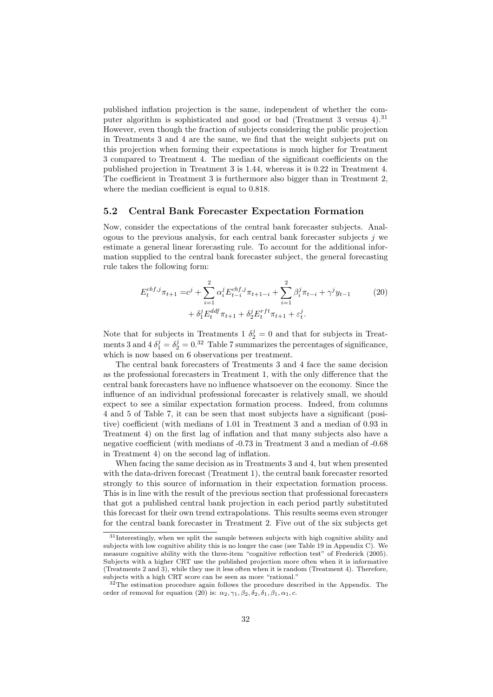published inflation projection is the same, independent of whether the computer algorithm is sophisticated and good or bad (Treatment 3 versus 4).<sup>31</sup> However, even though the fraction of subjects considering the public projection in Treatments 3 and 4 are the same, we find that the weight subjects put on this projection when forming their expectations is much higher for Treatment 3 compared to Treatment 4. The median of the significant coefficients on the published projection in Treatment 3 is 1.44, whereas it is 0.22 in Treatment 4. The coefficient in Treatment 3 is furthermore also bigger than in Treatment 2, where the median coefficient is equal to 0.818.

### 5.2 Central Bank Forecaster Expectation Formation

Now, consider the expectations of the central bank forecaster subjects. Analogous to the previous analysis, for each central bank forecaster subjects  $j$  we estimate a general linear forecasting rule. To account for the additional information supplied to the central bank forecaster subject, the general forecasting rule takes the following form:

$$
E_t^{cbf,j} \pi_{t+1} = c^j + \sum_{i=1}^2 \alpha_i^j E_{t-i}^{cbf,j} \pi_{t+1-i} + \sum_{i=1}^2 \beta_i^j \pi_{t-i} + \gamma^j y_{t-1} \tag{20}
$$

$$
+ \delta_1^j E_t^{ddf} \pi_{t+1} + \delta_2^j E_t^{rff} \pi_{t+1} + \varepsilon_t^j.
$$

Note that for subjects in Treatments 1  $\delta_2^j = 0$  and that for subjects in Treatments 3 and 4  $\delta_1^j = \delta_2^j = 0.32$  Table 7 summarizes the percentages of significance, which is now based on 6 observations per treatment.

The central bank forecasters of Treatments 3 and 4 face the same decision as the professional forecasters in Treatment 1, with the only difference that the central bank forecasters have no influence whatsoever on the economy. Since the influence of an individual professional forecaster is relatively small, we should expect to see a similar expectation formation process. Indeed, from columns 4 and 5 of Table 7, it can be seen that most subjects have a significant (positive) coefficient (with medians of 1.01 in Treatment 3 and a median of 0.93 in Treatment 4) on the first lag of inflation and that many subjects also have a negative coefficient (with medians of -0.73 in Treatment 3 and a median of -0.68 in Treatment 4) on the second lag of inflation.

When facing the same decision as in Treatments 3 and 4, but when presented with the data-driven forecast (Treatment 1), the central bank forecaster resorted strongly to this source of information in their expectation formation process. This is in line with the result of the previous section that professional forecasters that got a published central bank projection in each period partly substituted this forecast for their own trend extrapolations. This results seems even stronger for the central bank forecaster in Treatment 2. Five out of the six subjects get

 $31$ Interestingly, when we split the sample between subjects with high cognitive ability and subjects with low cognitive ability this is no longer the case (see Table 19 in Appendix C). We measure cognitive ability with the three-item "cognitive reflection test" of Frederick (2005). Subjects with a higher CRT use the published projection more often when it is informative (Treatments 2 and 3), while they use it less often when it is random (Treatment 4). Therefore, subjects with a high CRT score can be seen as more "rational."

<sup>&</sup>lt;sup>32</sup>The estimation procedure again follows the procedure described in the Appendix. The order of removal for equation (20) is:  $\alpha_2, \gamma_1, \beta_2, \delta_2, \delta_1, \beta_1, \alpha_1, c$ .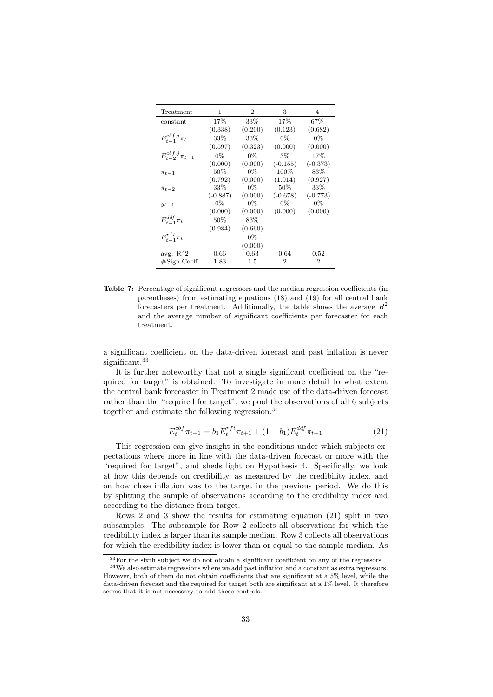| Treatment                     | 1          | $\overline{2}$ | 3          |            |
|-------------------------------|------------|----------------|------------|------------|
|                               |            |                |            | 4          |
| constant                      | 17%        | 33%            | 17%        | 67%        |
|                               | (0.338)    | (0.200)        | (0.123)    | (0.682)    |
| $E_{t-1}^{cbf,j}\pi_t$        | 33%        | $33\%$         | $0\%$      | $0\%$      |
|                               | (0.597)    | (0.323)        | (0.000)    | (0.000)    |
| $E_{t-2}^{cbf,j}$ $\pi_{t-1}$ | $0\%$      | $0\%$          | $3\%$      | 17%        |
|                               | (0.000)    | (0.000)        | $(-0.155)$ | $(-0.373)$ |
| $\pi_{t-1}$                   | 50%        | $0\%$          | 100%       | 83%        |
|                               | (0.792)    | (0.000)        | (1.014)    | (0.927)    |
| $\pi_{t-2}$                   | 33%        | $0\%$          | 50%        | $33\%$     |
|                               | $(-0.887)$ | (0.000)        | $(-0.678)$ | $(-0.773)$ |
| $y_{t-1}$                     | $0\%$      | $0\%$          | $0\%$      | $0\%$      |
|                               | (0.000)    | (0.000)        | (0.000)    | (0.000)    |
| $E_{t-1}^{ddf}\pi_t$          | 50%        | 83%            |            |            |
|                               | (0.984)    | (0.660)        |            |            |
| $E_{t-1}^{rft}\pi_t$          |            | $0\%$          |            |            |
|                               |            | (0.000)        |            |            |
| avg. $R^2$                    | 0.66       | 0.63           | 0.64       | $0.52\,$   |
| $\#$ Sign.Coeff               | 1.83       | $1.5\,$        | 2          | 2          |

Table 7: Percentage of significant regressors and the median regression coefficients (in parentheses) from estimating equations (18) and (19) for all central bank forecasters per treatment. Additionally, the table shows the average  $R^2$ and the average number of significant coefficients per forecaster for each treatment.

a significant coefficient on the data-driven forecast and past inflation is never significant.<sup>33</sup>

It is further noteworthy that not a single significant coefficient on the "required for target" is obtained. To investigate in more detail to what extent the central bank forecaster in Treatment 2 made use of the data-driven forecast rather than the "required for target", we pool the observations of all 6 subjects together and estimate the following regression.<sup>34</sup>

$$
E_t^{cbf} \pi_{t+1} = b_1 E_t^{rft} \pi_{t+1} + (1 - b_1) E_t^{ddf} \pi_{t+1}
$$
\n(21)

This regression can give insight in the conditions under which subjects expectations where more in line with the data-driven forecast or more with the "required for target", and sheds light on Hypothesis 4. Specifically, we look at how this depends on credibility, as measured by the credibility index, and on how close inflation was to the target in the previous period. We do this by splitting the sample of observations according to the credibility index and according to the distance from target.

Rows 2 and 3 show the results for estimating equation (21) split in two subsamples. The subsample for Row 2 collects all observations for which the credibility index is larger than its sample median. Row 3 collects all observations for which the credibility index is lower than or equal to the sample median. As

<sup>&</sup>lt;sup>33</sup>For the sixth subject we do not obtain a significant coefficient on any of the regressors.

<sup>34</sup>We also estimate regressions where we add past inflation and a constant as extra regressors. However, both of them do not obtain coefficients that are significant at a 5% level, while the data-driven forecast and the required for target both are significant at a 1% level. It therefore seems that it is not necessary to add these controls.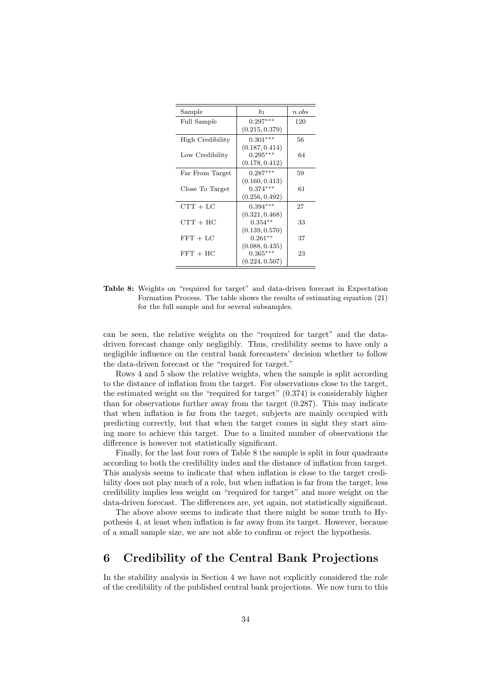| Sample           | b <sub>1</sub> | n.obs |
|------------------|----------------|-------|
| Full Sample      | $0.297***$     | 120   |
|                  | (0.215, 0.379) |       |
| High Credibility | $0.301***$     | 56    |
|                  | (0.187, 0.414) |       |
| Low Credibility  | $0.295***$     | 64    |
|                  | (0.178, 0.412) |       |
| Far From Target  | $0.287***$     | 59    |
|                  | (0.160, 0.413) |       |
| Close To Target  | $0.374***$     | 61    |
|                  | (0.256, 0.492) |       |
| $CTT + LC$       | $0.394***$     | 27    |
|                  | (0.321, 0.468) |       |
| $CTT + HC$       | $0.354**$      | 33    |
|                  | (0.139, 0.570) |       |
| $FFT+ LC$        | $0.261**$      | 37    |
|                  | (0.088, 0.435) |       |
| $FFT+HC$         | $0.365***$     | 23    |
|                  | (0.224, 0.507) |       |

Table 8: Weights on "required for target" and data-driven forecast in Expectation Formation Process. The table shows the results of estimating equation (21) for the full sample and for several subsamples.

can be seen, the relative weights on the "required for target" and the datadriven forecast change only negligibly. Thus, credibility seems to have only a negligible influence on the central bank forecasters' decision whether to follow the data-driven forecast or the "required for target."

Rows 4 and 5 show the relative weights, when the sample is split according to the distance of inflation from the target. For observations close to the target, the estimated weight on the "required for target" (0.374) is considerably higher than for observations further away from the target (0.287). This may indicate that when inflation is far from the target, subjects are mainly occupied with predicting correctly, but that when the target comes in sight they start aiming more to achieve this target. Due to a limited number of observations the difference is however not statistically significant.

Finally, for the last four rows of Table 8 the sample is split in four quadrants according to both the credibility index and the distance of inflation from target. This analysis seems to indicate that when inflation is close to the target credibility does not play much of a role, but when inflation is far from the target, less credibility implies less weight on "required for target" and more weight on the data-driven forecast. The differences are, yet again, not statistically significant.

The above above seems to indicate that there might be some truth to Hypothesis 4, at least when inflation is far away from its target. However, because of a small sample size, we are not able to confirm or reject the hypothesis.

## 6 Credibility of the Central Bank Projections

In the stability analysis in Section 4 we have not explicitly considered the role of the credibility of the published central bank projections. We now turn to this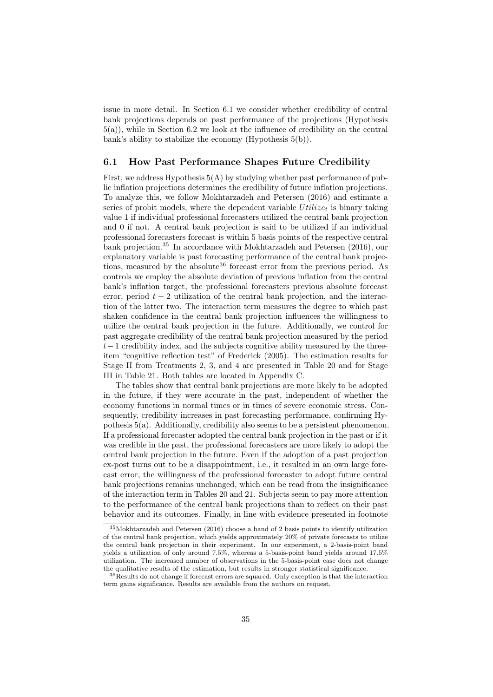issue in more detail. In Section 6.1 we consider whether credibility of central bank projections depends on past performance of the projections (Hypothesis 5(a)), while in Section 6.2 we look at the influence of credibility on the central bank's ability to stabilize the economy (Hypothesis 5(b)).

### 6.1 How Past Performance Shapes Future Credibility

First, we address Hypothesis 5(A) by studying whether past performance of public inflation projections determines the credibility of future inflation projections. To analyze this, we follow Mokhtarzadeh and Petersen (2016) and estimate a series of probit models, where the dependent variable  $Utilize_t$  is binary taking value 1 if individual professional forecasters utilized the central bank projection and 0 if not. A central bank projection is said to be utilized if an individual professional forecasters forecast is within 5 basis points of the respective central bank projection.<sup>35</sup> In accordance with Mokhtarzadeh and Petersen (2016), our explanatory variable is past forecasting performance of the central bank projections, measured by the absolute<sup>36</sup> forecast error from the previous period. As controls we employ the absolute deviation of previous inflation from the central bank's inflation target, the professional forecasters previous absolute forecast error, period  $t - 2$  utilization of the central bank projection, and the interaction of the latter two. The interaction term measures the degree to which past shaken confidence in the central bank projection influences the willingness to utilize the central bank projection in the future. Additionally, we control for past aggregate credibility of the central bank projection measured by the period  $t-1$  credibility index, and the subjects cognitive ability measured by the threeitem "cognitive reflection test" of Frederick (2005). The estimation results for Stage II from Treatments 2, 3, and 4 are presented in Table 20 and for Stage III in Table 21. Both tables are located in Appendix C.

The tables show that central bank projections are more likely to be adopted in the future, if they were accurate in the past, independent of whether the economy functions in normal times or in times of severe economic stress. Consequently, credibility increases in past forecasting performance, confirming Hypothesis 5(a). Additionally, credibility also seems to be a persistent phenomenon. If a professional forecaster adopted the central bank projection in the past or if it was credible in the past, the professional forecasters are more likely to adopt the central bank projection in the future. Even if the adoption of a past projection ex-post turns out to be a disappointment, i.e., it resulted in an own large forecast error, the willingness of the professional forecaster to adopt future central bank projections remains unchanged, which can be read from the insignificance of the interaction term in Tables 20 and 21. Subjects seem to pay more attention to the performance of the central bank projections than to reflect on their past behavior and its outcomes. Finally, in line with evidence presented in footnote

<sup>35</sup>Mokhtarzadeh and Petersen (2016) choose a band of 2 basis points to identify utilization of the central bank projection, which yields approximately 20% of private forecasts to utilize the central bank projection in their experiment. In our experiment, a 2-basis-point band yields a utilization of only around 7.5%, whereas a 5-basis-point band yields around 17.5% utilization. The increased number of observations in the 5-basis-point case does not change the qualitative results of the estimation, but results in stronger statistical significance.

<sup>36</sup>Results do not change if forecast errors are squared. Only exception is that the interaction term gains significance. Results are available from the authors on request.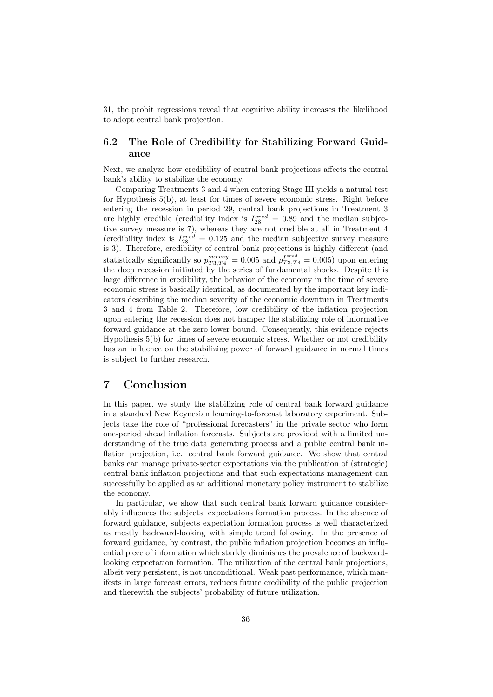31, the probit regressions reveal that cognitive ability increases the likelihood to adopt central bank projection.

### 6.2 The Role of Credibility for Stabilizing Forward Guidance

Next, we analyze how credibility of central bank projections affects the central bank's ability to stabilize the economy.

Comparing Treatments 3 and 4 when entering Stage III yields a natural test for Hypothesis 5(b), at least for times of severe economic stress. Right before entering the recession in period 29, central bank projections in Treatment 3 are highly credible (credibility index is  $I_{28}^{cred} = 0.89$  and the median subjective survey measure is 7), whereas they are not credible at all in Treatment 4 (credibility index is  $I_{28}^{cred} = 0.125$  and the median subjective survey measure is 3). Therefore, credibility of central bank projections is highly different (and statistically significantly so  $p_{T3,T4}^{survey} = 0.005$  and  $p_{T3,T4}^{I^{cred}} = 0.005$ ) upon entering the deep recession initiated by the series of fundamental shocks. Despite this large difference in credibility, the behavior of the economy in the time of severe economic stress is basically identical, as documented by the important key indicators describing the median severity of the economic downturn in Treatments 3 and 4 from Table 2. Therefore, low credibility of the inflation projection upon entering the recession does not hamper the stabilizing role of informative forward guidance at the zero lower bound. Consequently, this evidence rejects Hypothesis 5(b) for times of severe economic stress. Whether or not credibility has an influence on the stabilizing power of forward guidance in normal times is subject to further research.

# 7 Conclusion

In this paper, we study the stabilizing role of central bank forward guidance in a standard New Keynesian learning-to-forecast laboratory experiment. Subjects take the role of "professional forecasters" in the private sector who form one-period ahead inflation forecasts. Subjects are provided with a limited understanding of the true data generating process and a public central bank inflation projection, i.e. central bank forward guidance. We show that central banks can manage private-sector expectations via the publication of (strategic) central bank inflation projections and that such expectations management can successfully be applied as an additional monetary policy instrument to stabilize the economy.

In particular, we show that such central bank forward guidance considerably influences the subjects' expectations formation process. In the absence of forward guidance, subjects expectation formation process is well characterized as mostly backward-looking with simple trend following. In the presence of forward guidance, by contrast, the public inflation projection becomes an influential piece of information which starkly diminishes the prevalence of backwardlooking expectation formation. The utilization of the central bank projections, albeit very persistent, is not unconditional. Weak past performance, which manifests in large forecast errors, reduces future credibility of the public projection and therewith the subjects' probability of future utilization.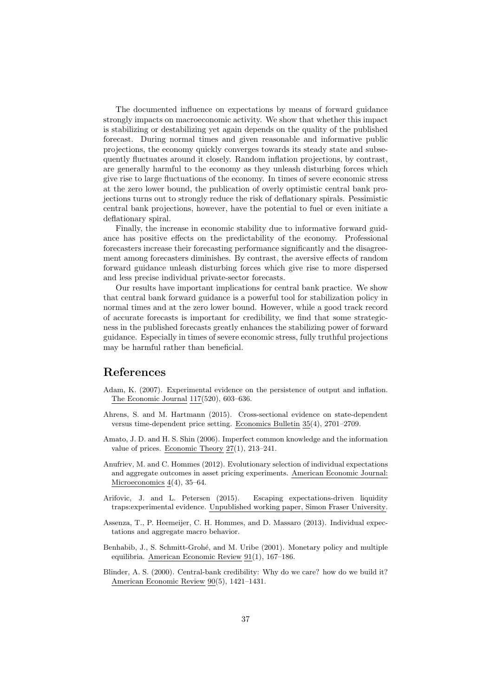The documented influence on expectations by means of forward guidance strongly impacts on macroeconomic activity. We show that whether this impact is stabilizing or destabilizing yet again depends on the quality of the published forecast. During normal times and given reasonable and informative public projections, the economy quickly converges towards its steady state and subsequently fluctuates around it closely. Random inflation projections, by contrast, are generally harmful to the economy as they unleash disturbing forces which give rise to large fluctuations of the economy. In times of severe economic stress at the zero lower bound, the publication of overly optimistic central bank projections turns out to strongly reduce the risk of deflationary spirals. Pessimistic central bank projections, however, have the potential to fuel or even initiate a deflationary spiral.

Finally, the increase in economic stability due to informative forward guidance has positive effects on the predictability of the economy. Professional forecasters increase their forecasting performance significantly and the disagreement among forecasters diminishes. By contrast, the aversive effects of random forward guidance unleash disturbing forces which give rise to more dispersed and less precise individual private-sector forecasts.

Our results have important implications for central bank practice. We show that central bank forward guidance is a powerful tool for stabilization policy in normal times and at the zero lower bound. However, while a good track record of accurate forecasts is important for credibility, we find that some strategicness in the published forecasts greatly enhances the stabilizing power of forward guidance. Especially in times of severe economic stress, fully truthful projections may be harmful rather than beneficial.

## References

- Adam, K. (2007). Experimental evidence on the persistence of output and inflation. The Economic Journal 117(520), 603–636.
- Ahrens, S. and M. Hartmann (2015). Cross-sectional evidence on state-dependent versus time-dependent price setting. Economics Bulletin 35(4), 2701–2709.
- Amato, J. D. and H. S. Shin (2006). Imperfect common knowledge and the information value of prices. Economic Theory 27(1), 213–241.
- Anufriev, M. and C. Hommes (2012). Evolutionary selection of individual expectations and aggregate outcomes in asset pricing experiments. American Economic Journal: Microeconomics 4(4), 35–64.
- Arifovic, J. and L. Petersen (2015). Escaping expectations-driven liquidity traps:experimental evidence. Unpublished working paper, Simon Fraser University.
- Assenza, T., P. Heemeijer, C. H. Hommes, and D. Massaro (2013). Individual expectations and aggregate macro behavior.
- Benhabib, J., S. Schmitt-Grohé, and M. Uribe (2001). Monetary policy and multiple equilibria. American Economic Review 91(1), 167–186.
- Blinder, A. S. (2000). Central-bank credibility: Why do we care? how do we build it? American Economic Review 90(5), 1421–1431.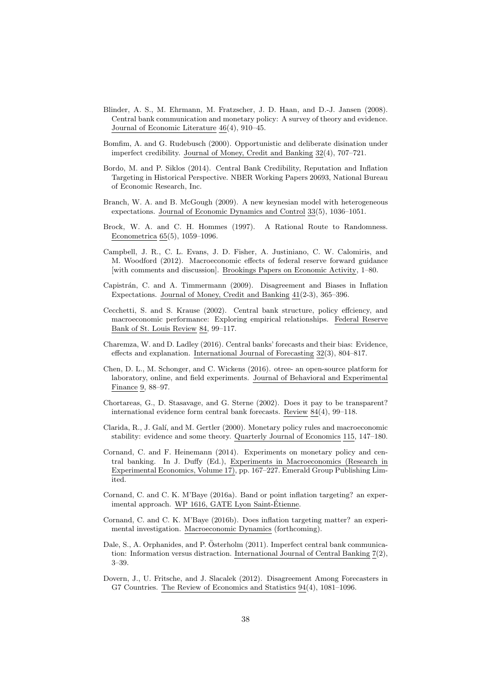- Blinder, A. S., M. Ehrmann, M. Fratzscher, J. D. Haan, and D.-J. Jansen (2008). Central bank communication and monetary policy: A survey of theory and evidence. Journal of Economic Literature 46(4), 910–45.
- Bomfim, A. and G. Rudebusch (2000). Opportunistic and deliberate disination under imperfect credibility. Journal of Money, Credit and Banking 32(4), 707–721.
- Bordo, M. and P. Siklos (2014). Central Bank Credibility, Reputation and Inflation Targeting in Historical Perspective. NBER Working Papers 20693, National Bureau of Economic Research, Inc.
- Branch, W. A. and B. McGough (2009). A new keynesian model with heterogeneous expectations. Journal of Economic Dynamics and Control 33(5), 1036–1051.
- Brock, W. A. and C. H. Hommes (1997). A Rational Route to Randomness. Econometrica 65(5), 1059–1096.
- Campbell, J. R., C. L. Evans, J. D. Fisher, A. Justiniano, C. W. Calomiris, and M. Woodford (2012). Macroeconomic effects of federal reserve forward guidance [with comments and discussion]. Brookings Papers on Economic Activity, 1–80.
- Capistrán, C. and A. Timmermann (2009). Disagreement and Biases in Inflation Expectations. Journal of Money, Credit and Banking 41(2-3), 365–396.
- Cecchetti, S. and S. Krause (2002). Central bank structure, policy effciency, and macroeconomic performance: Exploring empirical relationships. Federal Reserve Bank of St. Louis Review 84, 99–117.
- Charemza, W. and D. Ladley (2016). Central banks' forecasts and their bias: Evidence, effects and explanation. International Journal of Forecasting 32(3), 804–817.
- Chen, D. L., M. Schonger, and C. Wickens (2016). otree- an open-source platform for laboratory, online, and field experiments. Journal of Behavioral and Experimental Finance 9, 88–97.
- Chortareas, G., D. Stasavage, and G. Sterne (2002). Does it pay to be transparent? international evidence form central bank forecasts. Review 84(4), 99–118.
- Clarida, R., J. Galí, and M. Gertler (2000). Monetary policy rules and macroeconomic stability: evidence and some theory. Quarterly Journal of Economics 115, 147–180.
- Cornand, C. and F. Heinemann (2014). Experiments on monetary policy and central banking. In J. Duffy (Ed.), Experiments in Macroeconomics (Research in Experimental Economics, Volume 17), pp. 167–227. Emerald Group Publishing Limited.
- Cornand, C. and C. K. M'Baye (2016a). Band or point inflation targeting? an experimental approach. WP 1616, GATE Lyon Saint-Étienne.
- Cornand, C. and C. K. M'Baye (2016b). Does inflation targeting matter? an experimental investigation. Macroeconomic Dynamics (forthcoming).
- Dale, S., A. Orphanides, and P. Österholm (2011). Imperfect central bank communication: Information versus distraction. International Journal of Central Banking 7(2), 3–39.
- Dovern, J., U. Fritsche, and J. Slacalek (2012). Disagreement Among Forecasters in G7 Countries. The Review of Economics and Statistics 94(4), 1081–1096.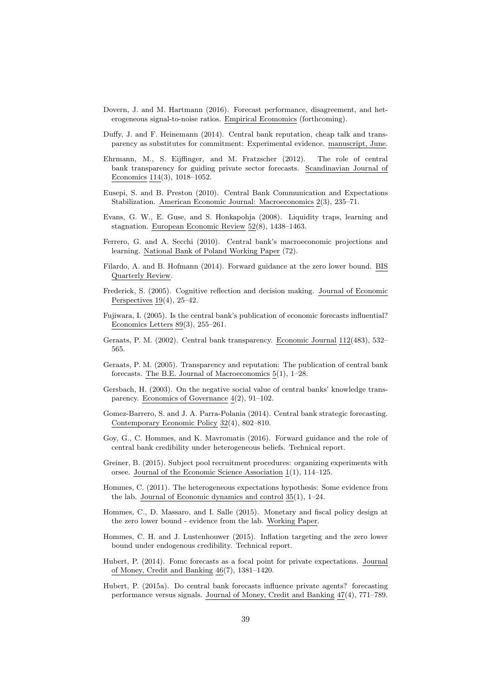- Dovern, J. and M. Hartmann (2016). Forecast performance, disagreement, and heterogeneous signal-to-noise ratios. Empirical Ecomomics (forthcoming).
- Duffy, J. and F. Heinemann (2014). Central bank reputation, cheap talk and transparency as substitutes for commitment: Experimental evidence. manuscript, June.
- Ehrmann, M., S. Eijffinger, and M. Fratzscher (2012). The role of central bank transparency for guiding private sector forecasts. Scandinavian Journal of Economics 114(3), 1018–1052.
- Eusepi, S. and B. Preston (2010). Central Bank Communication and Expectations Stabilization. American Economic Journal: Macroeconomics 2(3), 235–71.
- Evans, G. W., E. Guse, and S. Honkapohja (2008). Liquidity traps, learning and stagnation. European Economic Review 52(8), 1438–1463.
- Ferrero, G. and A. Secchi (2010). Central bank's macroeconomic projections and learning. National Bank of Poland Working Paper (72).
- Filardo, A. and B. Hofmann (2014). Forward guidance at the zero lower bound. BIS Quarterly Review.
- Frederick, S. (2005). Cognitive reflection and decision making. Journal of Economic Perspectives 19(4), 25–42.
- Fujiwara, I. (2005). Is the central bank's publication of economic forecasts influential? Economics Letters 89(3), 255–261.
- Geraats, P. M. (2002). Central bank transparency. Economic Journal 112(483), 532– 565.
- Geraats, P. M. (2005). Transparency and reputation: The publication of central bank forecasts. The B.E. Journal of Macroeconomics 5(1), 1–28.
- Gersbach, H. (2003). On the negative social value of central banks' knowledge transparency. Economics of Governance 4(2), 91–102.
- Gomez-Barrero, S. and J. A. Parra-Polania (2014). Central bank strategic forecasting. Contemporary Economic Policy 32(4), 802–810.
- Goy, G., C. Hommes, and K. Mavromatis (2016). Forward guidance and the role of central bank credibility under heterogeneous beliefs. Technical report.
- Greiner, B. (2015). Subject pool recruitment procedures: organizing experiments with orsee. Journal of the Economic Science Association 1(1), 114–125.
- Hommes, C. (2011). The heterogeneous expectations hypothesis: Some evidence from the lab. Journal of Economic dynamics and control 35(1), 1–24.
- Hommes, C., D. Massaro, and I. Salle (2015). Monetary and fiscal policy design at the zero lower bound - evidence from the lab. Working Paper.
- Hommes, C. H. and J. Lustenhouwer (2015). Inflation targeting and the zero lower bound under endogenous credibility. Technical report.
- Hubert, P. (2014). Fomc forecasts as a focal point for private expectations. Journal of Money, Credit and Banking 46(7), 1381–1420.
- Hubert, P. (2015a). Do central bank forecasts influence private agents? forecasting performance versus signals. Journal of Money, Credit and Banking 47(4), 771–789.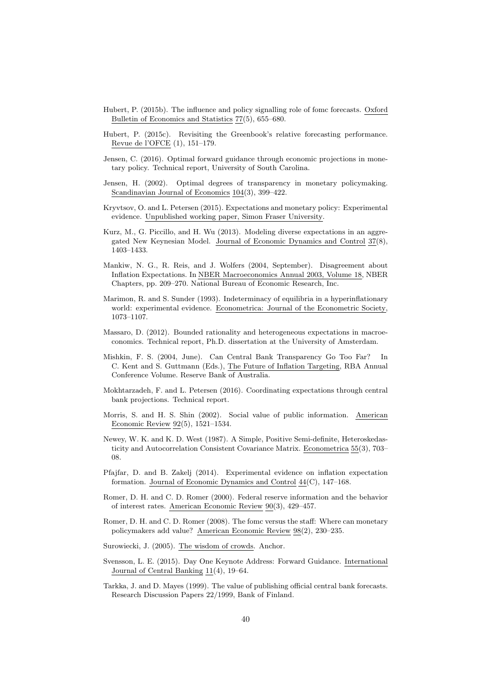- Hubert, P. (2015b). The influence and policy signalling role of fomc forecasts. Oxford Bulletin of Economics and Statistics 77(5), 655–680.
- Hubert, P. (2015c). Revisiting the Greenbook's relative forecasting performance. Revue de l'OFCE (1), 151–179.
- Jensen, C. (2016). Optimal forward guidance through economic projections in monetary policy. Technical report, University of South Carolina.
- Jensen, H. (2002). Optimal degrees of transparency in monetary policymaking. Scandinavian Journal of Economics 104(3), 399–422.
- Kryvtsov, O. and L. Petersen (2015). Expectations and monetary policy: Experimental evidence. Unpublished working paper, Simon Fraser University.
- Kurz, M., G. Piccillo, and H. Wu (2013). Modeling diverse expectations in an aggregated New Keynesian Model. Journal of Economic Dynamics and Control 37(8), 1403–1433.
- Mankiw, N. G., R. Reis, and J. Wolfers (2004, September). Disagreement about Inflation Expectations. In NBER Macroeconomics Annual 2003, Volume 18, NBER Chapters, pp. 209–270. National Bureau of Economic Research, Inc.
- Marimon, R. and S. Sunder (1993). Indeterminacy of equilibria in a hyperinflationary world: experimental evidence. Econometrica: Journal of the Econometric Society, 1073–1107.
- Massaro, D. (2012). Bounded rationality and heterogeneous expectations in macroeconomics. Technical report, Ph.D. dissertation at the University of Amsterdam.
- Mishkin, F. S. (2004, June). Can Central Bank Transparency Go Too Far? In C. Kent and S. Guttmann (Eds.), The Future of Inflation Targeting, RBA Annual Conference Volume. Reserve Bank of Australia.
- Mokhtarzadeh, F. and L. Petersen (2016). Coordinating expectations through central bank projections. Technical report.
- Morris, S. and H. S. Shin (2002). Social value of public information. American Economic Review 92(5), 1521–1534.
- Newey, W. K. and K. D. West (1987). A Simple, Positive Semi-definite, Heteroskedasticity and Autocorrelation Consistent Covariance Matrix. Econometrica 55(3), 703– 08.
- Pfajfar, D. and B. Zakelj (2014). Experimental evidence on inflation expectation formation. Journal of Economic Dynamics and Control 44(C), 147–168.
- Romer, D. H. and C. D. Romer (2000). Federal reserve information and the behavior of interest rates. American Economic Review 90(3), 429–457.
- Romer, D. H. and C. D. Romer (2008). The fomc versus the staff: Where can monetary policymakers add value? American Economic Review 98(2), 230–235.
- Surowiecki, J. (2005). The wisdom of crowds. Anchor.
- Svensson, L. E. (2015). Day One Keynote Address: Forward Guidance. International Journal of Central Banking 11(4), 19–64.
- Tarkka, J. and D. Mayes (1999). The value of publishing official central bank forecasts. Research Discussion Papers 22/1999, Bank of Finland.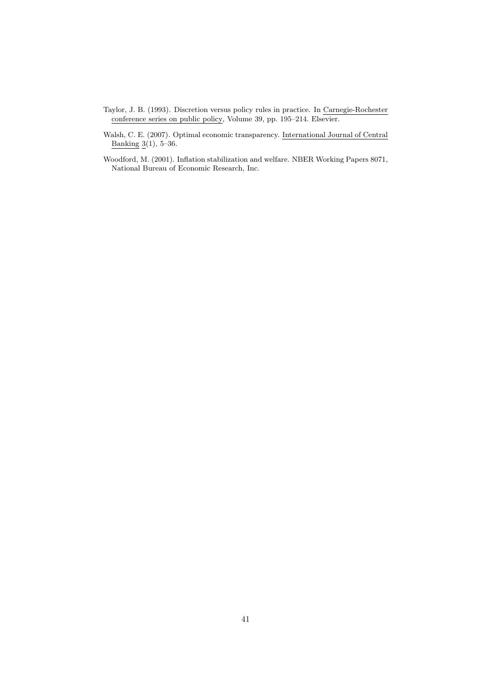- Taylor, J. B. (1993). Discretion versus policy rules in practice. In Carnegie-Rochester conference series on public policy, Volume 39, pp. 195–214. Elsevier.
- Walsh, C. E. (2007). Optimal economic transparency. International Journal of Central Banking  $3(1)$ , 5-36.
- Woodford, M. (2001). Inflation stabilization and welfare. NBER Working Papers 8071, National Bureau of Economic Research, Inc.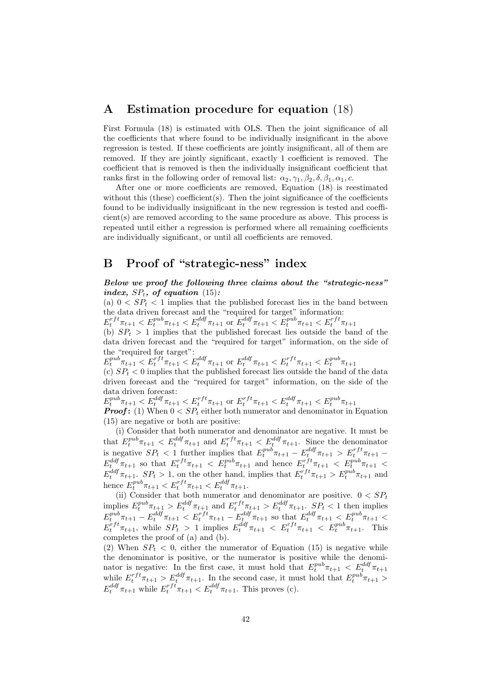### A Estimation procedure for equation (18)

First Formula (18) is estimated with OLS. Then the joint significance of all the coefficients that where found to be individually insignificant in the above regression is tested. If these coefficients are jointly insignificant, all of them are removed. If they are jointly significant, exactly 1 coefficient is removed. The coefficient that is removed is then the individually insignificant coefficient that ranks first in the following order of removal list:  $\alpha_2, \gamma_1, \beta_2, \delta, \beta_1, \alpha_1, c$ .

After one or more coefficients are removed, Equation (18) is reestimated without this (these) coefficient(s). Then the joint significance of the coefficients found to be individually insignificant in the new regression is tested and coefficient(s) are removed according to the same procedure as above. This process is repeated until either a regression is performed where all remaining coefficients are individually significant, or until all coefficients are removed.

### B Proof of "strategic-ness" index

Below we proof the following three claims about the "strategic-ness" index,  $SP<sub>t</sub>$ , of equation (15):

(a)  $0 < SP_t < 1$  implies that the published forecast lies in the band between the data driven forecast and the "required for target" information:

 $E_t^{rft}\pi_{t+1} < E_t^{pub}\pi_{t+1} < E_t^{ddf}\pi_{t+1}$  or  $E_t^{ddf}\pi_{t+1} < \tilde{E}_t^{pub}\pi_{t+1} < E_t^{rft}\pi_{t+1}$ 

(b)  $SP<sub>t</sub> > 1$  implies that the published forecast lies outside the band of the data driven forecast and the "required for target" information, on the side of the "required for target":

 $E_t^{pub} \pi_{t+1} < E_t^{rft} \pi_{t+1} < E_t^{ddf} \pi_{t+1}$  or  $E_t^{ddf} \pi_{t+1} < E_t^{rft} \pi_{t+1} < E_t^{pub} \pi_{t+1}$ 

(c)  $SP_t < 0$  implies that the published forecast lies outside the band of the data driven forecast and the "required for target" information, on the side of the data driven forecast:

 $E_t^{pub} \pi_{t+1} < E_t^{ddf} \pi_{t+1} < E_t^{rft} \pi_{t+1}$  or  $E_t^{rff} \pi_{t+1} < E_t^{ddf} \pi_{t+1} < E_t^{pub} \pi_{t+1}$ 

**Proof:** (1) When  $0 < SP_t$  either both numerator and denominator in Equation (15) are negative or both are positive:

(i) Consider that both numerator and denominator are negative. It must be that  $E_t^{pub}\pi_{t+1} < E_t^{ddf}\pi_{t+1}$  and  $E_t^{rft}\pi_{t+1} < E_t^{ddf}\pi_{t+1}$ . Since the denominator is negative  $SP_t < 1$  further implies that  $E_t^{pub} \pi_{t+1} - E_t^{ddf} \pi_{t+1} > E_t^{rft} \pi_{t+1}$  $E_t^{ddf} \pi_{t+1}$  so that  $E_t^{rft} \pi_{t+1} < E_t^{pub} \pi_{t+1}$  and hence  $E_t^{rft} \pi_{t+1} < E_t^{pub} \pi_{t+1}$  $E_t^{ddf}\pi_{t+1}$ .  $SP_t > 1$ , on the other hand, implies that  $E_t^{rft}\pi_{t+1} > E_t^{pub}\pi_{t+1}$  and hence  $E_t^{pub} \pi_{t+1} < E_t^{rft} \pi_{t+1} < E_t^{ddf} \pi_{t+1}.$ 

(ii) Consider that both numerator and denominator are positive.  $0 < SP<sub>t</sub>$ implies  $E_t^{pub} \pi_{t+1} > E_t^{ddf} \pi_{t+1}$  and  $E_t^{rft} \pi_{t+1} > E_t^{ddf} \pi_{t+1}$ .  $SP_t < 1$  then implies  $E_t^{pub} \pi_{t+1} - E_t^{ddf} \pi_{t+1} < E_t^{rft} \pi_{t+1} - E_t^{ddf} \pi_{t+1}$  so that  $E_t^{ddf} \pi_{t+1} < E_t^{pub} \pi_{t+1}$  $E_t^{rft} \pi_{t+1}$ , while  $SP_t > 1$  implies  $E_t^{ddf} \pi_{t+1} < E_t^{rft} \pi_{t+1} < E_t^{pub} \pi_{t+1}$ . This completes the proof of (a) and (b).

(2) When  $SP<sub>t</sub> < 0$ , either the numerator of Equation (15) is negative while the denominator is positive, or the numerator is positive while the denominator is negative: In the first case, it must hold that  $E_t^{pub}\pi_{t+1} < E_t^{ddf}\pi_{t+1}$ while  $E_t^{rft}\pi_{t+1} > E_t^{ddf}\pi_{t+1}$ . In the second case, it must hold that  $E_t^{pub}\pi_{t+1} >$  $E_t^{ddf}\pi_{t+1}$  while  $E_t^{rft}\pi_{t+1} < E_t^{ddf}\pi_{t+1}$ . This proves (c).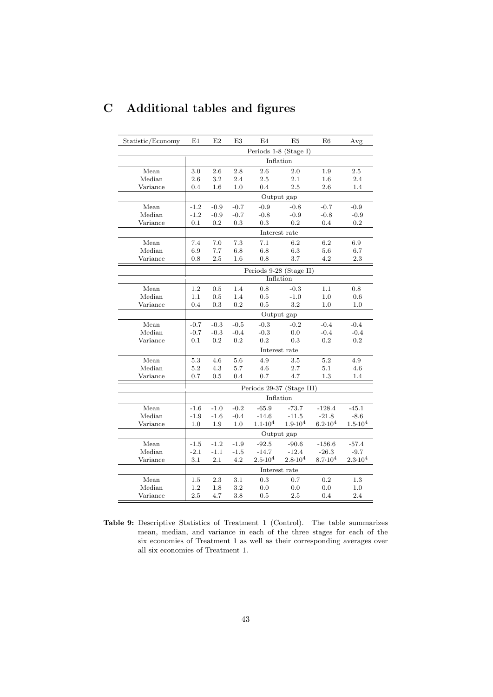| Statistic/Economy | E1      | E2      | E3      | E4         | E <sub>5</sub>            | E6         | Avg       |
|-------------------|---------|---------|---------|------------|---------------------------|------------|-----------|
|                   |         |         |         |            | Periods 1-8 (Stage I)     |            |           |
|                   |         |         |         |            | Inflation                 |            |           |
| Mean              | 3.0     | 2.6     | 2.8     | $2.6\,$    | 2.0                       | $1.9\,$    | 2.5       |
| Median            | 2.6     | 3.2     | 2.4     | 2.5        | 2.1                       | 1.6        | 2.4       |
| Variance          | 0.4     | $1.6\,$ | 1.0     | 0.4        | 2.5                       | 2.6        | 1.4       |
|                   |         |         |         |            | Output gap                |            |           |
| Mean              | $-1.2$  | $-0.9$  | $-0.7$  | $-0.9$     | $-0.8$                    | $-0.7$     | $-0.9$    |
| Median            | $-1.2$  | $-0.9$  | $-0.7$  | $-0.8$     | $-0.9$                    | $-0.8$     | $-0.9$    |
| Variance          | 0.1     | 0.2     | 0.3     | 0.3        | 0.2                       | 0.4        | 0.2       |
|                   |         |         |         |            | Interest rate             |            |           |
| Mean              | 7.4     | 7.0     | 7.3     | 7.1        | 6.2                       | 6.2        | 6.9       |
| Median            | 6.9     | 7.7     | 6.8     | 6.8        | 6.3                       | 5.6        | 6.7       |
| Variance          | 0.8     | 2.5     | $1.6\,$ | 0.8        | 3.7                       | 4.2        | 2.3       |
|                   |         |         |         |            | Periods 9-28 (Stage II)   |            |           |
|                   |         |         |         |            | Inflation                 |            |           |
| Mean              | $1.2\,$ | 0.5     | 1.4     | 0.8        | $-0.3$                    | 1.1        | 0.8       |
| Median            | 1.1     | 0.5     | 1.4     | 0.5        | $-1.0$                    | 1.0        | 0.6       |
| Variance          | 0.4     | 0.3     | 0.2     | 0.5        | 3.2                       | 1.0        | 1.0       |
|                   |         |         |         |            | Output gap                |            |           |
| Mean              | $-0.7$  | $-0.3$  | $-0.5$  | $-0.3$     | $-0.2$                    | $-0.4$     | $-0.4$    |
| Median            | $-0.7$  | $-0.3$  | $-0.4$  | $-0.3$     | 0.0                       | $-0.4$     | $-0.4$    |
| Variance          | 0.1     | 0.2     | 0.2     | 0.2        | 0.3                       | 0.2        | 0.2       |
|                   |         |         |         |            | Interest rate             |            |           |
| Mean              | 5.3     | 4.6     | 5.6     | 4.9        | $3.5\,$                   | 5.2        | 4.9       |
| Median            | 5.2     | 4.3     | 5.7     | 4.6        | 2.7                       | 5.1        | 4.6       |
| Variance          | 0.7     | $0.5\,$ | 0.4     | 0.7        | 4.7                       | $1.3\,$    | 1.4       |
|                   |         |         |         |            | Periods 29-37 (Stage III) |            |           |
|                   |         |         |         |            | Inflation                 |            |           |
| Mean              | $-1.6$  | $-1.0$  | $-0.2$  | $-65.9$    | $-73.7$                   | $-128.4$   | $-45.1$   |
| Median            | $-1.9$  | $-1.6$  | $-0.4$  | $-14.6$    | $-11.5$                   | $-21.8$    | $-8.6$    |
| Variance          | 1.0     | 1.9     | 1.0     | $1.1*104$  | $1.9\mathord{\cdot} 10^4$ | $6.2*104$  | $1.5*104$ |
|                   |         |         |         |            | Output gap                |            |           |
| Mean              | $-1.5$  | $-1.2$  | $-1.9$  | $-92.5$    | $-90.6$                   | $-156.6$   | $-57.4$   |
| Median            | $-2.1$  | $-1.1$  | $-1.5$  | $-14.7$    | $-12.4$                   | $-26.3$    | $-9.7$    |
| Variance          | 3.1     | 2.1     | 4.2     | $2.5*10^4$ | $2.8*104$                 | $8.7*10^4$ | $2.3*104$ |
|                   |         |         |         |            | Interest rate             |            |           |
| Mean              | $1.5\,$ | $2.3\,$ | 3.1     | 0.3        | 0.7                       | 0.2        | 1.3       |
| Median            | $1.2\,$ | 1.8     | 3.2     | 0.0        | 0.0                       | 0.0        | 1.0       |
| Variance          | 2.5     | 4.7     | 3.8     | 0.5        | 2.5                       | 0.4        | 2.4       |

# C Additional tables and figures

Table 9: Descriptive Statistics of Treatment 1 (Control). The table summarizes mean, median, and variance in each of the three stages for each of the six economies of Treatment 1 as well as their corresponding averages over all six economies of Treatment 1.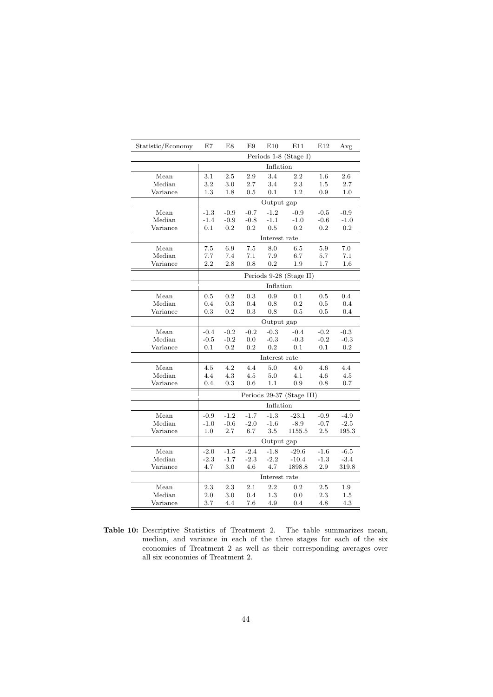| Statistic/Economy | E7         | E8                      | E9        | E10           | E11                       | E12     | Avg    |  |  |  |  |
|-------------------|------------|-------------------------|-----------|---------------|---------------------------|---------|--------|--|--|--|--|
|                   |            |                         |           |               | Periods 1-8 (Stage I)     |         |        |  |  |  |  |
|                   |            |                         |           | Inflation     |                           |         |        |  |  |  |  |
| Mean              | 3.1        | 2.5                     | $2.9\,$   | 3.4           | 2.2                       | 1.6     | 2.6    |  |  |  |  |
| Median            | 3.2        | 3.0                     | 2.7       | 3.4           | 2.3                       | 1.5     | 2.7    |  |  |  |  |
| Variance          | 1.3        | 1.8                     | 0.5       | 0.1           | 1.2                       | 0.9     | 1.0    |  |  |  |  |
|                   |            |                         |           | Output gap    |                           |         |        |  |  |  |  |
| Mean              | $-1.3$     | $-0.9$                  | $-0.7$    | $-1.2$        | $-0.9$                    | $-0.5$  | $-0.9$ |  |  |  |  |
| Median            | $-1.4$     | $-0.9$                  | $-0.8$    | $-1.1$        | $-1.0$                    | $-0.6$  | $-1.0$ |  |  |  |  |
| Variance          | 0.1        | 0.2                     | 0.2       | 0.5           | 0.2                       | 0.2     | 0.2    |  |  |  |  |
|                   |            | Interest rate           |           |               |                           |         |        |  |  |  |  |
| Mean              | 7.5        | 6.9                     | 7.5       | 8.0           | 6.5                       | 5.9     | 7.0    |  |  |  |  |
| Median            | 7.7        | 7.4                     | 7.1       | 7.9           | 6.7                       | 5.7     | 7.1    |  |  |  |  |
| Variance          | 2.2        | 2.8                     | 0.8       | 0.2           | 1.9                       | 1.7     | 1.6    |  |  |  |  |
|                   |            | Periods 9-28 (Stage II) |           |               |                           |         |        |  |  |  |  |
|                   |            | Inflation               |           |               |                           |         |        |  |  |  |  |
| Mean              | $0.5\,$    | 0.2                     | $\rm 0.3$ | 0.9           | 0.1                       | 0.5     | 0.4    |  |  |  |  |
| Median            | 0.4        | 0.3                     | 0.4       | 0.8           | 0.2                       | 0.5     | 0.4    |  |  |  |  |
| Variance          | 0.3        | 0.2                     | 0.3       | 0.8           | 0.5                       | 0.5     | 0.4    |  |  |  |  |
|                   | Output gap |                         |           |               |                           |         |        |  |  |  |  |
| Mean              | $-0.4$     | $-0.2$                  | $-0.2$    | $-0.3$        | $-0.4$                    | $-0.2$  | $-0.3$ |  |  |  |  |
| Median            | $-0.5$     | $-0.2$                  | 0.0       | $-0.3$        | $-0.3$                    | $-0.2$  | $-0.3$ |  |  |  |  |
| Variance          | 0.1        | 0.2                     | 0.2       | 0.2           | 0.1                       | 0.1     | 0.2    |  |  |  |  |
|                   |            |                         |           | Interest rate |                           |         |        |  |  |  |  |
| Mean              | 4.5        | 4.2                     | 4.4       | 5.0           | 4.0                       | 4.6     | 4.4    |  |  |  |  |
| Median            | 4.4        | 4.3                     | 4.5       | 5.0           | 4.1                       | 4.6     | 4.5    |  |  |  |  |
| Variance          | 0.4        | 0.3                     | 0.6       | 1.1           | 0.9                       | 0.8     | 0.7    |  |  |  |  |
|                   |            |                         |           |               | Periods 29-37 (Stage III) |         |        |  |  |  |  |
|                   |            |                         |           | Inflation     |                           |         |        |  |  |  |  |
| Mean              | $-0.9$     | $-1.2$                  | $-1.7$    | $-1.3$        | $-23.1$                   | $-0.9$  | $-4.9$ |  |  |  |  |
| Median            | $-1.0$     | $-0.6$                  | $-2.0$    | $-1.6$        | $-8.9$                    | $-0.7$  | $-2.5$ |  |  |  |  |
| Variance          | 1.0        | 2.7                     | 6.7       | 3.5           | 1155.5                    | 2.5     | 195.3  |  |  |  |  |
|                   |            |                         |           | Output gap    |                           |         |        |  |  |  |  |
| Mean              | $-2.0$     | $-1.5$                  | $-2.4$    | $-1.8$        | $-29.6$                   | $-1.6$  | $-6.5$ |  |  |  |  |
| Median            | $-2.3$     | $-1.7$                  | $-2.3$    | $-2.2$        | $-10.4$                   | $-1.3$  | $-3.4$ |  |  |  |  |
| Variance          | 4.7        | 3.0                     | 4.6       | 4.7           | 1898.8                    | 2.9     | 319.8  |  |  |  |  |
|                   |            |                         |           | Interest rate |                           |         |        |  |  |  |  |
| Mean              | $2.3\,$    | 2.3                     | 2.1       | 2.2           | 0.2                       | $2.5\,$ | 1.9    |  |  |  |  |
| Median            | 2.0        | 3.0                     | 0.4       | 1.3           | 0.0                       | $2.3\,$ | 1.5    |  |  |  |  |
| Variance          | 3.7        | 4.4                     | 7.6       | 4.9           | 0.4                       | 4.8     | 4.3    |  |  |  |  |

Table 10: Descriptive Statistics of Treatment 2. The table summarizes mean, median, and variance in each of the three stages for each of the six economies of Treatment 2 as well as their corresponding averages over all six economies of Treatment 2.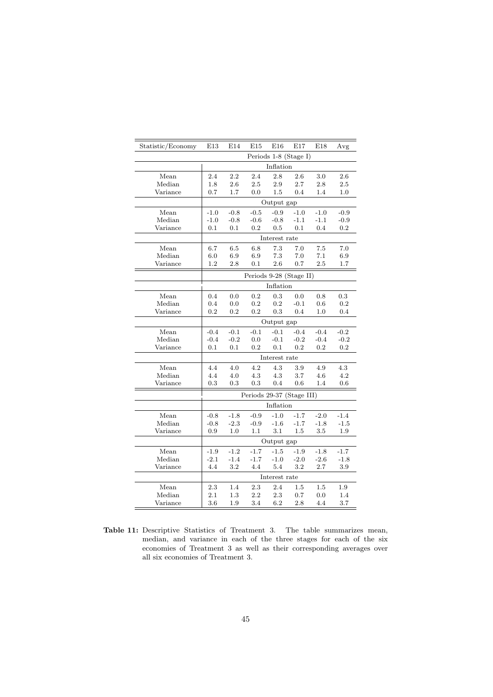| Statistic/Economy | E13           | E14                                    | E15                       | E16           | E17                   | E18    | Avg     |  |  |  |  |
|-------------------|---------------|----------------------------------------|---------------------------|---------------|-----------------------|--------|---------|--|--|--|--|
|                   |               |                                        |                           |               | Periods 1-8 (Stage I) |        |         |  |  |  |  |
|                   |               |                                        |                           | Inflation     |                       |        |         |  |  |  |  |
| Mean              | 2.4           | 2.2                                    | 2.4                       | 2.8           | 2.6                   | 3.0    | 2.6     |  |  |  |  |
| Median            | 1.8           | 2.6                                    | 2.5                       | 2.9           | 2.7                   | 2.8    | 2.5     |  |  |  |  |
| Variance          | 0.7           | 1.7                                    | 0.0                       | 1.5           | 0.4                   | 1.4    | 1.0     |  |  |  |  |
|                   |               | Output gap                             |                           |               |                       |        |         |  |  |  |  |
| Mean              | $-1.0$        | $-0.8$                                 | $-0.5$                    | $-0.9$        | $-1.0$                | $-1.0$ | $-0.9$  |  |  |  |  |
| Median            | $-1.0$        | $-0.8$                                 | $-0.6$                    | $-0.8$        | $-1.1$                | $-1.1$ | $-0.9$  |  |  |  |  |
| Variance          | 0.1           | 0.1                                    | 0.2                       | 0.5           | 0.1                   | 0.4    | 0.2     |  |  |  |  |
|                   | Interest rate |                                        |                           |               |                       |        |         |  |  |  |  |
| Mean              | 6.7           | 7.3<br>6.5<br>6.8<br>7.0<br>7.5<br>7.0 |                           |               |                       |        |         |  |  |  |  |
| Median            | 6.0           | 6.9                                    | 6.9                       | 7.3           | 7.0                   | 7.1    | 6.9     |  |  |  |  |
| Variance          | 1.2           | 2.8                                    | 0.1                       | 2.6           | 0.7                   | 2.5    | 1.7     |  |  |  |  |
|                   |               |                                        | Periods 9-28 (Stage II)   |               |                       |        |         |  |  |  |  |
|                   | Inflation     |                                        |                           |               |                       |        |         |  |  |  |  |
| Mean              | 0.4           | 0.0                                    | 0.2                       | 0.3           | 0.0                   | 0.8    | 0.3     |  |  |  |  |
| Median            | 0.4           | 0.0                                    | 0.2                       | 0.2           | $-0.1$                | 0.6    | 0.2     |  |  |  |  |
| Variance          | 0.2           | 0.2                                    | 0.2                       | 0.3           | 0.4                   | 1.0    | $0.4\,$ |  |  |  |  |
|                   |               |                                        |                           | Output gap    |                       |        |         |  |  |  |  |
| Mean              | $-0.4$        | $-0.1$                                 | $-0.1$                    | $-0.1$        | $-0.4$                | $-0.4$ | $-0.2$  |  |  |  |  |
| Median            | $-0.4$        | $-0.2$                                 | 0.0                       | $-0.1$        | $-0.2$                | $-0.4$ | $-0.2$  |  |  |  |  |
| Variance          | 0.1           | 0.1                                    | 0.2                       | 0.1           | 0.2                   | 0.2    | 0.2     |  |  |  |  |
|                   |               |                                        |                           | Interest rate |                       |        |         |  |  |  |  |
| Mean              | 4.4           | 4.0                                    | 4.2                       | 4.3           | 3.9                   | 4.9    | 4.3     |  |  |  |  |
| Median            | 4.4           | 4.0                                    | 4.3                       | 4.3           | 3.7                   | 4.6    | 4.2     |  |  |  |  |
| Variance          | 0.3           | 0.3                                    | 0.3                       | 0.4           | 0.6                   | 1.4    | 0.6     |  |  |  |  |
|                   |               |                                        | Periods 29-37 (Stage III) |               |                       |        |         |  |  |  |  |
|                   |               |                                        |                           | Inflation     |                       |        |         |  |  |  |  |
| Mean              | $-0.8$        | $-1.8$                                 | $-0.9$                    | $-1.0$        | $-1.7$                | $-2.0$ | $-1.4$  |  |  |  |  |
| Median            | $-0.8$        | $-2.3$                                 | $-0.9$                    | $-1.6$        | $-1.7$                | $-1.8$ | $-1.5$  |  |  |  |  |
| Variance          | 0.9           | 1.0                                    | 1.1                       | 3.1           | 1.5                   | 3.5    | 1.9     |  |  |  |  |
|                   |               |                                        |                           | Output gap    |                       |        |         |  |  |  |  |
| Mean              | $-1.9$        | $-1.2$                                 | $-1.7$                    | $-1.5$        | $-1.9$                | $-1.8$ | $-1.7$  |  |  |  |  |
| Median            | $-2.1$        | $-1.4$                                 | $-1.7$                    | $-1.0$        | $-2.0$                | $-2.6$ | $-1.8$  |  |  |  |  |
| Variance          | 4.4           | 3.2                                    | 4.4                       | 5.4           | 3.2                   | 2.7    | 3.9     |  |  |  |  |
|                   |               |                                        |                           | Interest rate |                       |        |         |  |  |  |  |
| Mean              | 2.3           | 1.4                                    | 2.3                       | 2.4           | $1.5\,$               | 1.5    | 1.9     |  |  |  |  |
| Median            | 2.1           | $1.3\,$                                | 2.2                       | 2.3           | 0.7                   | 0.0    | 1.4     |  |  |  |  |
| Variance          | $3.6\,$       | 1.9                                    | 3.4                       | 6.2           | 2.8                   | 4.4    | 3.7     |  |  |  |  |

Table 11: Descriptive Statistics of Treatment 3. The table summarizes mean, median, and variance in each of the three stages for each of the six economies of Treatment 3 as well as their corresponding averages over all six economies of Treatment 3.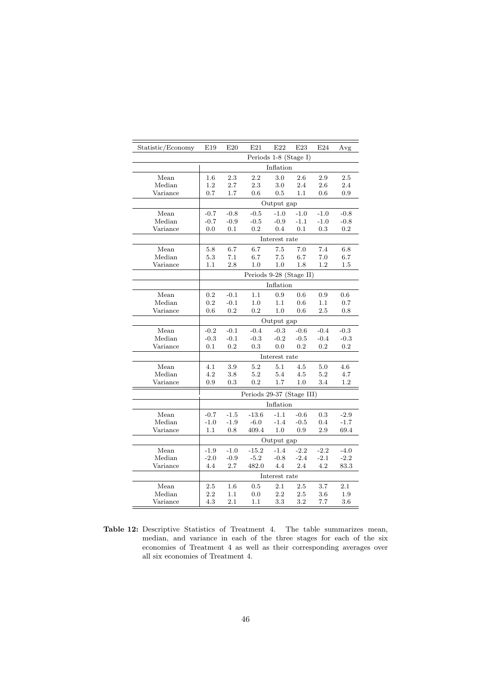| Statistic/Economy | E19       | E20     | E21                       | E22                   | E <sub>23</sub> | E24       | Avg     |  |
|-------------------|-----------|---------|---------------------------|-----------------------|-----------------|-----------|---------|--|
|                   |           |         |                           | Periods 1-8 (Stage I) |                 |           |         |  |
|                   |           |         |                           | Inflation             |                 |           |         |  |
| Mean              | 1.6       | 2.3     | 2.2                       | 3.0                   | 2.6             | 2.9       | 2.5     |  |
| Median            | 1.2       | $2.7\,$ | 2.3                       | 3.0                   | 2.4             | 2.6       | 2.4     |  |
| Variance          | 0.7       | 1.7     | 0.6                       | 0.5                   | 1.1             | 0.6       | 0.9     |  |
|                   |           |         |                           | Output gap            |                 |           |         |  |
| Mean              | $-0.7$    | $-0.8$  | $-0.5$                    | $-1.0$                | $-1.0$          | $-1.0$    | $-0.8$  |  |
| Median            | $-0.7$    | $-0.9$  | $-0.5$                    | $-0.9$                | $-1.1$          | $-1.0$    | $-0.8$  |  |
| Variance          | 0.0       | 0.1     | 0.2                       | 0.4                   | 0.1             | 0.3       | 0.2     |  |
|                   |           |         |                           | Interest rate         |                 |           |         |  |
| Mean              | 5.8       | 6.7     | 6.7                       | 7.5                   | 7.0             | 7.4       | 6.8     |  |
| Median            | 5.3       | 7.1     | 6.7                       | 7.5                   | 6.7             | 7.0       | 6.7     |  |
| Variance          | 1.1       | 2.8     | 1.0                       | 1.0                   | 1.8             | 1.2       | $1.5\,$ |  |
|                   |           |         | Periods 9-28 (Stage II)   |                       |                 |           |         |  |
|                   | Inflation |         |                           |                       |                 |           |         |  |
| Mean              | 0.2       | $-0.1$  | 1.1                       | 0.9                   | 0.6             | $\rm 0.9$ | 0.6     |  |
| Median            | 0.2       | $-0.1$  | 1.0                       | 1.1                   | 0.6             | 1.1       | 0.7     |  |
| Variance          | 0.6       | 0.2     | 0.2                       | 1.0                   | 0.6             | 2.5       | 0.8     |  |
|                   |           |         |                           | Output gap            |                 |           |         |  |
| Mean              | $-0.2$    | $-0.1$  | $-0.4$                    | $-0.3$                | $-0.6$          | $-0.4$    | $-0.3$  |  |
| Median            | $-0.3$    | $-0.1$  | $-0.3$                    | $-0.2$                | $-0.5$          | $-0.4$    | $-0.3$  |  |
| Variance          | 0.1       | 0.2     | 0.3                       | 0.0                   | 0.2             | 0.2       | 0.2     |  |
|                   |           |         |                           | Interest rate         |                 |           |         |  |
| Mean              | 4.1       | 3.9     | 5.2                       | 5.1                   | 4.5             | 5.0       | 4.6     |  |
| Median            | 4.2       | 3.8     | 5.2                       | 5.4                   | 4.5             | 5.2       | 4.7     |  |
| Variance          | 0.9       | 0.3     | 0.2                       | 1.7                   | 1.0             | 3.4       | 1.2     |  |
|                   |           |         | Periods 29-37 (Stage III) |                       |                 |           |         |  |
|                   |           |         |                           | Inflation             |                 |           |         |  |
| Mean              | $-0.7$    | $-1.5$  | $-13.6$                   | $-1.1$                | $-0.6$          | $\rm 0.3$ | $-2.9$  |  |
| Median            | $-1.0$    | $-1.9$  | $-6.0$                    | $-1.4$                | $-0.5$          | 0.4       | $-1.7$  |  |
| Variance          | 1.1       | 0.8     | 409.4                     | 1.0                   | 0.9             | 2.9       | 69.4    |  |
|                   |           |         |                           | Output gap            |                 |           |         |  |
| Mean              | $-1.9$    | $-1.0$  | $-15.2$                   | $-1.4$                | $-2.2$          | $-2.2$    | $-4.0$  |  |
| Median            | $-2.0$    | $-0.9$  | $-5.2$                    | $-0.8$                | $-2.4$          | $-2.1$    | $-2.2$  |  |
| Variance          | 4.4       | 2.7     | 482.0                     | 4.4                   | 2.4             | 4.2       | 83.3    |  |
|                   |           |         |                           | Interest rate         |                 |           |         |  |
| Mean              | $2.5\,$   | 1.6     | 0.5                       | 2.1                   | $2.5\,$         | 3.7       | 2.1     |  |
| Median            | 2.2       | 1.1     | 0.0                       | 2.2                   | 2.5             | 3.6       | 1.9     |  |
| Variance          | 4.3       | 2.1     | 1.1                       | 3.3                   | $3.2\,$         | 7.7       | 3.6     |  |

Table 12: Descriptive Statistics of Treatment 4. The table summarizes mean, median, and variance in each of the three stages for each of the six economies of Treatment 4 as well as their corresponding averages over all six economies of Treatment 4.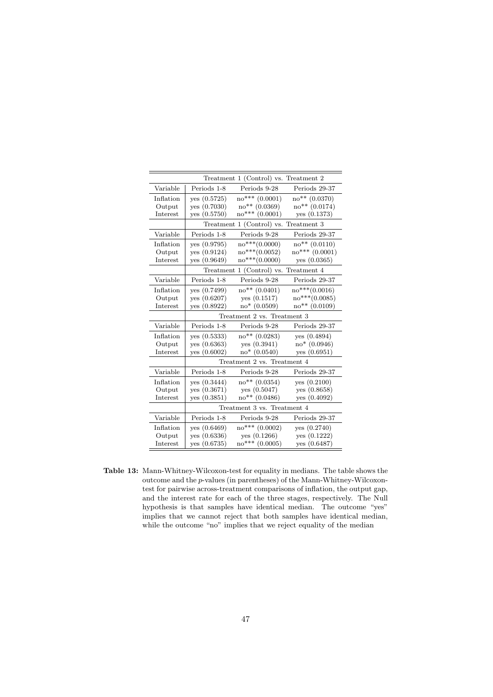|           |                | Treatment 1 (Control) vs. Treatment 2 |                    |
|-----------|----------------|---------------------------------------|--------------------|
| Variable  | Periods 1-8    | Periods 9-28                          | Periods 29-37      |
| Inflation | yes $(0.5725)$ | $no***$ (0.0001)                      | $no**$ (0.0370)    |
| Output    | yes (0.7030)   | $no^{**}$ (0.0369)                    | $no^{**}$ (0.0174) |
| Interest  | yes $(0.5750)$ | $no***(0.0001)$                       | yes (0.1373)       |
|           |                | Treatment 1 (Control) vs.             | Treatment 3        |
| Variable  | Periods 1-8    | Periods 9-28                          | Periods 29-37      |
| Inflation | yes (0.9795)   | $no***(0.0000)$                       | $no**$ (0.0110)    |
| Output    | ves (0.9124)   | $no***(0.0052)$                       | $no***(0.0001)$    |
| Interest  | yes $(0.9649)$ | $no***(0.0000)$                       | yes (0.0365)       |
|           |                | Treatment 1 (Control) vs.             | Treatment 4        |
| Variable  | Periods 1-8    | Periods 9-28                          | Periods 29-37      |
| Inflation | yes (0.7499)   | $no^{**}$ (0.0401)                    | $no***(0.0016)$    |
| Output    | yes (0.6207)   | yes (0.1517)                          | $no***(0.0085)$    |
| Interest  | yes (0.8922)   | $no*(0.0509)$                         | $no^{**}$ (0.0109) |
|           |                | Treatment 2 vs. Treatment 3           |                    |
| Variable  | Periods 1-8    | Periods 9-28                          | Periods 29-37      |
| Inflation | yes $(0.5333)$ | $no**$ (0.0283)                       | yes $(0.4894)$     |
| Output    | yes (0.6363)   | yes (0.3941)                          | $no*(0.0946)$      |
| Interest  | yes (0.6002)   | $no*(0.0540)$                         | yes (0.6951)       |
|           |                | Treatment 2 vs. Treatment 4           |                    |
| Variable  | Periods 1-8    | Periods 9-28                          | Periods 29-37      |
| Inflation | yes $(0.3444)$ | $no^{**}$ (0.0354)                    | yes $(0.2100)$     |
| Output    | yes (0.3671)   | yes (0.5047)                          | yes $(0.8658)$     |
| Interest  | yes $(0.3851)$ | $no**$ (0.0486)                       | yes (0.4092)       |
|           |                | Treatment 3 vs. Treatment 4           |                    |
| Variable  | Periods 1-8    | Periods 9-28                          | Periods 29-37      |
| Inflation | yes $(0.6469)$ | $no***$ (0.0002)                      | yes $(0.2740)$     |
| Output    | yes $(0.6336)$ | yes (0.1266)                          | yes (0.1222)       |
| Interest  | yes (0.6735)   | $no***$ (0.0005)                      | yes (0.6487)       |

Table 13: Mann-Whitney-Wilcoxon-test for equality in medians. The table shows the outcome and the p-values (in parentheses) of the Mann-Whitney-Wilcoxontest for pairwise across-treatment comparisons of inflation, the output gap, and the interest rate for each of the three stages, respectively. The Null hypothesis is that samples have identical median. The outcome "yes" implies that we cannot reject that both samples have identical median, while the outcome "no" implies that we reject equality of the median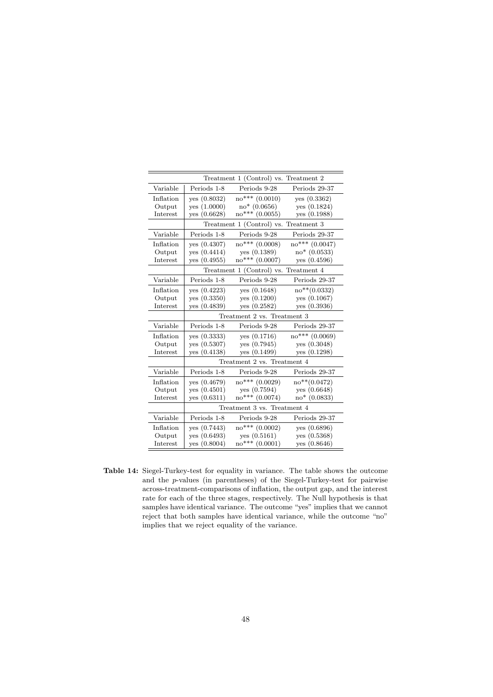|           |                | Treatment 1 (Control) vs. Treatment 2 |                  |
|-----------|----------------|---------------------------------------|------------------|
| Variable  | Periods 1-8    | Periods 9-28                          | Periods 29-37    |
| Inflation | yes (0.8032)   | $no***(0.0010)$                       | yes (0.3362)     |
| Output    | yes (1.0000)   | $no*$ (0.0656)                        | yes (0.1824)     |
| Interest  | yes $(0.6628)$ | $no***$ (0.0055)                      | yes (0.1988)     |
|           |                | Treatment 1 (Control) vs.             | Treatment 3      |
| Variable  | Periods 1-8    | Periods 9-28                          | Periods 29-37    |
| Inflation | ves (0.4307)   | $no***$ (0.0008)                      | $no***$ (0.0047) |
| Output    | yes (0.4414)   | yes (0.1389)                          | $no*(0.0533)$    |
| Interest  | yes (0.4955)   | $no***$ (0.0007)                      | yes $(0.4596)$   |
|           |                | Treatment 1 (Control) vs.             | Treatment 4      |
| Variable  | Periods 1-8    | Periods 9-28                          | Periods 29-37    |
| Inflation | yes (0.4223)   | yes (0.1648)                          | $no**$ (0.0332)  |
| Output    | yes $(0.3350)$ | yes (0.1200)                          | yes (0.1067)     |
| Interest  | yes $(0.4839)$ | yes $(0.2582)$                        | yes (0.3936)     |
|           |                | Treatment 2 vs. Treatment 3           |                  |
| Variable  | Periods 1-8    | Periods 9-28                          | Periods 29-37    |
| Inflation | yes $(0.3333)$ | yes (0.1716)                          | $no***$ (0.0069) |
| Output    | yes (0.5307)   | yes (0.7945)                          | yes (0.3048)     |
| Interest  | yes $(0.4138)$ | yes (0.1499)                          | yes $(0.1298)$   |
|           |                | Treatment 2 vs. Treatment 4           |                  |
| Variable  | Periods 1-8    | Periods 9-28                          | Periods 29-37    |
| Inflation | yes (0.4679)   | $no***$ (0.0029)                      | $no**$ (0.0472)  |
| Output    | ves (0.4501)   | ves (0.7594)                          | yes $(0.6648)$   |
| Interest  | yes (0.6311)   | $no***$ (0.0074)                      | $no*(0.0833)$    |
|           |                | Treatment 3 vs. Treatment 4           |                  |
| Variable  | Periods 1-8    | Periods 9-28                          | Periods 29-37    |
| Inflation | yes $(0.7443)$ | $no***$ (0.0002)                      | yes $(0.6896)$   |
| Output    | yes (0.6493)   | yes (0.5161)                          | yes $(0.5368)$   |
| Interest  | yes (0.8004)   | $no***(0.0001)$                       | yes (0.8646)     |

Table 14: Siegel-Turkey-test for equality in variance. The table shows the outcome and the p-values (in parentheses) of the Siegel-Turkey-test for pairwise across-treatment-comparisons of inflation, the output gap, and the interest rate for each of the three stages, respectively. The Null hypothesis is that samples have identical variance. The outcome "yes" implies that we cannot reject that both samples have identical variance, while the outcome "no" implies that we reject equality of the variance.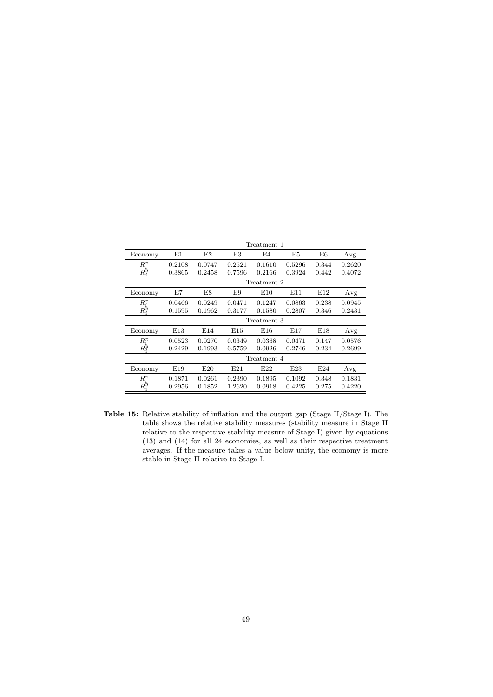|                             |        |        |        | Treatment 1 |        |       |        |
|-----------------------------|--------|--------|--------|-------------|--------|-------|--------|
| Economy                     | E1     | E2     | E3     | E4          | E5     | E6    | Avg    |
| $R_i^{\pi}$                 | 0.2108 | 0.0747 | 0.2521 | 0.1610      | 0.5296 | 0.344 | 0.2620 |
| $R_i^y$                     | 0.3865 | 0.2458 | 0.7596 | 0.2166      | 0.3924 | 0.442 | 0.4072 |
|                             |        |        |        | Treatment 2 |        |       |        |
| Economy                     | E7     | E8     | E9     | E10         | E11    | E12   | Avg    |
|                             | 0.0466 | 0.0249 | 0.0471 | 0.1247      | 0.0863 | 0.238 | 0.0945 |
| $R_i^{\pi}$<br>$R_i^{\Psi}$ | 0.1595 | 0.1962 | 0.3177 | 0.1580      | 0.2807 | 0.346 | 0.2431 |
|                             |        |        |        | Treatment 3 |        |       |        |
| Economy                     | E13    | E14    | E15    | E16         | E17    | E18   | Avg    |
| $R_{i}^{\pi}$               | 0.0523 | 0.0270 | 0.0349 | 0.0368      | 0.0471 | 0.147 | 0.0576 |
|                             | 0.2429 | 0.1993 | 0.5759 | 0.0926      | 0.2746 | 0.234 | 0.2699 |
|                             |        |        |        | Treatment 4 |        |       |        |
| Economy                     | E19    | E20    | E21    | E22         | E23    | E24   | Avg    |
| $R_i^{\pi}$<br>$R_i^y$      | 0.1871 | 0.0261 | 0.2390 | 0.1895      | 0.1092 | 0.348 | 0.1831 |
|                             | 0.2956 | 0.1852 | 1.2620 | 0.0918      | 0.4225 | 0.275 | 0.4220 |

Table 15: Relative stability of inflation and the output gap (Stage II/Stage I). The table shows the relative stability measures (stability measure in Stage II relative to the respective stability measure of Stage I) given by equations (13) and (14) for all 24 economies, as well as their respective treatment averages. If the measure takes a value below unity, the economy is more stable in Stage II relative to Stage I.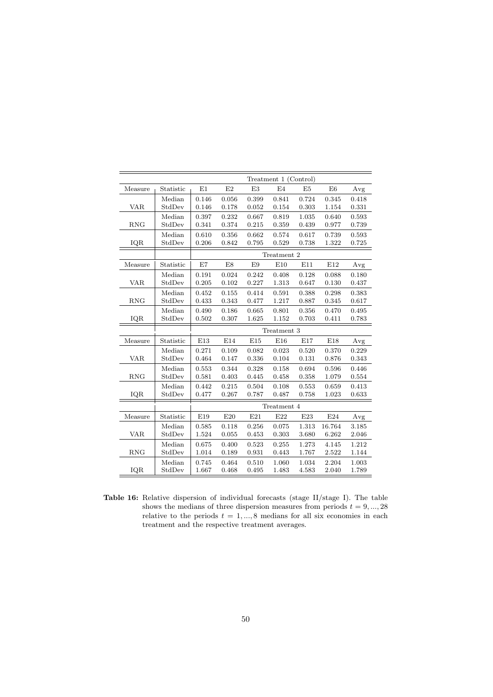|            |           |       |       |                | Treatment 1 (Control) |                |        |       |
|------------|-----------|-------|-------|----------------|-----------------------|----------------|--------|-------|
| Measure    | Statistic | E1    | E2    | E <sub>3</sub> | E4                    | E <sub>5</sub> | E6     | Avg   |
|            | Median    | 0.146 | 0.056 | 0.399          | 0.841                 | 0.724          | 0.345  | 0.418 |
| <b>VAR</b> | StdDev    | 0.146 | 0.178 | 0.052          | 0.154                 | 0.303          | 1.154  | 0.331 |
|            | Median    | 0.397 | 0.232 | 0.667          | 0.819                 | 1.035          | 0.640  | 0.593 |
| <b>RNG</b> | StdDev    | 0.341 | 0.374 | 0.215          | 0.359                 | 0.439          | 0.977  | 0.739 |
|            | Median    | 0.610 | 0.356 | 0.662          | 0.574                 | 0.617          | 0.739  | 0.593 |
| IQR        | StdDev    | 0.206 | 0.842 | 0.795          | 0.529                 | 0.738          | 1.322  | 0.725 |
|            |           |       |       |                | Treatment 2           |                |        |       |
| Measure    | Statistic | E7    | E8    | E9             | E10                   | E11            | E12    | Avg   |
|            | Median    | 0.191 | 0.024 | 0.242          | 0.408                 | 0.128          | 0.088  | 0.180 |
| VAR        | StdDev    | 0.205 | 0.102 | 0.227          | 1.313                 | 0.647          | 0.130  | 0.437 |
|            | Median    | 0.452 | 0.155 | 0.414          | 0.591                 | 0.388          | 0.298  | 0.383 |
| <b>RNG</b> | StdDev    | 0.433 | 0.343 | 0.477          | 1.217                 | 0.887          | 0.345  | 0.617 |
|            | Median    | 0.490 | 0.186 | 0.665          | 0.801                 | 0.356          | 0.470  | 0.495 |
| IQR        | StdDev    | 0.502 | 0.307 | 1.625          | 1.152                 | 0.703          | 0.411  | 0.783 |
|            |           |       |       |                | Treatment 3           |                |        |       |
| Measure    | Statistic | E13   | E14   | E15            | E16                   | E17            | E18    | Avg   |
|            | Median    | 0.271 | 0.109 | 0.082          | 0.023                 | 0.520          | 0.370  | 0.229 |
| <b>VAR</b> | StdDev    | 0.464 | 0.147 | 0.336          | 0.104                 | 0.131          | 0.876  | 0.343 |
|            | Median    | 0.553 | 0.344 | 0.328          | 0.158                 | 0.694          | 0.596  | 0.446 |
| <b>RNG</b> | StdDev    | 0.581 | 0.403 | 0.445          | 0.458                 | 0.358          | 1.079  | 0.554 |
|            | Median    | 0.442 | 0.215 | 0.504          | 0.108                 | 0.553          | 0.659  | 0.413 |
| IQR        | StdDev    | 0.477 | 0.267 | 0.787          | 0.487                 | 0.758          | 1.023  | 0.633 |
|            |           |       |       |                | Treatment 4           |                |        |       |
| Measure    | Statistic | E19   | E20   | E21            | E22                   | E23            | E24    | Avg   |
|            | Median    | 0.585 | 0.118 | 0.256          | 0.075                 | 1.313          | 16.764 | 3.185 |
| <b>VAR</b> | StdDev    | 1.524 | 0.055 | 0.453          | 0.303                 | 3.680          | 6.262  | 2.046 |
|            | Median    | 0.675 | 0.400 | 0.523          | 0.255                 | 1.273          | 4.145  | 1.212 |
| <b>RNG</b> | StdDev    | 1.014 | 0.189 | 0.931          | 0.443                 | 1.767          | 2.522  | 1.144 |
|            | Median    | 0.745 | 0.464 | 0.510          | 1.060                 | 1.034          | 2.204  | 1.003 |
| IQR        | StdDev    | 1.667 | 0.468 | 0.495          | 1.483                 | 4.583          | 2.040  | 1.789 |

Table 16: Relative dispersion of individual forecasts (stage II/stage I). The table shows the medians of three dispersion measures from periods  $t = 9, ..., 28$ relative to the periods  $t = 1, ..., 8$  medians for all six economies in each treatment and the respective treatment averages.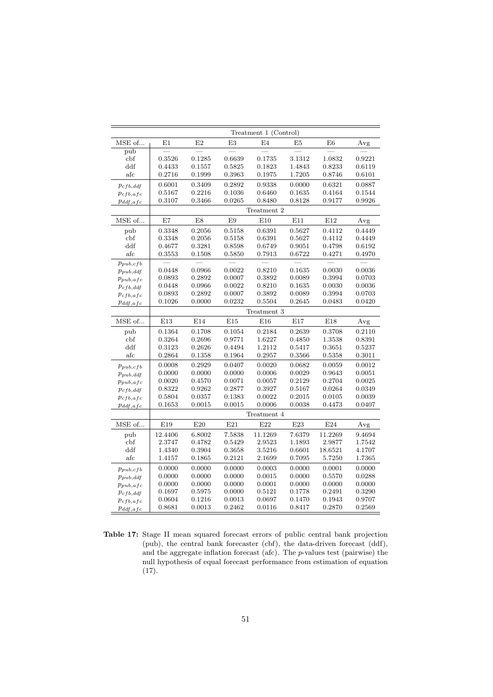|                 |         |           |        | Treatment 1 (Control) |                |                |        |
|-----------------|---------|-----------|--------|-----------------------|----------------|----------------|--------|
| MSE of          | E1      | E2        | E3     | E4                    | E <sub>5</sub> | E <sub>6</sub> | Avg    |
| pub             |         |           |        |                       |                |                |        |
| cbf             | 0.3526  | 0.1285    | 0.6639 | 0.1735                | 3.1312         | 1.0832         | 0.9221 |
| ddf             | 0.4433  | 0.1557    | 0.5825 | 0.1823                | 1.4843         | 0.8233         | 0.6119 |
| afc             | 0.2716  | 0.1999    | 0.3963 | 0.1975                | 1.7205         | 0.8746         | 0.6101 |
| $p_{cfb,ddf}$   | 0.6001  | 0.3409    | 0.2892 | 0.9338                | 0.0000         | 0.6321         | 0.0887 |
| $p_{cfb,afc}$   | 0.5167  | 0.2216    | 0.1036 | 0.6460                | 0.1635         | 0.4164         | 0.1544 |
| $p_{ddf,afc}$   | 0.3107  | 0.3466    | 0.0265 | 0.8480                | 0.8128         | 0.9177         | 0.9926 |
|                 |         |           |        | Treatment 2           |                |                |        |
| MSE of          | E7      | E8        | E9     | E10                   | E11            | E12            | Avg    |
| pub             | 0.3348  | 0.2056    | 0.5158 | 0.6391                | 0.5627         | 0.4112         | 0.4449 |
| cbf             | 0.3348  | 0.2056    | 0.5158 | 0.6391                | 0.5627         | 0.4112         | 0.4449 |
| $\rm{ddf}$      | 0.4677  | 0.3281    | 0.8598 | 0.6749                | 0.9051         | 0.4798         | 0.6192 |
| afc             | 0.3553  | 0.1508    | 0.5850 | 0.7913                | 0.6722         | 0.4271         | 0.4970 |
| $p_{pub, cfb}$  |         |           |        |                       |                |                |        |
| $p_{pub,ddf}$   | 0.0448  | 0.0966    | 0.0022 | 0.8210                | 0.1635         | 0.0030         | 0.0036 |
| $p_{pub,afc}$   | 0.0893  | 0.2892    | 0.0007 | 0.3892                | 0.0089         | 0.3994         | 0.0703 |
| $p_{cfb,dd\!f}$ | 0.0448  | 0.0966    | 0.0022 | 0.8210                | 0.1635         | 0.0030         | 0.0036 |
| $p_{cfb,afc}$   | 0.0893  | 0.2892    | 0.0007 | 0.3892                | 0.0089         | 0.3994         | 0.0703 |
| $p_{ddf,afc}$   | 0.1026  | 0.0000    | 0.0232 | 0.5504                | 0.2645         | 0.0483         | 0.0420 |
|                 |         |           |        | Treatment 3           |                |                |        |
| MSE of          | E13     | E14       | E15    | E16                   | E17            | E18            | Avg    |
| pub             | 0.1364  | 0.1708    | 0.1054 | 0.2184                | 0.2639         | 0.3708         | 0.2110 |
| cbf             | 0.3264  | 0.2696    | 0.9771 | 1.6227                | 0.4850         | 1.3538         | 0.8391 |
| ddf             | 0.3123  | 0.2626    | 0.4494 | 1.2112                | 0.5417         | 0.3651         | 0.5237 |
| afc             | 0.2864  | 0.1358    | 0.1964 | 0.2957                | 0.3566         | 0.5358         | 0.3011 |
| $p_{pub, cfb}$  | 0.0008  | 0.2929    | 0.0407 | 0.0020                | 0.0682         | 0.0059         | 0.0012 |
| $p_{pub,ddf}$   | 0.0000  | 0.0000    | 0.0000 | 0.0006                | 0.0029         | 0.9643         | 0.0051 |
| $p_{pub,afc}$   | 0.0020  | 0.4570    | 0.0071 | 0.0057                | 0.2129         | 0.2704         | 0.0025 |
| $p_{cf\,b,ddf}$ | 0.8322  | 0.9262    | 0.2877 | 0.3927                | 0.5167         | 0.0264         | 0.0349 |
| $p_{cfb,afc}$   | 0.5804  | 0.0357    | 0.1383 | 0.0022                | 0.2015         | 0.0105         | 0.0039 |
| $p_{ddf,afc}$   | 0.1653  | 0.0015    | 0.0015 | 0.0006                | 0.0038         | 0.4473         | 0.0407 |
|                 |         |           |        | Treatment 4           |                |                |        |
| MSE of          | E19     | $\rm E20$ | E21    | E22                   | $\mbox{E}23$   | $\mathrm{E}24$ | Avg    |
| pub             | 12.4406 | 6.8002    | 7.5838 | 11.1269               | 7.6379         | 11.2269        | 9.4694 |
| $_{\rm cbf}$    | 2.3747  | 0.4782    | 0.5429 | 2.9523                | 1.1893         | 2.9877         | 1.7542 |
| $\rm{ddf}$      | 1.4340  | 0.3904    | 0.3658 | 3.5216                | 0.6601         | 18.6521        | 4.1707 |
| afc             | 1.4157  | 0.1865    | 0.2121 | 2.1699                | 0.7095         | 5.7250         | 1.7365 |
| $p_{pub, cfb}$  | 0.0000  | 0.0000    | 0.0000 | 0.0003                | 0.0000         | 0.0001         | 0.0000 |
| $p_{pub,ddf}$   | 0.0000  | 0.0000    | 0.0000 | 0.0015                | 0.0000         | 0.5570         | 0.0288 |
| $p_{pub, afc}$  | 0.0000  | 0.0000    | 0.0000 | 0.0001                | 0.0000         | 0.0000         | 0.0000 |
| $p_{cfb,dd\!f}$ | 0.1697  | 0.5975    | 0.0000 | 0.5121                | 0.1778         | 0.2491         | 0.3290 |
| $p_{cfb,afc}$   | 0.0604  | 0.1216    | 0.0013 | 0.0697                | 0.1470         | 0.1943         | 0.9707 |
| $p_{ddf,afc}$   | 0.8681  | 0.0013    | 0.2462 | 0.0116                | 0.8417         | 0.2870         | 0.2569 |

Table 17: Stage II mean squared forecast errors of public central bank projection (pub), the central bank forecaster (cbf), the data-driven forecast (ddf), and the aggregate inflation forecast (afc). The p-values test (pairwise) the null hypothesis of equal forecast performance from estimation of equation (17).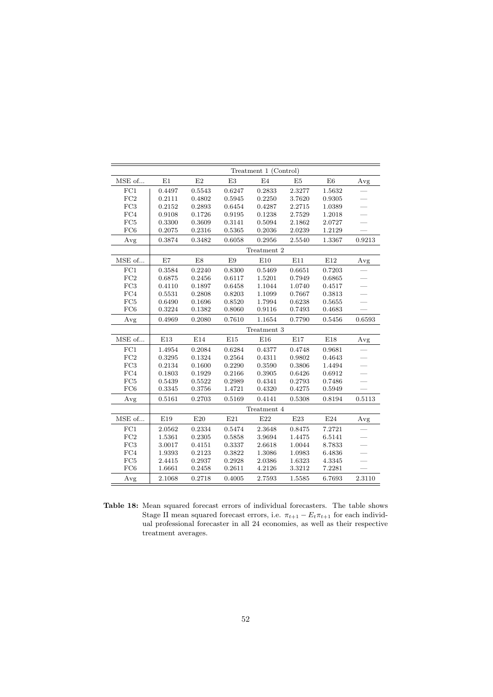|        |            |        |        | Treatment 1 (Control) |                |        |        |
|--------|------------|--------|--------|-----------------------|----------------|--------|--------|
| MSE of | E1         | E2     | E3     | E <sub>4</sub>        | E <sub>5</sub> | E6     | Avg    |
| FC1    | 0.4497     | 0.5543 | 0.6247 | 0.2833                | 2.3277         | 1.5632 |        |
| FC2    | 0.2111     | 0.4802 | 0.5945 | 0.2250                | 3.7620         | 0.9305 |        |
| FC3    | 0.2152     | 0.2893 | 0.6454 | 0.4287                | 2.2715         | 1.0389 |        |
| FC4    | 0.9108     | 0.1726 | 0.9195 | 0.1238                | 2.7529         | 1.2018 |        |
| FC5    | 0.3300     | 0.3609 | 0.3141 | 0.5094                | 2.1862         | 2.0727 |        |
| FC6    | 0.2075     | 0.2316 | 0.5365 | 0.2036                | 2.0239         | 1.2129 |        |
| Avg    | 0.3874     | 0.3482 | 0.6058 | 0.2956                | 2.5540         | 1.3367 | 0.9213 |
|        |            |        |        | Treatment 2           |                |        |        |
| MSE of | E7         | E8     | E9     | E10                   | E11            | E12    | Avg    |
| FC1    | 0.3584     | 0.2240 | 0.8300 | 0.5469                | 0.6651         | 0.7203 |        |
| FC2    | 0.6875     | 0.2456 | 0.6117 | 1.5201                | 0.7949         | 0.6865 |        |
| FC3    | 0.4110     | 0.1897 | 0.6458 | 1.1044                | 1.0740         | 0.4517 |        |
| FC4    | 0.5531     | 0.2808 | 0.8203 | 1.1099                | 0.7667         | 0.3813 |        |
| FC5    | 0.6490     | 0.1696 | 0.8520 | 1.7994                | 0.6238         | 0.5655 |        |
| FC6    | 0.3224     | 0.1382 | 0.8060 | 0.9116                | 0.7493         | 0.4683 |        |
| Avg    | 0.4969     | 0.2080 | 0.7610 | 1.1654                | 0.7790         | 0.5456 | 0.6593 |
|        |            |        |        | Treatment 3           |                |        |        |
| MSE of | E13        | E14    | E15    | E16                   | E17            | E18    | Avg    |
| FC1    | 1.4954     | 0.2084 | 0.6284 | 0.4377                | 0.4748         | 0.9681 |        |
| FC2    | 0.3295     | 0.1324 | 0.2564 | 0.4311                | 0.9802         | 0.4643 |        |
| FC3    | 0.2134     | 0.1600 | 0.2290 | 0.3590                | 0.3806         | 1.4494 |        |
| FC4    | 0.1803     | 0.1929 | 0.2166 | 0.3905                | 0.6426         | 0.6912 |        |
| FC5    | 0.5439     | 0.5522 | 0.2989 | 0.4341                | 0.2793         | 0.7486 |        |
| FC6    | $0.3345\,$ | 0.3756 | 1.4721 | 0.4320                | 0.4275         | 0.5949 |        |
| Avg    | 0.5161     | 0.2703 | 0.5169 | 0.4141                | 0.5308         | 0.8194 | 0.5113 |
|        |            |        |        | Treatment 4           |                |        |        |
| MSE of | E19        | E20    | E21    | E22                   | E23            | E24    | Avg    |
| FC1    | 2.0562     | 0.2334 | 0.5474 | 2.3648                | 0.8475         | 7.2721 |        |
| FC2    | 1.5361     | 0.2305 | 0.5858 | 3.9694                | 1.4475         | 6.5141 |        |
| FC3    | 3.0017     | 0.4151 | 0.3337 | 2.6618                | 1.0044         | 8.7833 |        |
| FC4    | 1.9393     | 0.2123 | 0.3822 | 1.3086                | 1.0983         | 6.4836 |        |
| FC5    | 2.4415     | 0.2937 | 0.2928 | 2.0386                | 1.6323         | 4.3345 |        |
| FC6    | 1.6661     | 0.2458 | 0.2611 | 4.2126                | 3.3212         | 7.2281 |        |
| Avg    | 2.1068     | 0.2718 | 0.4005 | 2.7593                | 1.5585         | 6.7693 | 2.3110 |

Table 18: Mean squared forecast errors of individual forecasters. The table shows Stage II mean squared forecast errors, i.e.  $\pi_{t+1} - E_t \pi_{t+1}$  for each individual professional forecaster in all 24 economies, as well as their respective treatment averages.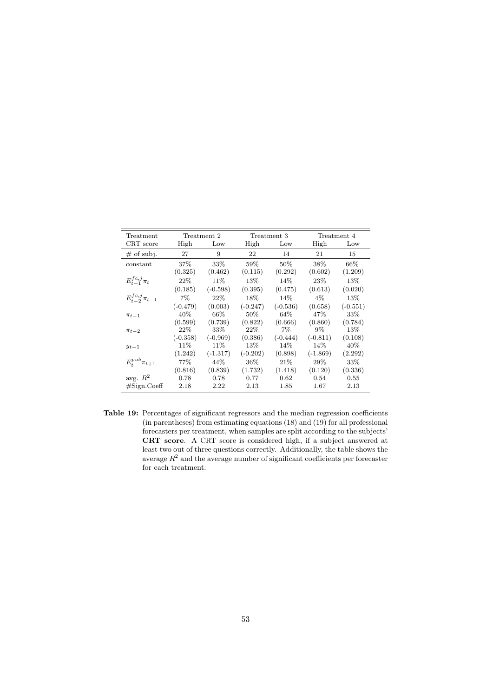| Treatment                 |            | Treatment 2 |            | Treatment 3 |            | Treatment 4 |
|---------------------------|------------|-------------|------------|-------------|------------|-------------|
| CRT score                 | High       | Low         | High       | Low         | High       | Low         |
| $#$ of subj.              | 27         | 9           | 22         | 14          | 21         | 15          |
| constant                  | 37\%       | 33%         | 59%        | 50%         | 38%        | 66\%        |
|                           | (0.325)    | (0.462)     | (0.115)    | (0.292)     | (0.602)    | (1.209)     |
| $E_{t-1}^{fc,j}\pi_t$     | 22%        | 11%         | 13%        | 14%         | 23\%       | 13%         |
|                           | (0.185)    | $(-0.598)$  | (0.395)    | (0.475)     | (0.613)    | (0.020)     |
| $E_{t-2}^{fc,j}\pi_{t-1}$ | $7\%$      | 22%         | $18\%$     | 14%         | $4\%$      | 13%         |
|                           | $(-0.479)$ | (0.003)     | $(-0.247)$ | $(-0.536)$  | (0.658)    | $(-0.551)$  |
| $\pi_{t-1}$               | 40\%       | 66\%        | 50%        | 64\%        | 47\%       | 33%         |
|                           | (0.599)    | (0.739)     | (0.822)    | (0.666)     | (0.860)    | (0.784)     |
| $\pi_{t-2}$               | 22%        | 33%         | 22%        | $7\%$       | $9\%$      | 13%         |
|                           | $(-0.358)$ | $(-0.969)$  | (0.386)    | $(-0.444)$  | $(-0.811)$ | (0.108)     |
| $y_{t-1}$                 | 11\%       | $11\%$      | 13%        | $14\%$      | 14\%       | 40\%        |
|                           | (1.242)    | $(-1.317)$  | $(-0.202)$ | (0.898)     | $(-1.869)$ | (2.292)     |
| $E_t^{pub} \pi_{t+1}$     | 77%        | 44%         | $36\%$     | 21%         | 29%        | 33%         |
|                           | (0.816)    | (0.839)     | (1.732)    | (1.418)     | (0.120)    | (0.336)     |
| avg. $R^2$                | 0.78       | 0.78        | 0.77       | 0.62        | 0.54       | 0.55        |
| $\#Sign.C$ oeff           | 2.18       | 2.22        | 2.13       | 1.85        | 1.67       | 2.13        |

Table 19: Percentages of significant regressors and the median regression coefficients (in parentheses) from estimating equations (18) and (19) for all professional forecasters per treatment, when samples are split according to the subjects' CRT score. A CRT score is considered high, if a subject answered at least two out of three questions correctly. Additionally, the table shows the average  $R^2$  and the average number of significant coefficients per forecaster for each treatment.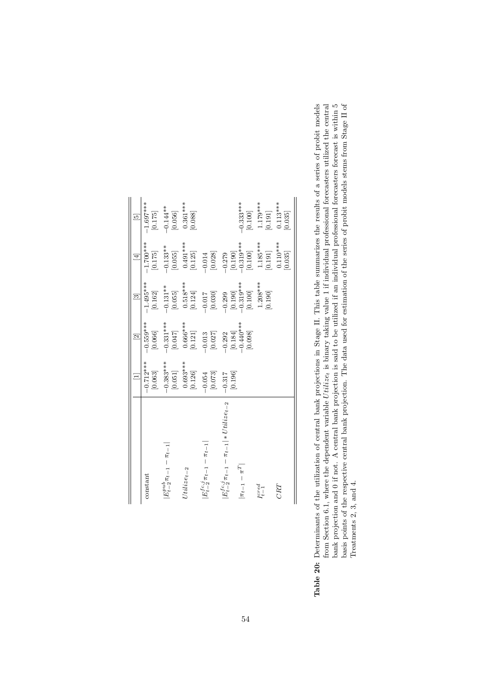|                                                                               | $\equiv$                            | $\overline{\mathbf{z}}$                         | $\frac{3}{2}$                                              | $\overline{4}$                                                    | $\overline{5}$                                             |
|-------------------------------------------------------------------------------|-------------------------------------|-------------------------------------------------|------------------------------------------------------------|-------------------------------------------------------------------|------------------------------------------------------------|
| constant                                                                      | $-0.712***$<br>$\left[0.063\right]$ | $-0.559***$<br>[0.066]                          | $-1.495***$<br>$\left[0.162\right]$                        | $-1.700***$<br>$\left[0.175\right]$                               | $-1.697***$                                                |
| $E_{t-2}^{pub}\pi_{t-1}-\pi_{t-1}$                                            | $0.383***$<br>$\left[0.051\right]$  | $-0.331***$<br>$\left[7\overline{F}0.0\right]$  | $-0.131**$<br>$\left[0.055\right]$                         | $-0.133^{**}$ [0.055]                                             | $\begin{bmatrix} 0.175 \\ -0.144** \\ 0.056 \end{bmatrix}$ |
| $Utilize_{t-2}$                                                               | $0.693***$<br>[0.126]               | $0.666***$<br>[0.121]                           | $0.518***$<br>[0.124]                                      | $0.491***$<br>[0.125]                                             | $0.361***$<br>[0.088]                                      |
| $E_{t-2}^{fc,j} \pi_{t-1} - \pi_{t-1}$                                        | $\left[0.073\right]$<br>$-0.054$    | $-0.013$ [0.027]                                | $-0.017$<br>[0.030]                                        | $\begin{bmatrix} -0.014 \\ 0.028 \end{bmatrix}$                   |                                                            |
| $E^{fc,j}_{t-2} \pi_{t-1} - \pi_{t-1}  *Utilize_{t-2}$<br>$ \pi_{t-1}-\pi^T $ | $\left[0.196\right]$<br>$-0.317$    | $[0.184]$<br>$-0.440***$<br>[0.098]<br>$-0.292$ | $[0.190]$<br>-0.319***<br>$\left[0.100\right]$<br>$-0.299$ | $\begin{bmatrix} -0.279 \\ [0.190] \\ -0.319*** \\ \end{bmatrix}$ | $-0.333***$<br>[0.100]                                     |
| $I_{t-1}^{cred}$                                                              |                                     |                                                 | $1.208***$<br>[0.190]                                      | $1.185***$<br>[0.191]                                             | $1.179***$<br>[0.191]                                      |
| CRT                                                                           |                                     |                                                 |                                                            | $0.110***$<br>[0.035]                                             | $0.113***$<br>0.035                                        |

Table 20: Determinants of the utilization of central bank projections in Stage II. This table summarizes the results of a series of probit models from Section 6.1, where the dependent variable  $Utility$  is binary taking value 1 bank projection and 0 if not. A central bank projection is said to be utilized if an individual professional forecasters forecast is within 5 Table 20: Determinants of the utilization of central bank projections in Stage II. This table summarizes the results of a series of probit models from Section 6.1, where the dependent variable Utilize<sub>t</sub> is binary taking value 1 if individual professional forecasters utilized the central basis points of the respective central bank projection. The data used for estimation of the series of probit models stems from Stage II of Treatments 2, 3, and 4.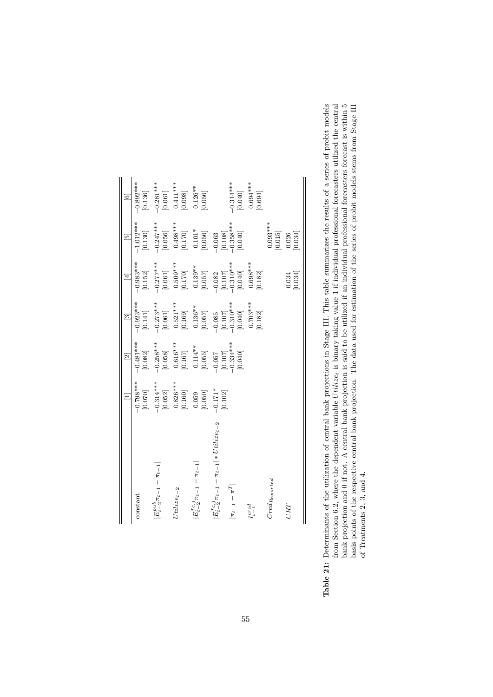|                                                                           | $\Xi$                               | $\overline{z}$                                                          | $\Xi$                                                                                                                  | $\overline{E}$                                                               | $\overline{5}$                                                             | $\odot$                                                                            |
|---------------------------------------------------------------------------|-------------------------------------|-------------------------------------------------------------------------|------------------------------------------------------------------------------------------------------------------------|------------------------------------------------------------------------------|----------------------------------------------------------------------------|------------------------------------------------------------------------------------|
| constant                                                                  | $-0.798***$<br>$\left[0.070\right]$ | $-0.481***$<br>[0.082]                                                  | $-0.923***$                                                                                                            | $-0.983***$<br>$\left[0.152\right]$                                          | $-1.012***$                                                                | $-0.892***$<br>$\left[ 0.136\right]$                                               |
| $E_{t-2}^{pub}\pi_{t-1} - \pi_{t-1}$                                      | $-0.314***$<br>[0.052]              | $-0.258***$<br>$\left[0.058\right]$                                     |                                                                                                                        | $-0.277***$                                                                  | $-0.247***$<br>$\left[0.056\right]$                                        |                                                                                    |
| $\label{eq:2} Itilize_{t-2}$                                              | $0.826***$<br>$[0.160]$             | $0.616^{***}$ [0.167]                                                   |                                                                                                                        | $[0.061]$<br>$0.509***$<br>$[0.170]$                                         | $0.498***$<br>[0.170]                                                      | $\begin{array}{c} -0.281^{***} \\ [0.061] \\ [0.411^{***}] \\ [0.098] \end{array}$ |
| $E_{t-2}^{fc,j}\pi_{t-1}-\pi_{t-1} $                                      | $[0.059] \label{eq:3}$              | $0.114***$<br>[0.055]                                                   | $\begin{array}{r} -0.273^{***} \\ [0.061] \\ [0.521^{***} \\ [0.169] \\ [0.136^{**} \\ [0.057] \\ [0.057] \end{array}$ | $0.139***$<br>[0.057]                                                        | $[0.101*]$                                                                 | $0.126**$ [0.056]                                                                  |
| $E_{t-2}^{fc,j}\pi_{t-1}-\pi_{t-1}]*Utilize_{t-2}$<br>$ \pi_{t-1}-\pi^T $ | $-0.171$ <sup>*</sup><br>[0.102]    | $\begin{bmatrix} 0.107 \\ -0.334*** \\ 0.040 \end{bmatrix}$<br>$-0.057$ | $\begin{bmatrix} 0.107 \\ -0.310^{***} \\ 0.040 \end{bmatrix}$<br>0.085                                                | $\begin{bmatrix} -0.082 \\ [0.107] \\ -0.310^{***} \\ [0.040] \end{bmatrix}$ | $\begin{bmatrix} 0.108 \\ -0.358^{***} \\ 0.040 \end{bmatrix}$<br>$-0.063$ | $0.314***$<br>$\left[ 0.040\right]$                                                |
| $I_{t-1}^{cred}$                                                          |                                     |                                                                         | $0.703***$<br>$\left[0.182\right]$                                                                                     | $0.698***$<br>$\left[ 0.182\right]$                                          |                                                                            | $0.694***$<br>[0.694]                                                              |
| $Cred_{Reported}$                                                         |                                     |                                                                         |                                                                                                                        |                                                                              | $0.093***$<br>[0.015]                                                      |                                                                                    |
| CRT                                                                       |                                     |                                                                         |                                                                                                                        | $0.034$<br>[0.034]                                                           | [0.026]                                                                    |                                                                                    |

Table 21: Determinants of the utilization of central bank projections in Stage III. This table summarizes the results of a series of probit models from Section 6.2, where the dependent variable  $Utility$  is binary taking value 1 if individual professional forecasters utilized the central bank projection and 0 if not. A central bank projection is said to be utilized if an bank projection and 0 if not. A central bank projection is said to be utilized if an individual professional forecasters forecast is within 5 basis points of the respective central bank projection. The data used for estimation of the series of probit models stems from Stage III Table 21: Determinants of the utilization of central bank projections in Stage III. This table summarizes the results of a series of probit models from Section 6.2, where the dependent variable Utilize<sub>t</sub> is binary taking value 1 if individual professional forecasters utilized the central basis points of the respective central bank projection. The data used for estimation of the series of probit models stems from Stage III of Treatments 2, 3, and 4. of Treatments 2, 3, and 4.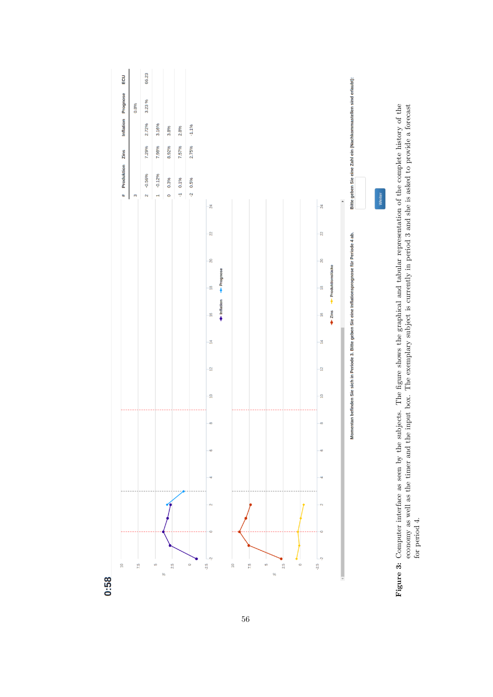

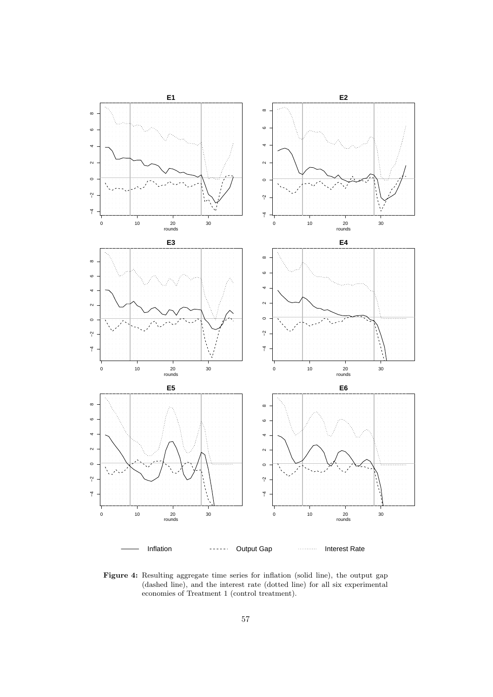

Figure 4: Resulting aggregate time series for inflation (solid line), the output gap (dashed line), and the interest rate (dotted line) for all six experimental economies of Treatment 1 (control treatment).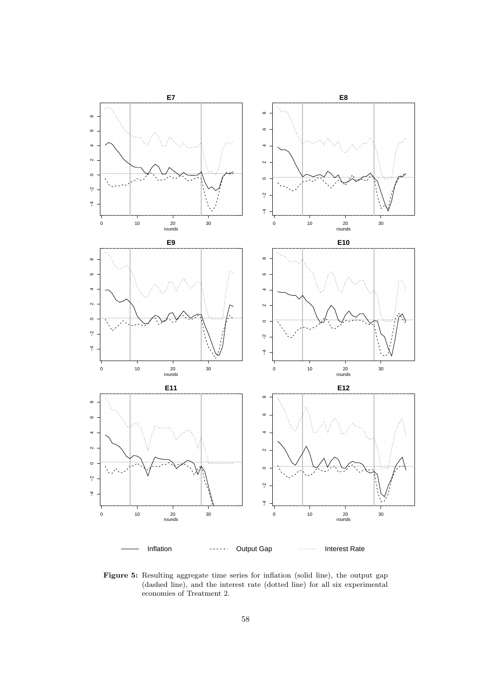

Figure 5: Resulting aggregate time series for inflation (solid line), the output gap (dashed line), and the interest rate (dotted line) for all six experimental economies of Treatment 2.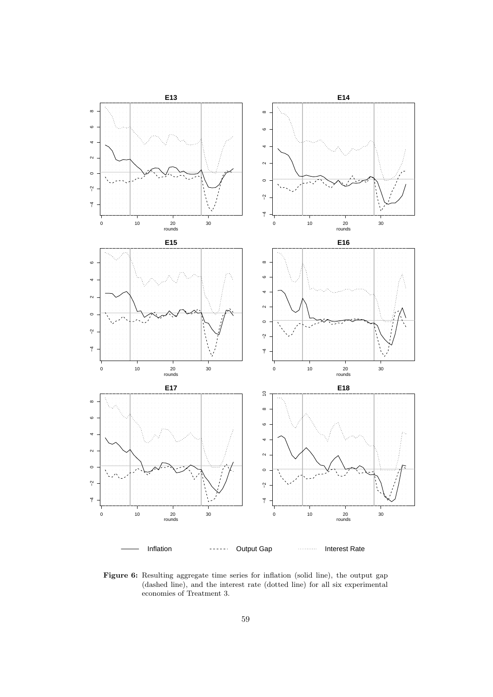

Figure 6: Resulting aggregate time series for inflation (solid line), the output gap (dashed line), and the interest rate (dotted line) for all six experimental economies of Treatment 3.